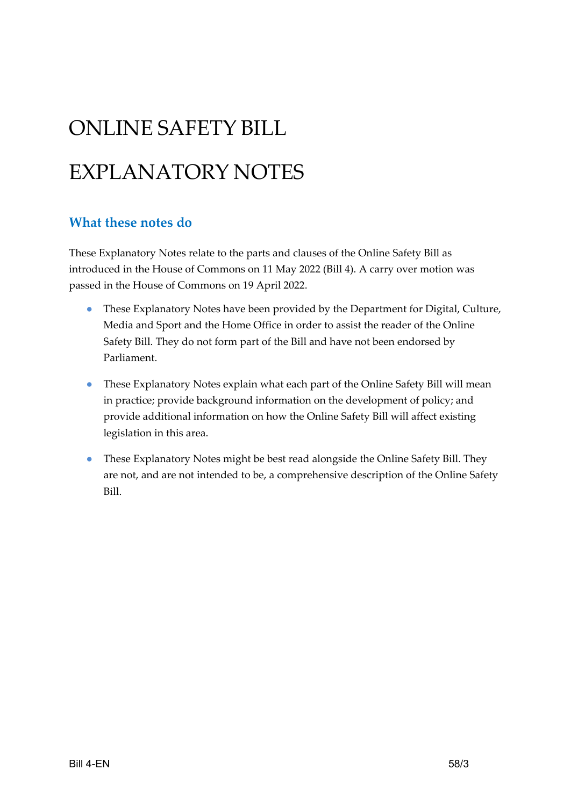# ONLINE SAFETY BILL

# EXPLANATORY NOTES

#### **What these notes do**

These Explanatory Notes relate to the parts and clauses of the Online Safety Bill as introduced in the House of Commons on 11 May 2022 (Bill 4). A carry over motion was passed in the House of Commons on 19 April 2022.

- These Explanatory Notes have been provided by the Department for Digital, Culture, Media and Sport and the Home Office in order to assist the reader of the Online Safety Bill. They do not form part of the Bill and have not been endorsed by Parliament.
- These Explanatory Notes explain what each part of the Online Safety Bill will mean in practice; provide background information on the development of policy; and provide additional information on how the Online Safety Bill will affect existing legislation in this area.
- These Explanatory Notes might be best read alongside the Online Safety Bill. They are not, and are not intended to be, a comprehensive description of the Online Safety Bill.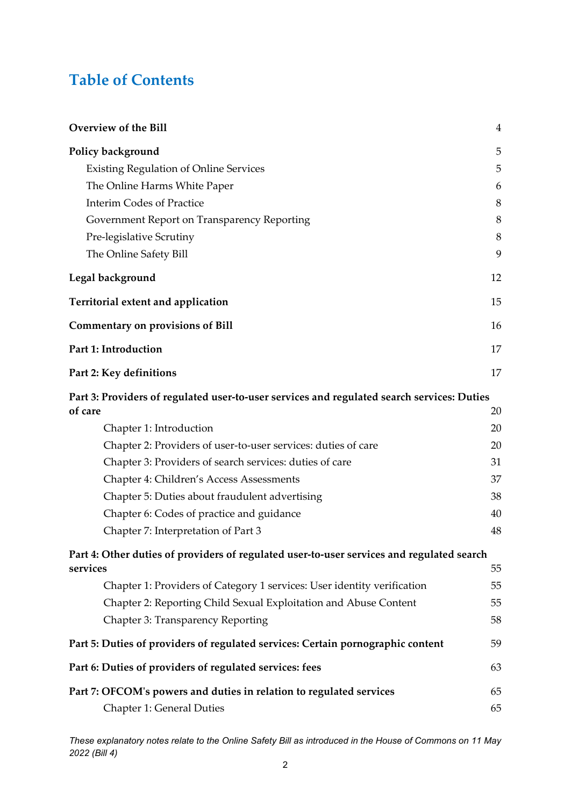### **Table of Contents**

| <b>Overview of the Bill</b>                                                                | 4  |
|--------------------------------------------------------------------------------------------|----|
| Policy background                                                                          | 5  |
| <b>Existing Regulation of Online Services</b>                                              | 5  |
| The Online Harms White Paper                                                               | 6  |
| <b>Interim Codes of Practice</b>                                                           | 8  |
| Government Report on Transparency Reporting                                                | 8  |
| Pre-legislative Scrutiny                                                                   | 8  |
| The Online Safety Bill                                                                     | 9  |
| Legal background                                                                           | 12 |
| Territorial extent and application                                                         | 15 |
| <b>Commentary on provisions of Bill</b>                                                    | 16 |
| Part 1: Introduction                                                                       | 17 |
| Part 2: Key definitions                                                                    | 17 |
| Part 3: Providers of regulated user-to-user services and regulated search services: Duties |    |
| of care                                                                                    | 20 |
| Chapter 1: Introduction                                                                    | 20 |
| Chapter 2: Providers of user-to-user services: duties of care                              | 20 |
| Chapter 3: Providers of search services: duties of care                                    | 31 |
| Chapter 4: Children's Access Assessments                                                   | 37 |
| Chapter 5: Duties about fraudulent advertising                                             | 38 |
| Chapter 6: Codes of practice and guidance                                                  | 40 |
| Chapter 7: Interpretation of Part 3                                                        | 48 |
| Part 4: Other duties of providers of regulated user-to-user services and regulated search  |    |
| services                                                                                   | 55 |
| Chapter 1: Providers of Category 1 services: User identity verification                    | 55 |
| Chapter 2: Reporting Child Sexual Exploitation and Abuse Content                           | 55 |
| Chapter 3: Transparency Reporting                                                          | 58 |
| Part 5: Duties of providers of regulated services: Certain pornographic content            | 59 |
| Part 6: Duties of providers of regulated services: fees                                    | 63 |
| Part 7: OFCOM's powers and duties in relation to regulated services                        | 65 |
| <b>Chapter 1: General Duties</b>                                                           | 65 |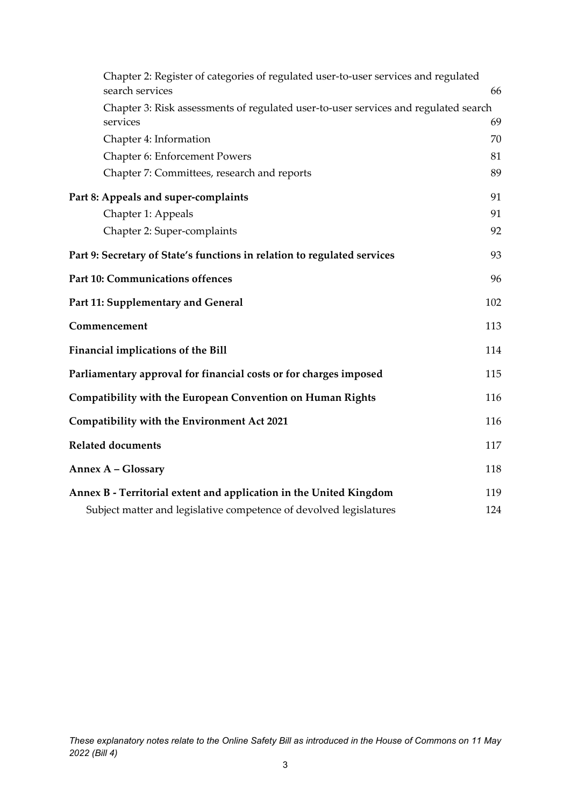| Chapter 2: Register of categories of regulated user-to-user services and regulated<br>search services | 66  |
|-------------------------------------------------------------------------------------------------------|-----|
| Chapter 3: Risk assessments of regulated user-to-user services and regulated search                   |     |
| services                                                                                              | 69  |
| Chapter 4: Information                                                                                | 70  |
| Chapter 6: Enforcement Powers                                                                         | 81  |
| Chapter 7: Committees, research and reports                                                           | 89  |
| Part 8: Appeals and super-complaints                                                                  | 91  |
| Chapter 1: Appeals                                                                                    | 91  |
| Chapter 2: Super-complaints                                                                           | 92  |
| Part 9: Secretary of State's functions in relation to regulated services                              | 93  |
| <b>Part 10: Communications offences</b>                                                               | 96  |
| Part 11: Supplementary and General                                                                    | 102 |
| Commencement                                                                                          | 113 |
| Financial implications of the Bill                                                                    | 114 |
| Parliamentary approval for financial costs or for charges imposed                                     | 115 |
| Compatibility with the European Convention on Human Rights                                            | 116 |
| Compatibility with the Environment Act 2021                                                           | 116 |
| <b>Related documents</b>                                                                              | 117 |
| Annex A - Glossary                                                                                    | 118 |
| Annex B - Territorial extent and application in the United Kingdom                                    | 119 |
| Subject matter and legislative competence of devolved legislatures                                    | 124 |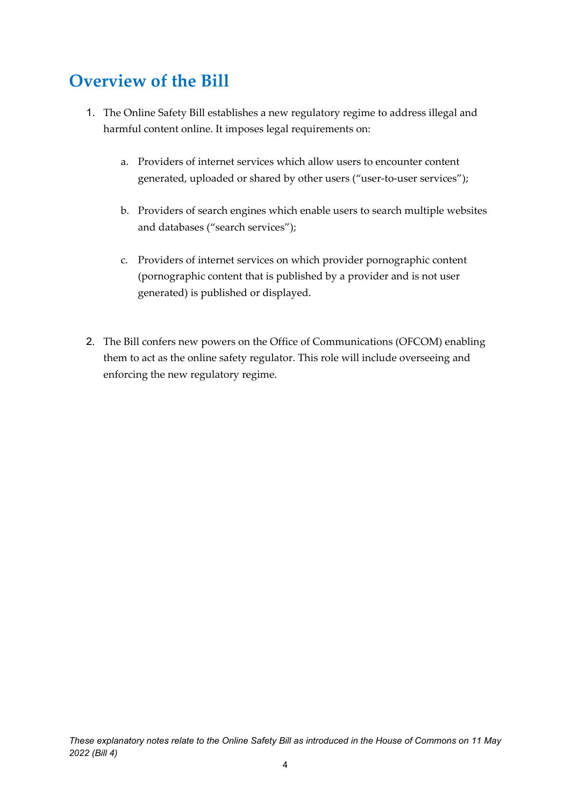# <span id="page-3-0"></span>**Overview of the Bill**

- 1. The Online Safety Bill establishes a new regulatory regime to address illegal and harmful content online. It imposes legal requirements on:
	- a. Providers of internet services which allow users to encounter content generated, uploaded or shared by other users ("user-to-user services");
	- b. Providers of search engines which enable users to search multiple websites and databases ("search services");
	- c. Providers of internet services on which provider pornographic content (pornographic content that is published by a provider and is not user generated) is published or displayed.
- 2. The Bill confers new powers on the Office of Communications (OFCOM) enabling them to act as the online safety regulator. This role will include overseeing and enforcing the new regulatory regime.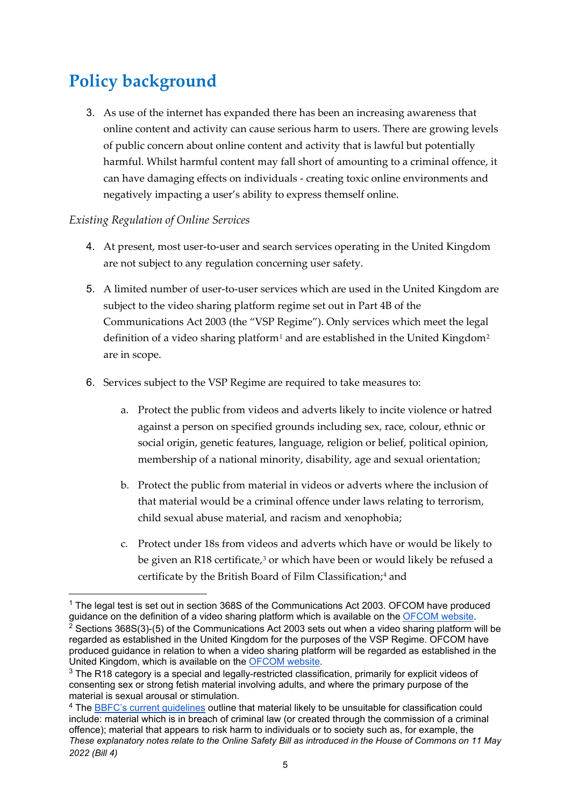# <span id="page-4-0"></span>**Policy background**

3. As use of the internet has expanded there has been an increasing awareness that online content and activity can cause serious harm to users. There are growing levels of public concern about online content and activity that is lawful but potentially harmful. Whilst harmful content may fall short of amounting to a criminal offence, it can have damaging effects on individuals - creating toxic online environments and negatively impacting a user's ability to express themself online.

#### <span id="page-4-1"></span>*Existing Regulation of Online Services*

- 4. At present, most user-to-user and search services operating in the United Kingdom are not subject to any regulation concerning user safety.
- 5. A limited number of user-to-user services which are used in the United Kingdom are subject to the video sharing platform regime set out in Part 4B of the Communications Act 2003 (the "VSP Regime"). Only services which meet the legal definition of a video sharing platform<sup>[1](#page-4-2)</sup> and are established in the United Kingdom<sup>[2](#page-4-3)</sup> are in scope.
- 6. Services subject to the VSP Regime are required to take measures to:
	- a. Protect the public from videos and adverts likely to incite violence or hatred against a person on specified grounds including sex, race, colour, ethnic or social origin, genetic features, language, religion or belief, political opinion, membership of a national minority, disability, age and sexual orientation;
	- b. Protect the public from material in videos or adverts where the inclusion of that material would be a criminal offence under laws relating to terrorism, child sexual abuse material, and racism and xenophobia;
	- c. Protect under 18s from videos and adverts which have or would be likely to be given an R18 certificate,<sup>[3](#page-4-4)</sup> or which have been or would likely be refused a certificate by the British Board of Film Classification;<sup>[4](#page-4-5)</sup> and

<span id="page-4-3"></span><span id="page-4-2"></span> $1$  The legal test is set out in section 368S of the Communications Act 2003. OFCOM have produced guidance on the definition of a video sharing platform which is available on the <u>OFCOM website</u>. <sup>2</sup> Sections 368S(3)-(5) of the Communications Act 2003 sets out when a video sharing platform will be regarded as established in the United Kingdom for the purposes of the VSP Regime. OFCOM have produced guidance in relation to when a video sharing platform will be regarded as established in the United Kingdom, which is available on the [OFCOM website.](https://www.ofcom.org.uk/__data/assets/pdf_file/0015/226302/vsp-harms-guidance.pdf)

<span id="page-4-4"></span> $3$  The R18 category is a special and legally-restricted classification, primarily for explicit videos of consenting sex or strong fetish material involving adults, and where the primary purpose of the material is sexual arousal or stimulation.

<span id="page-4-5"></span>*These explanatory notes relate to the Online Safety Bill as introduced in the House of Commons on 11 May 2022 (Bill 4)* <sup>4</sup> The **BBFC's current guidelines outline that material likely to be unsuitable for classification could** include: material which is in breach of criminal law (or created through the commission of a criminal offence); material that appears to risk harm to individuals or to society such as, for example, the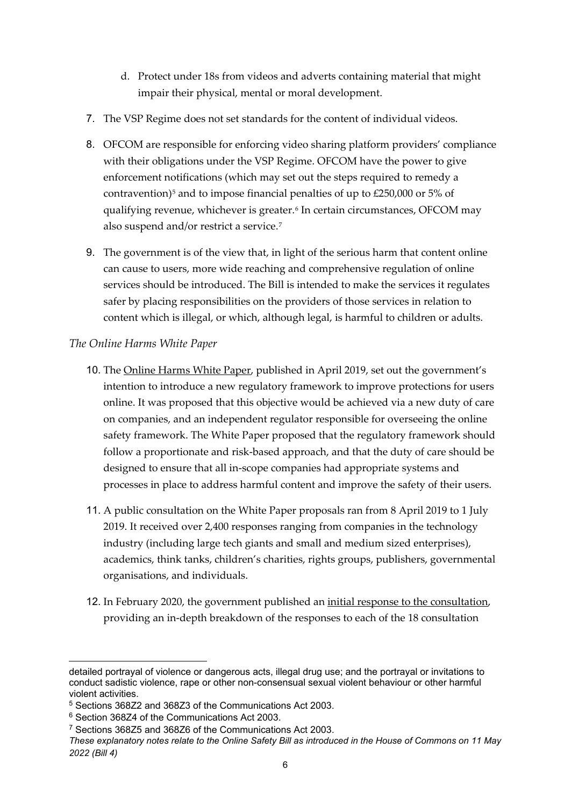- d. Protect under 18s from videos and adverts containing material that might impair their physical, mental or moral development.
- 7. The VSP Regime does not set standards for the content of individual videos.
- 8. OFCOM are responsible for enforcing video sharing platform providers' compliance with their obligations under the VSP Regime. OFCOM have the power to give enforcement notifications (which may set out the steps required to remedy a contravention)[5](#page-5-1) and to impose financial penalties of up to £250,000 or 5% of qualifying revenue, whichever is greater.<sup>[6](#page-5-2)</sup> In certain circumstances, OFCOM may also suspend and/or restrict a service.[7](#page-5-3)
- 9. The government is of the view that, in light of the serious harm that content online can cause to users, more wide reaching and comprehensive regulation of online services should be introduced. The Bill is intended to make the services it regulates safer by placing responsibilities on the providers of those services in relation to content which is illegal, or which, although legal, is harmful to children or adults.

#### <span id="page-5-0"></span>*The Online Harms White Paper*

- 10. The [Online Harms White Paper,](https://www.gov.uk/government/consultations/online-harms-white-paper/online-harms-white-paper) published in April 2019, set out the government's intention to introduce a new regulatory framework to improve protections for users online. It was proposed that this objective would be achieved via a new duty of care on companies, and an independent regulator responsible for overseeing the online safety framework. The White Paper proposed that the regulatory framework should follow a proportionate and risk-based approach, and that the duty of care should be designed to ensure that all in-scope companies had appropriate systems and processes in place to address harmful content and improve the safety of their users.
- 11. A public consultation on the White Paper proposals ran from 8 April 2019 to 1 July 2019. It received over 2,400 responses ranging from companies in the technology industry (including large tech giants and small and medium sized enterprises), academics, think tanks, children's charities, rights groups, publishers, governmental organisations, and individuals.
- 12. In February 2020, the government published an [initial response to the consultation,](https://www.gov.uk/government/consultations/online-harms-white-paper/public-feedback/online-harms-white-paper-initial-consultation-response) providing an in-depth breakdown of the responses to each of the 18 consultation

detailed portrayal of violence or dangerous acts, illegal drug use; and the portrayal or invitations to conduct sadistic violence, rape or other non-consensual sexual violent behaviour or other harmful violent activities.

<span id="page-5-1"></span><sup>5</sup> Sections 368Z2 and 368Z3 of the Communications Act 2003.

<span id="page-5-2"></span><sup>6</sup> Section 368Z4 of the Communications Act 2003.

<span id="page-5-3"></span><sup>7</sup> Sections 368Z5 and 368Z6 of the Communications Act 2003.

*These explanatory notes relate to the Online Safety Bill as introduced in the House of Commons on 11 May 2022 (Bill 4)*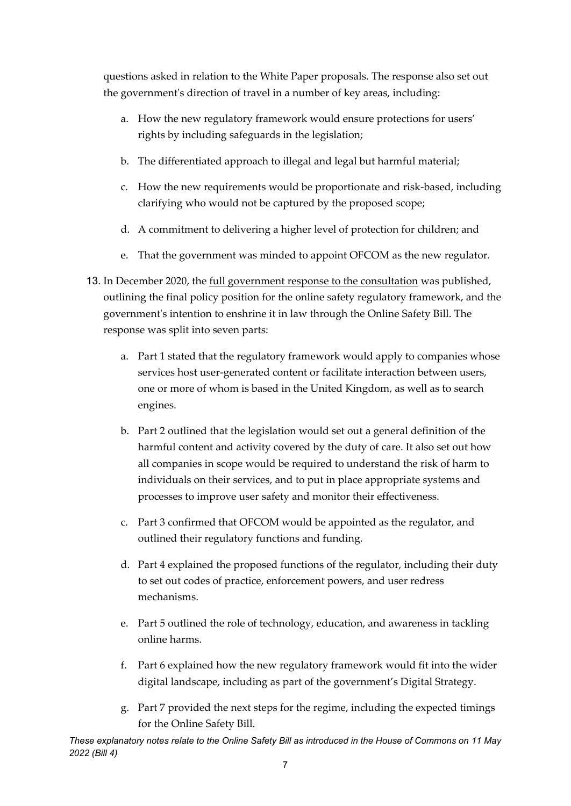questions asked in relation to the White Paper proposals. The response also set out the government's direction of travel in a number of key areas, including:

- a. How the new regulatory framework would ensure protections for users' rights by including safeguards in the legislation;
- b. The differentiated approach to illegal and legal but harmful material;
- c. How the new requirements would be proportionate and risk-based, including clarifying who would not be captured by the proposed scope;
- d. A commitment to delivering a higher level of protection for children; and
- e. That the government was minded to appoint OFCOM as the new regulator.
- 13. In December 2020, the [full government response to the consultation](https://www.gov.uk/government/consultations/online-harms-white-paper/outcome/online-harms-white-paper-full-government-response) was published, outlining the final policy position for the online safety regulatory framework, and the government's intention to enshrine it in law through the Online Safety Bill. The response was split into seven parts:
	- a. Part 1 stated that the regulatory framework would apply to companies whose services host user-generated content or facilitate interaction between users, one or more of whom is based in the United Kingdom, as well as to search engines.
	- b. Part 2 outlined that the legislation would set out a general definition of the harmful content and activity covered by the duty of care. It also set out how all companies in scope would be required to understand the risk of harm to individuals on their services, and to put in place appropriate systems and processes to improve user safety and monitor their effectiveness.
	- c. Part 3 confirmed that OFCOM would be appointed as the regulator, and outlined their regulatory functions and funding.
	- d. Part 4 explained the proposed functions of the regulator, including their duty to set out codes of practice, enforcement powers, and user redress mechanisms.
	- e. Part 5 outlined the role of technology, education, and awareness in tackling online harms.
	- f. Part 6 explained how the new regulatory framework would fit into the wider digital landscape, including as part of the government's Digital Strategy.
	- g. Part 7 provided the next steps for the regime, including the expected timings for the Online Safety Bill.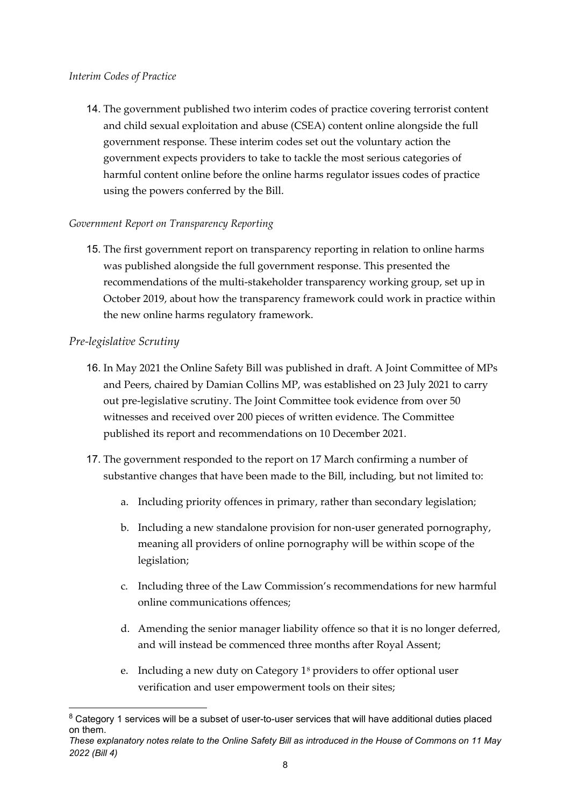#### <span id="page-7-0"></span>*Interim Codes of Practice*

14. The government published two interim codes of practice covering terrorist content and child sexual exploitation and abuse (CSEA) content online alongside the full government response. These interim codes set out the voluntary action the government expects providers to take to tackle the most serious categories of harmful content online before the online harms regulator issues codes of practice using the powers conferred by the Bill.

#### <span id="page-7-1"></span>*Government Report on Transparency Reporting*

15. The first government report on transparency reporting in relation to online harms was published alongside the full government response. This presented the recommendations of the multi-stakeholder transparency working group, set up in October 2019, about how the transparency framework could work in practice within the new online harms regulatory framework.

#### <span id="page-7-2"></span>*Pre-legislative Scrutiny*

- 16. In May 2021 the Online Safety Bill was published in draft. A Joint Committee of MPs and Peers, chaired by Damian Collins MP, was established on 23 July 2021 to carry out pre-legislative scrutiny. The Joint Committee took evidence from over 50 witnesses and received over 200 pieces of written evidence. The Committee published its report and recommendations on 10 December 2021.
- 17. The government responded to the report on 17 March confirming a number of substantive changes that have been made to the Bill, including, but not limited to:
	- a. Including priority offences in primary, rather than secondary legislation;
	- b. Including a new standalone provision for non-user generated pornography, meaning all providers of online pornography will be within scope of the legislation;
	- c. Including three of the Law Commission's recommendations for new harmful online communications offences;
	- d. Amending the senior manager liability offence so that it is no longer deferred, and will instead be commenced three months after Royal Assent;
	- e. Including a new duty on Category  $1<sup>8</sup>$  $1<sup>8</sup>$  $1<sup>8</sup>$  providers to offer optional user verification and user empowerment tools on their sites;

<span id="page-7-3"></span><sup>&</sup>lt;sup>8</sup> Category 1 services will be a subset of user-to-user services that will have additional duties placed on them.

*These explanatory notes relate to the Online Safety Bill as introduced in the House of Commons on 11 May 2022 (Bill 4)*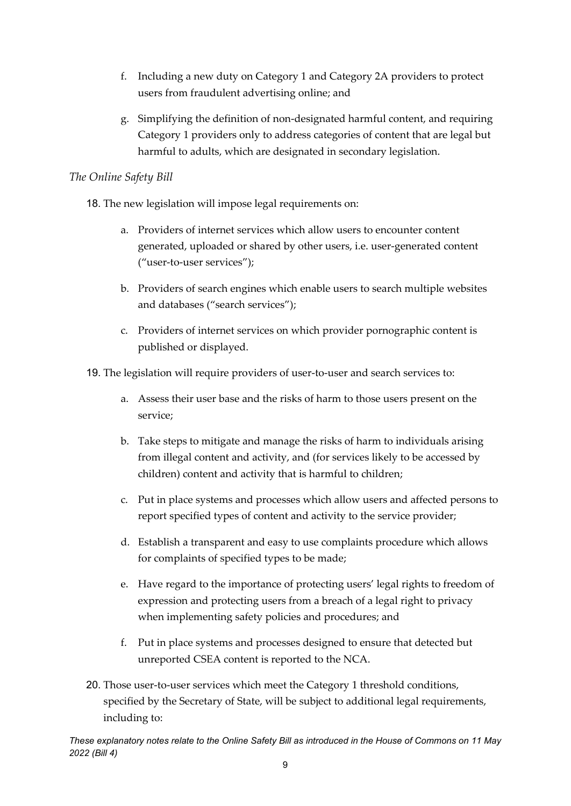- f. Including a new duty on Category 1 and Category 2A providers to protect users from fraudulent advertising online; and
- g. Simplifying the definition of non-designated harmful content, and requiring Category 1 providers only to address categories of content that are legal but harmful to adults, which are designated in secondary legislation.

#### <span id="page-8-0"></span>*The Online Safety Bill*

- 18. The new legislation will impose legal requirements on:
	- a. Providers of internet services which allow users to encounter content generated, uploaded or shared by other users, i.e. user-generated content ("user-to-user services");
	- b. Providers of search engines which enable users to search multiple websites and databases ("search services");
	- c. Providers of internet services on which provider pornographic content is published or displayed.
- 19. The legislation will require providers of user-to-user and search services to:
	- a. Assess their user base and the risks of harm to those users present on the service;
	- b. Take steps to mitigate and manage the risks of harm to individuals arising from illegal content and activity, and (for services likely to be accessed by children) content and activity that is harmful to children;
	- c. Put in place systems and processes which allow users and affected persons to report specified types of content and activity to the service provider;
	- d. Establish a transparent and easy to use complaints procedure which allows for complaints of specified types to be made;
	- e. Have regard to the importance of protecting users' legal rights to freedom of expression and protecting users from a breach of a legal right to privacy when implementing safety policies and procedures; and
	- f. Put in place systems and processes designed to ensure that detected but unreported CSEA content is reported to the NCA.
- 20. Those user-to-user services which meet the Category 1 threshold conditions, specified by the Secretary of State, will be subject to additional legal requirements, including to: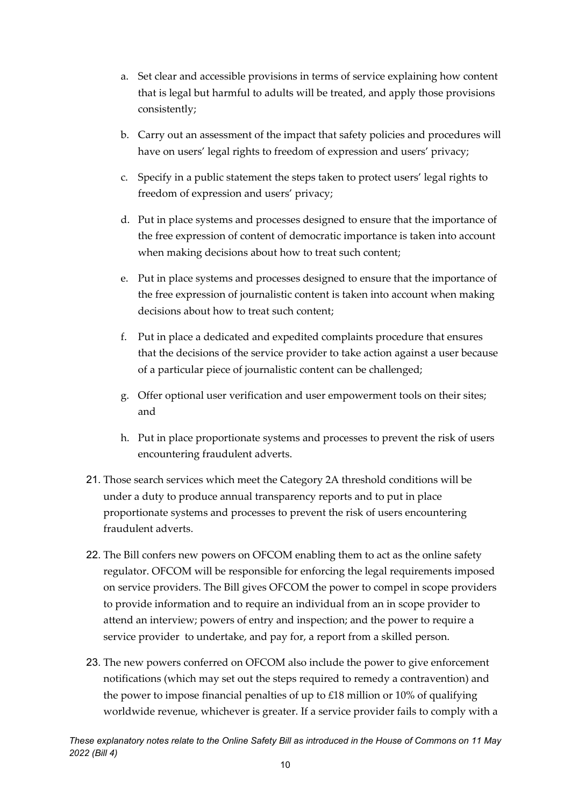- a. Set clear and accessible provisions in terms of service explaining how content that is legal but harmful to adults will be treated, and apply those provisions consistently;
- b. Carry out an assessment of the impact that safety policies and procedures will have on users' legal rights to freedom of expression and users' privacy;
- c. Specify in a public statement the steps taken to protect users' legal rights to freedom of expression and users' privacy;
- d. Put in place systems and processes designed to ensure that the importance of the free expression of content of democratic importance is taken into account when making decisions about how to treat such content;
- e. Put in place systems and processes designed to ensure that the importance of the free expression of journalistic content is taken into account when making decisions about how to treat such content;
- f. Put in place a dedicated and expedited complaints procedure that ensures that the decisions of the service provider to take action against a user because of a particular piece of journalistic content can be challenged;
- g. Offer optional user verification and user empowerment tools on their sites; and
- h. Put in place proportionate systems and processes to prevent the risk of users encountering fraudulent adverts.
- 21. Those search services which meet the Category 2A threshold conditions will be under a duty to produce annual transparency reports and to put in place proportionate systems and processes to prevent the risk of users encountering fraudulent adverts.
- 22. The Bill confers new powers on OFCOM enabling them to act as the online safety regulator. OFCOM will be responsible for enforcing the legal requirements imposed on service providers. The Bill gives OFCOM the power to compel in scope providers to provide information and to require an individual from an in scope provider to attend an interview; powers of entry and inspection; and the power to require a service provider to undertake, and pay for, a report from a skilled person.
- 23. The new powers conferred on OFCOM also include the power to give enforcement notifications (which may set out the steps required to remedy a contravention) and the power to impose financial penalties of up to £18 million or 10% of qualifying worldwide revenue, whichever is greater. If a service provider fails to comply with a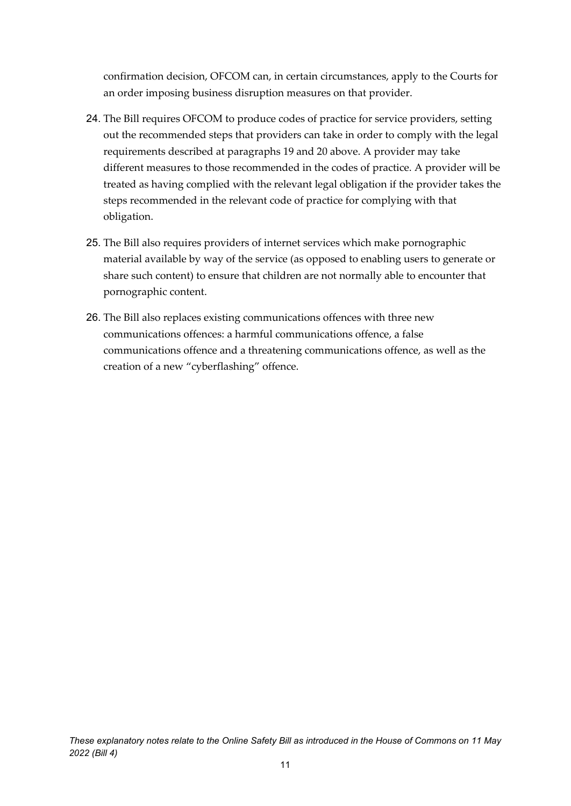confirmation decision, OFCOM can, in certain circumstances, apply to the Courts for an order imposing business disruption measures on that provider.

- 24. The Bill requires OFCOM to produce codes of practice for service providers, setting out the recommended steps that providers can take in order to comply with the legal requirements described at paragraphs 19 and 20 above. A provider may take different measures to those recommended in the codes of practice. A provider will be treated as having complied with the relevant legal obligation if the provider takes the steps recommended in the relevant code of practice for complying with that obligation.
- 25. The Bill also requires providers of internet services which make pornographic material available by way of the service (as opposed to enabling users to generate or share such content) to ensure that children are not normally able to encounter that pornographic content.
- 26. The Bill also replaces existing communications offences with three new communications offences: a harmful communications offence, a false communications offence and a threatening communications offence, as well as the creation of a new "cyberflashing" offence.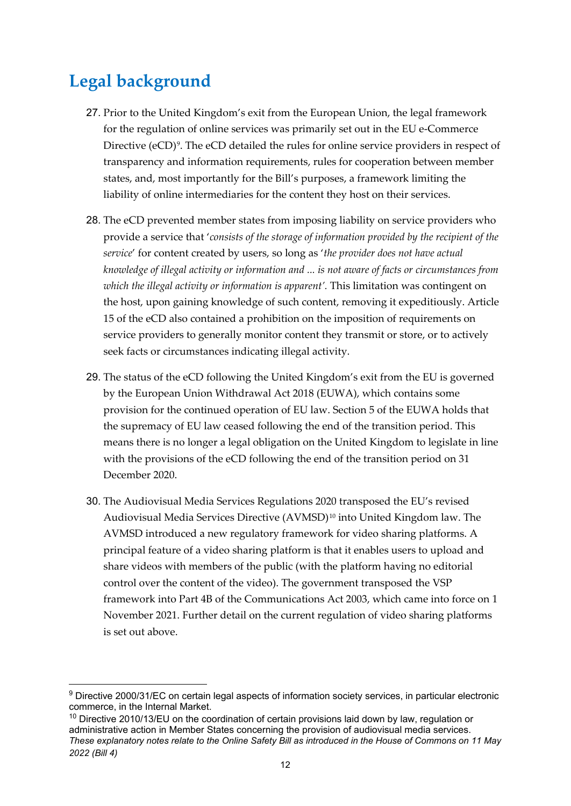# <span id="page-11-0"></span>**Legal background**

- 27. Prior to the United Kingdom's exit from the European Union, the legal framework for the regulation of online services was primarily set out in the EU e-Commerce Directive (eCD)<sup>9</sup>. The eCD detailed the rules for online service providers in respect of transparency and information requirements, rules for cooperation between member states, and, most importantly for the Bill's purposes, a framework limiting the liability of online intermediaries for the content they host on their services.
- 28. The eCD prevented member states from imposing liability on service providers who provide a service that '*consists of the storage of information provided by the recipient of the service*' for content created by users, so long as '*the provider does not have actual knowledge of illegal activity or information and ... is not aware of facts or circumstances from which the illegal activity or information is apparent'.* This limitation was contingent on the host, upon gaining knowledge of such content, removing it expeditiously. Article 15 of the eCD also contained a prohibition on the imposition of requirements on service providers to generally monitor content they transmit or store, or to actively seek facts or circumstances indicating illegal activity.
- 29. The status of the eCD following the United Kingdom's exit from the EU is governed by the European Union Withdrawal Act 2018 (EUWA), which contains some provision for the continued operation of EU law. Section 5 of the EUWA holds that the supremacy of EU law ceased following the end of the transition period. This means there is no longer a legal obligation on the United Kingdom to legislate in line with the provisions of the eCD following the end of the transition period on 31 December 2020.
- 30. The Audiovisual Media Services Regulations 2020 transposed the EU's revised Audiovisual Media Services Directive (AVMSD)<sup>[10](#page-11-2)</sup> into United Kingdom law. The AVMSD introduced a new regulatory framework for video sharing platforms. A principal feature of a video sharing platform is that it enables users to upload and share videos with members of the public (with the platform having no editorial control over the content of the video). The government transposed the VSP framework into Part 4B of the Communications Act 2003, which came into force on 1 November 2021. Further detail on the current regulation of video sharing platforms is set out above.

<span id="page-11-1"></span><sup>9</sup> Directive 2000/31/EC on certain legal aspects of information society services, in particular electronic commerce, in the Internal Market.

<span id="page-11-2"></span>*These explanatory notes relate to the Online Safety Bill as introduced in the House of Commons on 11 May 2022 (Bill 4)* <sup>10</sup> Directive 2010/13/EU on the coordination of certain provisions laid down by law, regulation or administrative action in Member States concerning the provision of audiovisual media services.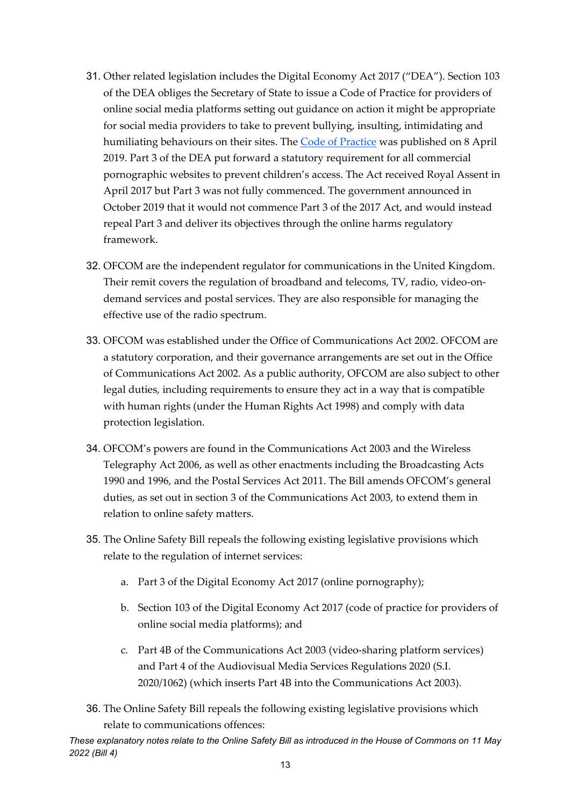- 31. Other related legislation includes the Digital Economy Act 2017 ("DEA"). Section 103 of the DEA obliges the Secretary of State to issue a Code of Practice for providers of online social media platforms setting out guidance on action it might be appropriate for social media providers to take to prevent bullying, insulting, intimidating and humiliating behaviours on their sites. The [Code of Practice](https://www.gov.uk/government/publications/code-of-practice-for-providers-of-online-social-media-platforms) was published on 8 April 2019. Part 3 of the DEA put forward a statutory requirement for all commercial pornographic websites to prevent children's access. The Act received Royal Assent in April 2017 but Part 3 was not fully commenced. The government announced in October 2019 that it would not commence Part 3 of the 2017 Act, and would instead repeal Part 3 and deliver its objectives through the online harms regulatory framework.
- 32. OFCOM are the independent regulator for communications in the United Kingdom. Their remit covers the regulation of broadband and telecoms, TV, radio, video-ondemand services and postal services. They are also responsible for managing the effective use of the radio spectrum.
- 33. OFCOM was established under the Office of Communications Act 2002. OFCOM are a statutory corporation, and their governance arrangements are set out in the Office of Communications Act 2002. As a public authority, OFCOM are also subject to other legal duties, including requirements to ensure they act in a way that is compatible with human rights (under the Human Rights Act 1998) and comply with data protection legislation.
- 34. OFCOM's powers are found in the Communications Act 2003 and the Wireless Telegraphy Act 2006, as well as other enactments including the Broadcasting Acts 1990 and 1996, and the Postal Services Act 2011. The Bill amends OFCOM's general duties, as set out in section 3 of the Communications Act 2003, to extend them in relation to online safety matters.
- 35. The Online Safety Bill repeals the following existing legislative provisions which relate to the regulation of internet services:
	- a. Part 3 of the Digital Economy Act 2017 (online pornography);
	- b. Section 103 of the Digital Economy Act 2017 (code of practice for providers of online social media platforms); and
	- c. Part 4B of the Communications Act 2003 (video-sharing platform services) and Part 4 of the Audiovisual Media Services Regulations 2020 (S.I. 2020/1062) (which inserts Part 4B into the Communications Act 2003).
- 36. The Online Safety Bill repeals the following existing legislative provisions which relate to communications offences: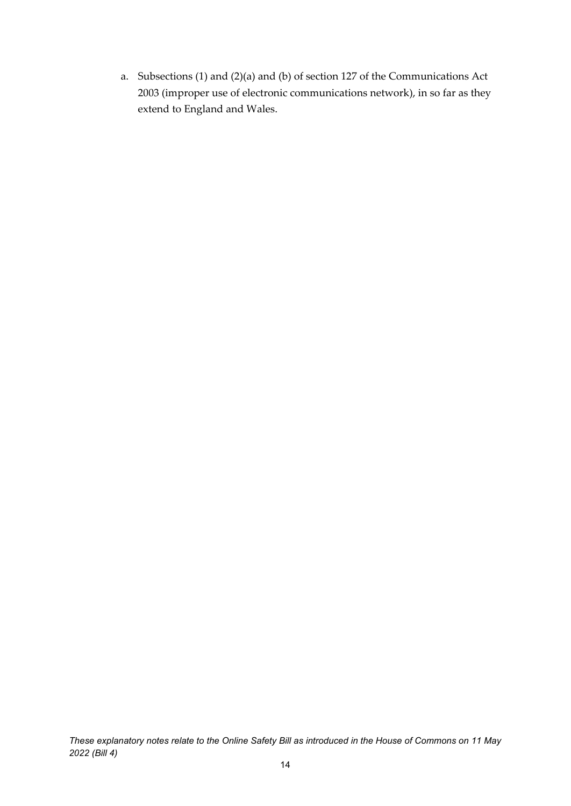a. Subsections (1) and (2)(a) and (b) of section 127 of the Communications Act 2003 (improper use of electronic communications network), in so far as they extend to England and Wales.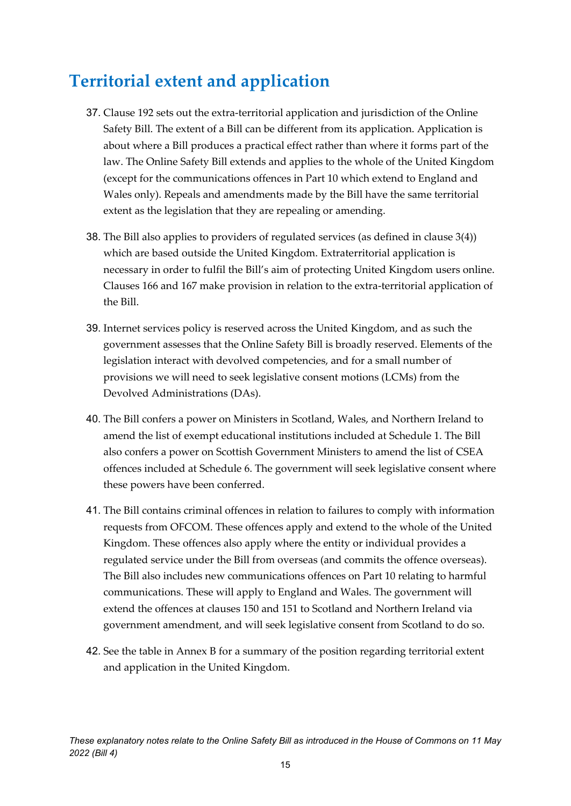# <span id="page-14-0"></span>**Territorial extent and application**

- 37. Clause 192 sets out the extra-territorial application and jurisdiction of the Online Safety Bill. The extent of a Bill can be different from its application. Application is about where a Bill produces a practical effect rather than where it forms part of the law. The Online Safety Bill extends and applies to the whole of the United Kingdom (except for the communications offences in Part 10 which extend to England and Wales only). Repeals and amendments made by the Bill have the same territorial extent as the legislation that they are repealing or amending.
- 38. The Bill also applies to providers of regulated services (as defined in clause 3(4)) which are based outside the United Kingdom. Extraterritorial application is necessary in order to fulfil the Bill's aim of protecting United Kingdom users online. Clauses 166 and 167 make provision in relation to the extra-territorial application of the Bill.
- 39. Internet services policy is reserved across the United Kingdom, and as such the government assesses that the Online Safety Bill is broadly reserved. Elements of the legislation interact with devolved competencies, and for a small number of provisions we will need to seek legislative consent motions (LCMs) from the Devolved Administrations (DAs).
- 40. The Bill confers a power on Ministers in Scotland, Wales, and Northern Ireland to amend the list of exempt educational institutions included at Schedule 1. The Bill also confers a power on Scottish Government Ministers to amend the list of CSEA offences included at Schedule 6. The government will seek legislative consent where these powers have been conferred.
- 41. The Bill contains criminal offences in relation to failures to comply with information requests from OFCOM. These offences apply and extend to the whole of the United Kingdom. These offences also apply where the entity or individual provides a regulated service under the Bill from overseas (and commits the offence overseas). The Bill also includes new communications offences on Part 10 relating to harmful communications. These will apply to England and Wales. The government will extend the offences at clauses 150 and 151 to Scotland and Northern Ireland via government amendment, and will seek legislative consent from Scotland to do so.
- 42. See the table in Annex B for a summary of the position regarding territorial extent and application in the United Kingdom.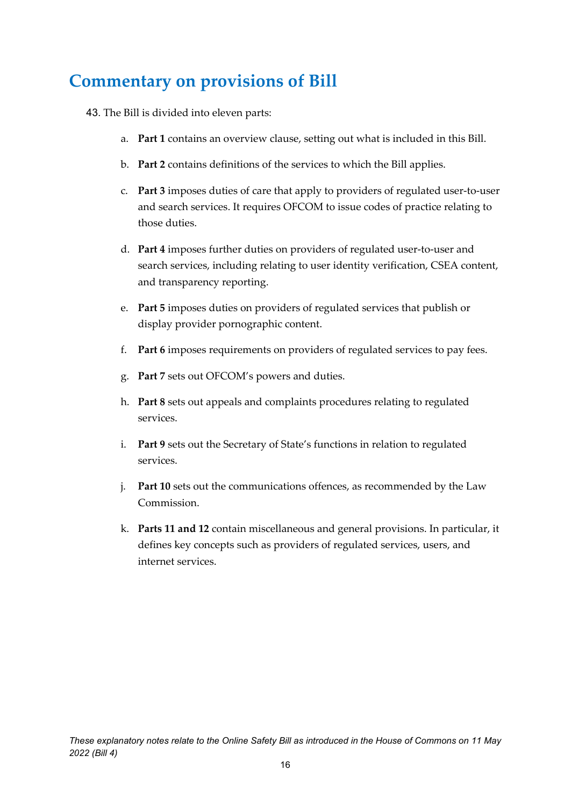# <span id="page-15-0"></span>**Commentary on provisions of Bill**

- 43. The Bill is divided into eleven parts:
	- a. **Part 1** contains an overview clause, setting out what is included in this Bill.
	- b. **Part 2** contains definitions of the services to which the Bill applies.
	- c. **Part 3** imposes duties of care that apply to providers of regulated user-to-user and search services. It requires OFCOM to issue codes of practice relating to those duties.
	- d. **Part 4** imposes further duties on providers of regulated user-to-user and search services, including relating to user identity verification, CSEA content, and transparency reporting.
	- e. **Part 5** imposes duties on providers of regulated services that publish or display provider pornographic content.
	- f. **Part 6** imposes requirements on providers of regulated services to pay fees.
	- g. **Part 7** sets out OFCOM's powers and duties.
	- h. **Part 8** sets out appeals and complaints procedures relating to regulated services.
	- i. **Part 9** sets out the Secretary of State's functions in relation to regulated services.
	- j. **Part 10** sets out the communications offences, as recommended by the Law Commission.
	- k. **Parts 11 and 12** contain miscellaneous and general provisions. In particular, it defines key concepts such as providers of regulated services, users, and internet services.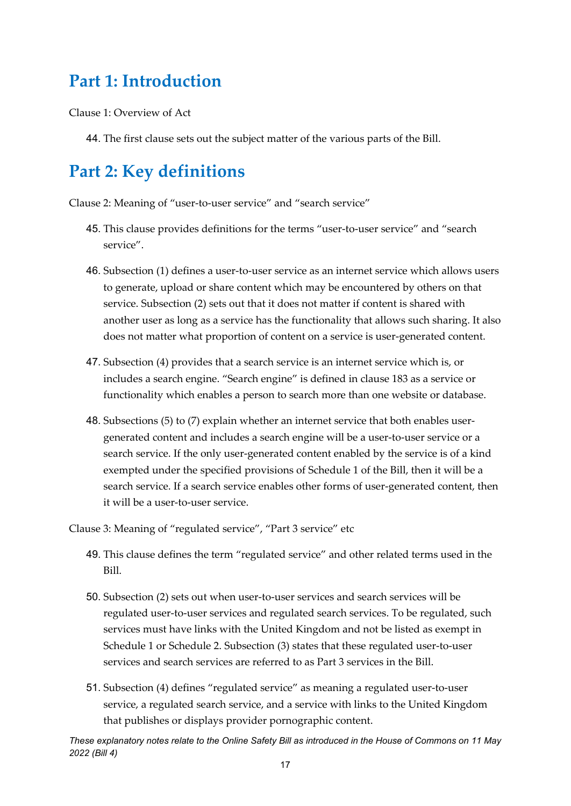## <span id="page-16-0"></span>**Part 1: Introduction**

Clause 1: Overview of Act

44. The first clause sets out the subject matter of the various parts of the Bill.

## <span id="page-16-1"></span>**Part 2: Key definitions**

Clause 2: Meaning of "user-to-user service" and "search service"

- 45. This clause provides definitions for the terms "user-to-user service" and "search service".
- 46. Subsection (1) defines a user-to-user service as an internet service which allows users to generate, upload or share content which may be encountered by others on that service. Subsection (2) sets out that it does not matter if content is shared with another user as long as a service has the functionality that allows such sharing. It also does not matter what proportion of content on a service is user-generated content.
- 47. Subsection (4) provides that a search service is an internet service which is, or includes a search engine. "Search engine" is defined in clause 183 as a service or functionality which enables a person to search more than one website or database.
- 48. Subsections (5) to (7) explain whether an internet service that both enables usergenerated content and includes a search engine will be a user-to-user service or a search service. If the only user-generated content enabled by the service is of a kind exempted under the specified provisions of Schedule 1 of the Bill, then it will be a search service. If a search service enables other forms of user-generated content, then it will be a user-to-user service.

Clause 3: Meaning of "regulated service", "Part 3 service" etc

- 49. This clause defines the term "regulated service" and other related terms used in the Bill.
- 50. Subsection (2) sets out when user-to-user services and search services will be regulated user-to-user services and regulated search services. To be regulated, such services must have links with the United Kingdom and not be listed as exempt in Schedule 1 or Schedule 2. Subsection (3) states that these regulated user-to-user services and search services are referred to as Part 3 services in the Bill.
- 51. Subsection (4) defines "regulated service" as meaning a regulated user-to-user service, a regulated search service, and a service with links to the United Kingdom that publishes or displays provider pornographic content.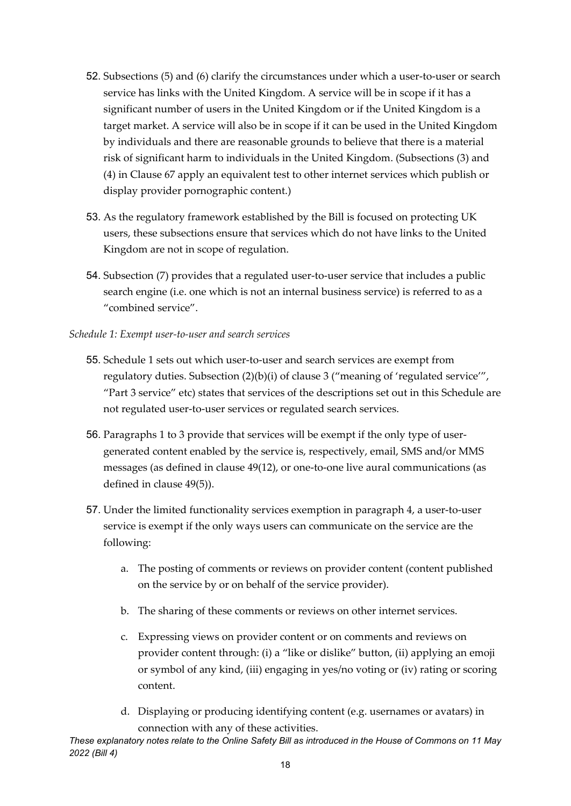- 52. Subsections (5) and (6) clarify the circumstances under which a user-to-user or search service has links with the United Kingdom. A service will be in scope if it has a significant number of users in the United Kingdom or if the United Kingdom is a target market. A service will also be in scope if it can be used in the United Kingdom by individuals and there are reasonable grounds to believe that there is a material risk of significant harm to individuals in the United Kingdom. (Subsections (3) and (4) in Clause 67 apply an equivalent test to other internet services which publish or display provider pornographic content.)
- 53. As the regulatory framework established by the Bill is focused on protecting UK users, these subsections ensure that services which do not have links to the United Kingdom are not in scope of regulation.
- 54. Subsection (7) provides that a regulated user-to-user service that includes a public search engine (i.e. one which is not an internal business service) is referred to as a "combined service".
- *Schedule 1: Exempt user-to-user and search services* 
	- 55. Schedule 1 sets out which user-to-user and search services are exempt from regulatory duties. Subsection (2)(b)(i) of clause 3 ("meaning of 'regulated service'", "Part 3 service" etc) states that services of the descriptions set out in this Schedule are not regulated user-to-user services or regulated search services.
	- 56. Paragraphs 1 to 3 provide that services will be exempt if the only type of usergenerated content enabled by the service is, respectively, email, SMS and/or MMS messages (as defined in clause 49(12), or one-to-one live aural communications (as defined in clause 49(5)).
	- 57. Under the limited functionality services exemption in paragraph 4, a user-to-user service is exempt if the only ways users can communicate on the service are the following:
		- a. The posting of comments or reviews on provider content (content published on the service by or on behalf of the service provider).
		- b. The sharing of these comments or reviews on other internet services.
		- c. Expressing views on provider content or on comments and reviews on provider content through: (i) a "like or dislike" button, (ii) applying an emoji or symbol of any kind, (iii) engaging in yes/no voting or (iv) rating or scoring content.
		- d. Displaying or producing identifying content (e.g. usernames or avatars) in connection with any of these activities.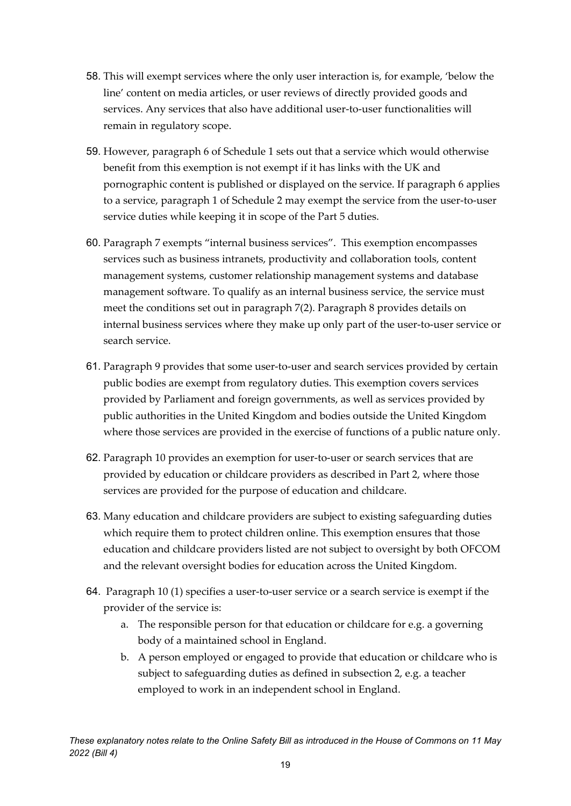- 58. This will exempt services where the only user interaction is, for example, 'below the line' content on media articles, or user reviews of directly provided goods and services. Any services that also have additional user-to-user functionalities will remain in regulatory scope.
- 59. However, paragraph 6 of Schedule 1 sets out that a service which would otherwise benefit from this exemption is not exempt if it has links with the UK and pornographic content is published or displayed on the service. If paragraph 6 applies to a service, paragraph 1 of Schedule 2 may exempt the service from the user-to-user service duties while keeping it in scope of the Part 5 duties.
- 60. Paragraph 7 exempts "internal business services". This exemption encompasses services such as business intranets, productivity and collaboration tools, content management systems, customer relationship management systems and database management software. To qualify as an internal business service, the service must meet the conditions set out in paragraph 7(2). Paragraph 8 provides details on internal business services where they make up only part of the user-to-user service or search service.
- 61. Paragraph 9 provides that some user-to-user and search services provided by certain public bodies are exempt from regulatory duties. This exemption covers services provided by Parliament and foreign governments, as well as services provided by public authorities in the United Kingdom and bodies outside the United Kingdom where those services are provided in the exercise of functions of a public nature only.
- 62. Paragraph 10 provides an exemption for user-to-user or search services that are provided by education or childcare providers as described in Part 2, where those services are provided for the purpose of education and childcare.
- 63. Many education and childcare providers are subject to existing safeguarding duties which require them to protect children online. This exemption ensures that those education and childcare providers listed are not subject to oversight by both OFCOM and the relevant oversight bodies for education across the United Kingdom.
- 64. Paragraph 10 (1) specifies a user-to-user service or a search service is exempt if the provider of the service is:
	- a. The responsible person for that education or childcare for e.g. a governing body of a maintained school in England.
	- b. A person employed or engaged to provide that education or childcare who is subject to safeguarding duties as defined in subsection 2, e.g. a teacher employed to work in an independent school in England.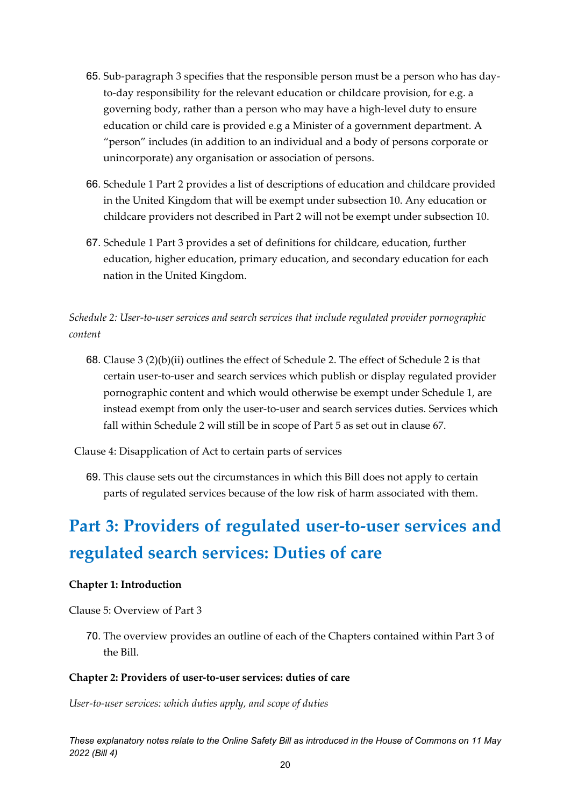- 65. Sub-paragraph 3 specifies that the responsible person must be a person who has dayto-day responsibility for the relevant education or childcare provision, for e.g. a governing body, rather than a person who may have a high-level duty to ensure education or child care is provided e.g a Minister of a government department. A "person" includes (in addition to an individual and a body of persons corporate or unincorporate) any organisation or association of persons.
- 66. Schedule 1 Part 2 provides a list of descriptions of education and childcare provided in the United Kingdom that will be exempt under subsection 10. Any education or childcare providers not described in Part 2 will not be exempt under subsection 10.
- 67. Schedule 1 Part 3 provides a set of definitions for childcare, education, further education, higher education, primary education, and secondary education for each nation in the United Kingdom.

*Schedule 2: User-to-user services and search services that include regulated provider pornographic content* 

68. Clause 3 (2)(b)(ii) outlines the effect of Schedule 2. The effect of Schedule 2 is that certain user-to-user and search services which publish or display regulated provider pornographic content and which would otherwise be exempt under Schedule 1, are instead exempt from only the user-to-user and search services duties. Services which fall within Schedule 2 will still be in scope of Part 5 as set out in clause 67.

Clause 4: Disapplication of Act to certain parts of services

69. This clause sets out the circumstances in which this Bill does not apply to certain parts of regulated services because of the low risk of harm associated with them.

# <span id="page-19-0"></span>**Part 3: Providers of regulated user-to-user services and regulated search services: Duties of care**

#### <span id="page-19-1"></span>**Chapter 1: Introduction**

Clause 5: Overview of Part 3

70. The overview provides an outline of each of the Chapters contained within Part 3 of the Bill.

#### <span id="page-19-2"></span>**Chapter 2: Providers of user-to-user services: duties of care**

*User-to-user services: which duties apply, and scope of duties*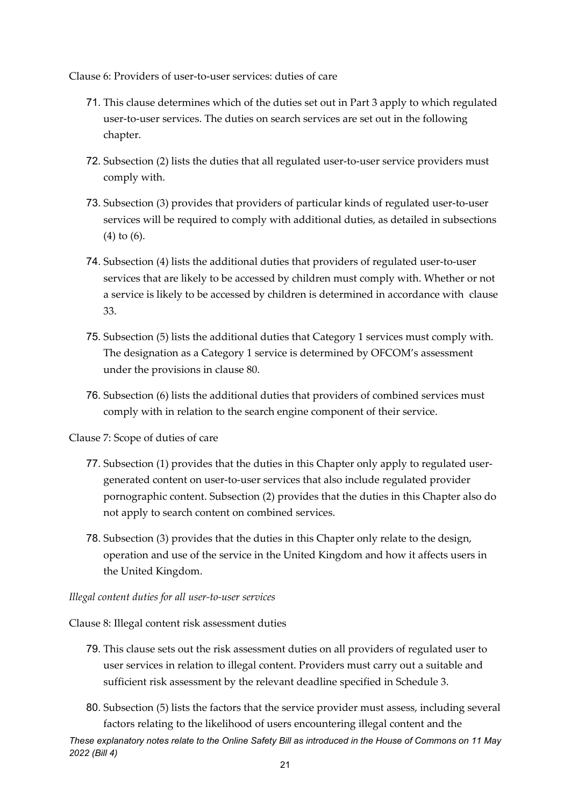Clause 6: Providers of user-to-user services: duties of care

- 71. This clause determines which of the duties set out in Part 3 apply to which regulated user-to-user services. The duties on search services are set out in the following chapter.
- 72. Subsection (2) lists the duties that all regulated user-to-user service providers must comply with.
- 73. Subsection (3) provides that providers of particular kinds of regulated user-to-user services will be required to comply with additional duties, as detailed in subsections (4) to (6).
- 74. Subsection (4) lists the additional duties that providers of regulated user-to-user services that are likely to be accessed by children must comply with. Whether or not a service is likely to be accessed by children is determined in accordance with clause 33.
- 75. Subsection (5) lists the additional duties that Category 1 services must comply with. The designation as a Category 1 service is determined by OFCOM's assessment under the provisions in clause 80.
- 76. Subsection (6) lists the additional duties that providers of combined services must comply with in relation to the search engine component of their service.

Clause 7: Scope of duties of care

- 77. Subsection (1) provides that the duties in this Chapter only apply to regulated usergenerated content on user-to-user services that also include regulated provider pornographic content. Subsection (2) provides that the duties in this Chapter also do not apply to search content on combined services.
- 78. Subsection (3) provides that the duties in this Chapter only relate to the design, operation and use of the service in the United Kingdom and how it affects users in the United Kingdom.

#### *Illegal content duties for all user-to-user services*

Clause 8: Illegal content risk assessment duties

- 79. This clause sets out the risk assessment duties on all providers of regulated user to user services in relation to illegal content. Providers must carry out a suitable and sufficient risk assessment by the relevant deadline specified in Schedule 3.
- 80. Subsection (5) lists the factors that the service provider must assess, including several factors relating to the likelihood of users encountering illegal content and the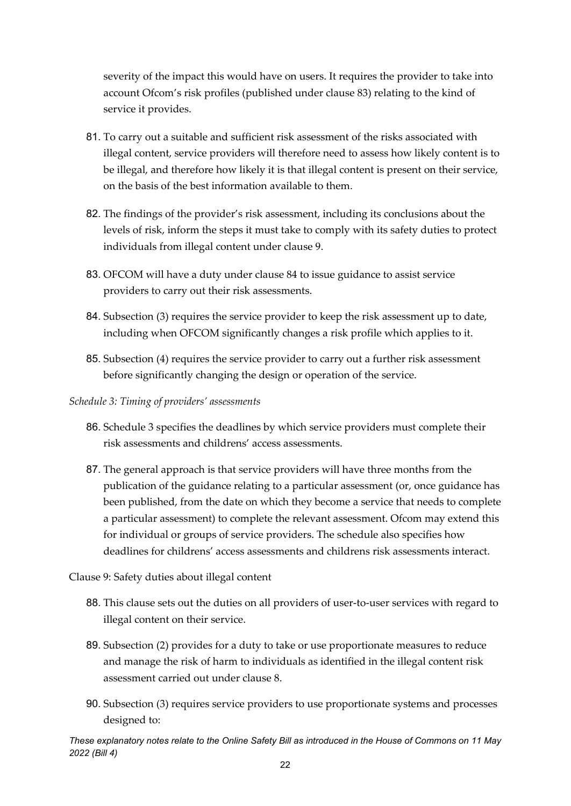severity of the impact this would have on users. It requires the provider to take into account Ofcom's risk profiles (published under clause 83) relating to the kind of service it provides.

- 81. To carry out a suitable and sufficient risk assessment of the risks associated with illegal content, service providers will therefore need to assess how likely content is to be illegal, and therefore how likely it is that illegal content is present on their service, on the basis of the best information available to them.
- 82. The findings of the provider's risk assessment, including its conclusions about the levels of risk, inform the steps it must take to comply with its safety duties to protect individuals from illegal content under clause 9.
- 83. OFCOM will have a duty under clause 84 to issue guidance to assist service providers to carry out their risk assessments.
- 84. Subsection (3) requires the service provider to keep the risk assessment up to date, including when OFCOM significantly changes a risk profile which applies to it.
- 85. Subsection (4) requires the service provider to carry out a further risk assessment before significantly changing the design or operation of the service.

#### *Schedule 3: Timing of providers' assessments*

- 86. Schedule 3 specifies the deadlines by which service providers must complete their risk assessments and childrens' access assessments.
- 87. The general approach is that service providers will have three months from the publication of the guidance relating to a particular assessment (or, once guidance has been published, from the date on which they become a service that needs to complete a particular assessment) to complete the relevant assessment. Ofcom may extend this for individual or groups of service providers. The schedule also specifies how deadlines for childrens' access assessments and childrens risk assessments interact.

#### Clause 9: Safety duties about illegal content

- 88. This clause sets out the duties on all providers of user-to-user services with regard to illegal content on their service.
- 89. Subsection (2) provides for a duty to take or use proportionate measures to reduce and manage the risk of harm to individuals as identified in the illegal content risk assessment carried out under clause 8.
- 90. Subsection (3) requires service providers to use proportionate systems and processes designed to: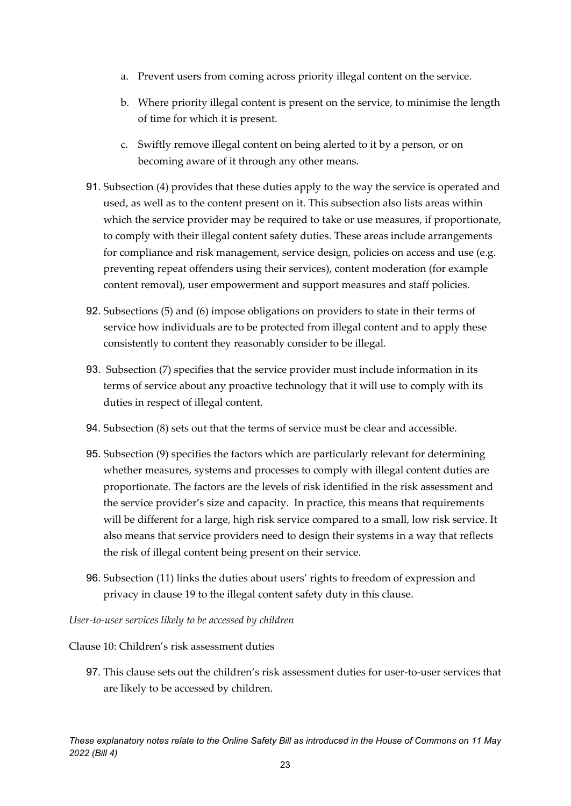- a. Prevent users from coming across priority illegal content on the service.
- b. Where priority illegal content is present on the service, to minimise the length of time for which it is present.
- c. Swiftly remove illegal content on being alerted to it by a person, or on becoming aware of it through any other means.
- 91. Subsection (4) provides that these duties apply to the way the service is operated and used, as well as to the content present on it. This subsection also lists areas within which the service provider may be required to take or use measures, if proportionate, to comply with their illegal content safety duties. These areas include arrangements for compliance and risk management, service design, policies on access and use (e.g. preventing repeat offenders using their services), content moderation (for example content removal), user empowerment and support measures and staff policies.
- 92. Subsections (5) and (6) impose obligations on providers to state in their terms of service how individuals are to be protected from illegal content and to apply these consistently to content they reasonably consider to be illegal.
- 93. Subsection (7) specifies that the service provider must include information in its terms of service about any proactive technology that it will use to comply with its duties in respect of illegal content.
- 94. Subsection (8) sets out that the terms of service must be clear and accessible.
- 95. Subsection (9) specifies the factors which are particularly relevant for determining whether measures, systems and processes to comply with illegal content duties are proportionate. The factors are the levels of risk identified in the risk assessment and the service provider's size and capacity. In practice, this means that requirements will be different for a large, high risk service compared to a small, low risk service. It also means that service providers need to design their systems in a way that reflects the risk of illegal content being present on their service.
- 96. Subsection (11) links the duties about users' rights to freedom of expression and privacy in clause 19 to the illegal content safety duty in this clause.

*User-to-user services likely to be accessed by children*

Clause 10: Children's risk assessment duties

97. This clause sets out the children's risk assessment duties for user-to-user services that are likely to be accessed by children.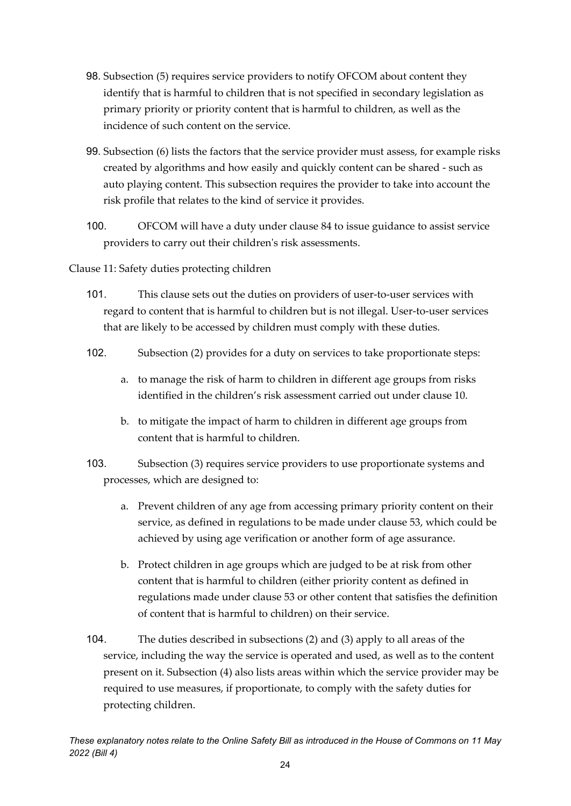- 98. Subsection (5) requires service providers to notify OFCOM about content they identify that is harmful to children that is not specified in secondary legislation as primary priority or priority content that is harmful to children, as well as the incidence of such content on the service.
- 99. Subsection (6) lists the factors that the service provider must assess, for example risks created by algorithms and how easily and quickly content can be shared - such as auto playing content. This subsection requires the provider to take into account the risk profile that relates to the kind of service it provides.
- 100. OFCOM will have a duty under clause 84 to issue guidance to assist service providers to carry out their children's risk assessments.
- Clause 11: Safety duties protecting children
	- 101. This clause sets out the duties on providers of user-to-user services with regard to content that is harmful to children but is not illegal. User-to-user services that are likely to be accessed by children must comply with these duties.
	- 102. Subsection (2) provides for a duty on services to take proportionate steps:
		- a. to manage the risk of harm to children in different age groups from risks identified in the children's risk assessment carried out under clause 10.
		- b. to mitigate the impact of harm to children in different age groups from content that is harmful to children.
	- 103. Subsection (3) requires service providers to use proportionate systems and processes, which are designed to:
		- a. Prevent children of any age from accessing primary priority content on their service, as defined in regulations to be made under clause 53, which could be achieved by using age verification or another form of age assurance.
		- b. Protect children in age groups which are judged to be at risk from other content that is harmful to children (either priority content as defined in regulations made under clause 53 or other content that satisfies the definition of content that is harmful to children) on their service.
	- 104. The duties described in subsections (2) and (3) apply to all areas of the service, including the way the service is operated and used, as well as to the content present on it. Subsection (4) also lists areas within which the service provider may be required to use measures, if proportionate, to comply with the safety duties for protecting children.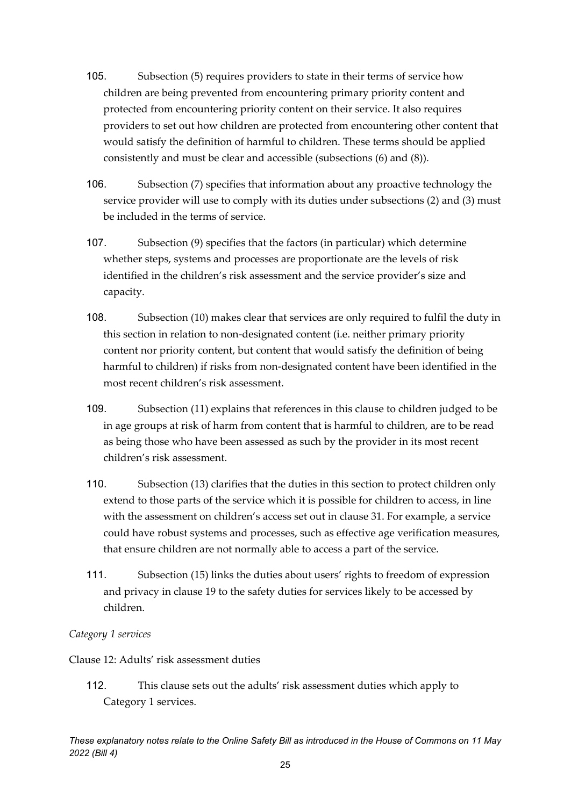- 105. Subsection (5) requires providers to state in their terms of service how children are being prevented from encountering primary priority content and protected from encountering priority content on their service. It also requires providers to set out how children are protected from encountering other content that would satisfy the definition of harmful to children. These terms should be applied consistently and must be clear and accessible (subsections (6) and (8)).
- 106. Subsection (7) specifies that information about any proactive technology the service provider will use to comply with its duties under subsections (2) and (3) must be included in the terms of service.
- 107. Subsection (9) specifies that the factors (in particular) which determine whether steps, systems and processes are proportionate are the levels of risk identified in the children's risk assessment and the service provider's size and capacity.
- 108. Subsection (10) makes clear that services are only required to fulfil the duty in this section in relation to non-designated content (i.e. neither primary priority content nor priority content, but content that would satisfy the definition of being harmful to children) if risks from non-designated content have been identified in the most recent children's risk assessment.
- 109. Subsection (11) explains that references in this clause to children judged to be in age groups at risk of harm from content that is harmful to children, are to be read as being those who have been assessed as such by the provider in its most recent children's risk assessment.
- 110. Subsection (13) clarifies that the duties in this section to protect children only extend to those parts of the service which it is possible for children to access, in line with the assessment on children's access set out in clause 31. For example, a service could have robust systems and processes, such as effective age verification measures, that ensure children are not normally able to access a part of the service.
- 111. Subsection (15) links the duties about users' rights to freedom of expression and privacy in clause 19 to the safety duties for services likely to be accessed by children.

#### *Category 1 services*

Clause 12: Adults' risk assessment duties

112. This clause sets out the adults' risk assessment duties which apply to Category 1 services.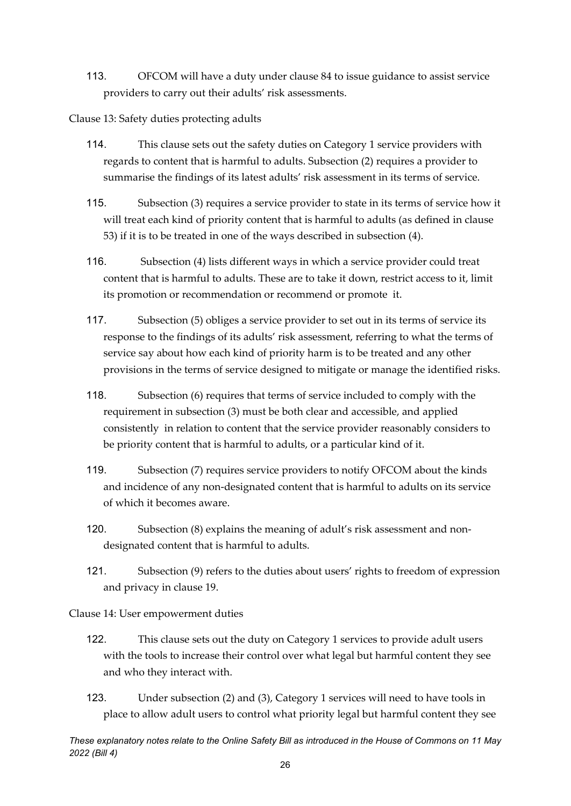113. OFCOM will have a duty under clause 84 to issue guidance to assist service providers to carry out their adults' risk assessments.

Clause 13: Safety duties protecting adults

- 114. This clause sets out the safety duties on Category 1 service providers with regards to content that is harmful to adults. Subsection (2) requires a provider to summarise the findings of its latest adults' risk assessment in its terms of service.
- 115. Subsection (3) requires a service provider to state in its terms of service how it will treat each kind of priority content that is harmful to adults (as defined in clause 53) if it is to be treated in one of the ways described in subsection (4).
- 116. Subsection (4) lists different ways in which a service provider could treat content that is harmful to adults. These are to take it down, restrict access to it, limit its promotion or recommendation or recommend or promote it.
- 117. Subsection (5) obliges a service provider to set out in its terms of service its response to the findings of its adults' risk assessment, referring to what the terms of service say about how each kind of priority harm is to be treated and any other provisions in the terms of service designed to mitigate or manage the identified risks.
- 118. Subsection (6) requires that terms of service included to comply with the requirement in subsection (3) must be both clear and accessible, and applied consistently in relation to content that the service provider reasonably considers to be priority content that is harmful to adults, or a particular kind of it.
- 119. Subsection (7) requires service providers to notify OFCOM about the kinds and incidence of any non-designated content that is harmful to adults on its service of which it becomes aware.
- 120. Subsection (8) explains the meaning of adult's risk assessment and nondesignated content that is harmful to adults.
- 121. Subsection (9) refers to the duties about users' rights to freedom of expression and privacy in clause 19.

Clause 14: User empowerment duties

- 122. This clause sets out the duty on Category 1 services to provide adult users with the tools to increase their control over what legal but harmful content they see and who they interact with.
- 123. Under subsection (2) and (3), Category 1 services will need to have tools in place to allow adult users to control what priority legal but harmful content they see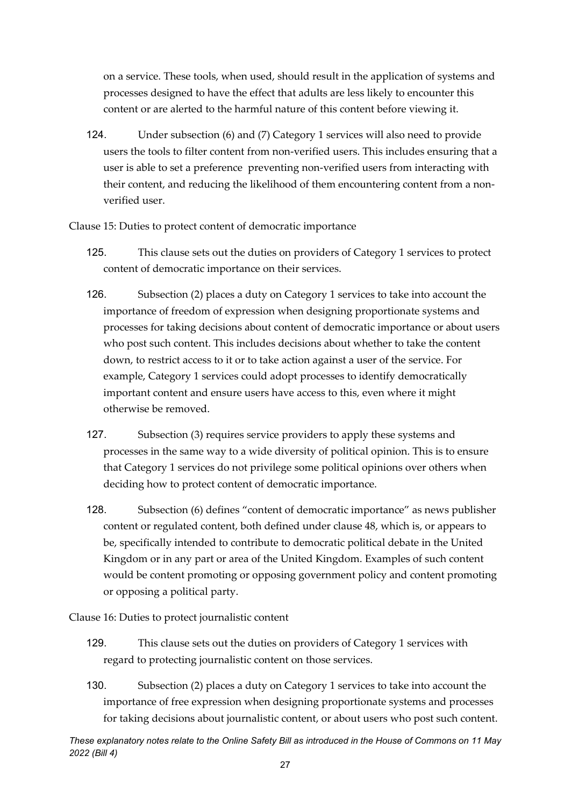on a service. These tools, when used, should result in the application of systems and processes designed to have the effect that adults are less likely to encounter this content or are alerted to the harmful nature of this content before viewing it.

124. Under subsection (6) and (7) Category 1 services will also need to provide users the tools to filter content from non-verified users. This includes ensuring that a user is able to set a preference preventing non-verified users from interacting with their content, and reducing the likelihood of them encountering content from a nonverified user.

Clause 15: Duties to protect content of democratic importance

- 125. This clause sets out the duties on providers of Category 1 services to protect content of democratic importance on their services.
- 126. Subsection (2) places a duty on Category 1 services to take into account the importance of freedom of expression when designing proportionate systems and processes for taking decisions about content of democratic importance or about users who post such content. This includes decisions about whether to take the content down, to restrict access to it or to take action against a user of the service. For example, Category 1 services could adopt processes to identify democratically important content and ensure users have access to this, even where it might otherwise be removed.
- 127. Subsection (3) requires service providers to apply these systems and processes in the same way to a wide diversity of political opinion. This is to ensure that Category 1 services do not privilege some political opinions over others when deciding how to protect content of democratic importance.
- 128. Subsection (6) defines "content of democratic importance" as news publisher content or regulated content, both defined under clause 48, which is, or appears to be, specifically intended to contribute to democratic political debate in the United Kingdom or in any part or area of the United Kingdom. Examples of such content would be content promoting or opposing government policy and content promoting or opposing a political party.

Clause 16: Duties to protect journalistic content

- 129. This clause sets out the duties on providers of Category 1 services with regard to protecting journalistic content on those services.
- 130. Subsection (2) places a duty on Category 1 services to take into account the importance of free expression when designing proportionate systems and processes for taking decisions about journalistic content, or about users who post such content.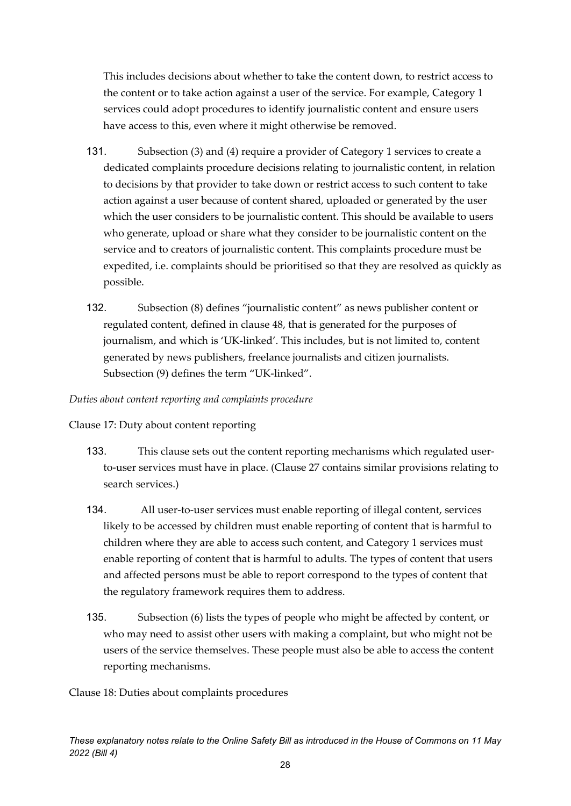This includes decisions about whether to take the content down, to restrict access to the content or to take action against a user of the service. For example, Category 1 services could adopt procedures to identify journalistic content and ensure users have access to this, even where it might otherwise be removed.

- 131. Subsection (3) and (4) require a provider of Category 1 services to create a dedicated complaints procedure decisions relating to journalistic content, in relation to decisions by that provider to take down or restrict access to such content to take action against a user because of content shared, uploaded or generated by the user which the user considers to be journalistic content. This should be available to users who generate, upload or share what they consider to be journalistic content on the service and to creators of journalistic content. This complaints procedure must be expedited, i.e. complaints should be prioritised so that they are resolved as quickly as possible.
- 132. Subsection (8) defines "journalistic content" as news publisher content or regulated content, defined in clause 48, that is generated for the purposes of journalism, and which is 'UK-linked'. This includes, but is not limited to, content generated by news publishers, freelance journalists and citizen journalists. Subsection (9) defines the term "UK-linked".

#### *Duties about content reporting and complaints procedure*

Clause 17: Duty about content reporting

- 133. This clause sets out the content reporting mechanisms which regulated userto-user services must have in place. (Clause 27 contains similar provisions relating to search services.)
- 134. All user-to-user services must enable reporting of illegal content, services likely to be accessed by children must enable reporting of content that is harmful to children where they are able to access such content, and Category 1 services must enable reporting of content that is harmful to adults. The types of content that users and affected persons must be able to report correspond to the types of content that the regulatory framework requires them to address.
- 135. Subsection (6) lists the types of people who might be affected by content, or who may need to assist other users with making a complaint, but who might not be users of the service themselves. These people must also be able to access the content reporting mechanisms.

Clause 18: Duties about complaints procedures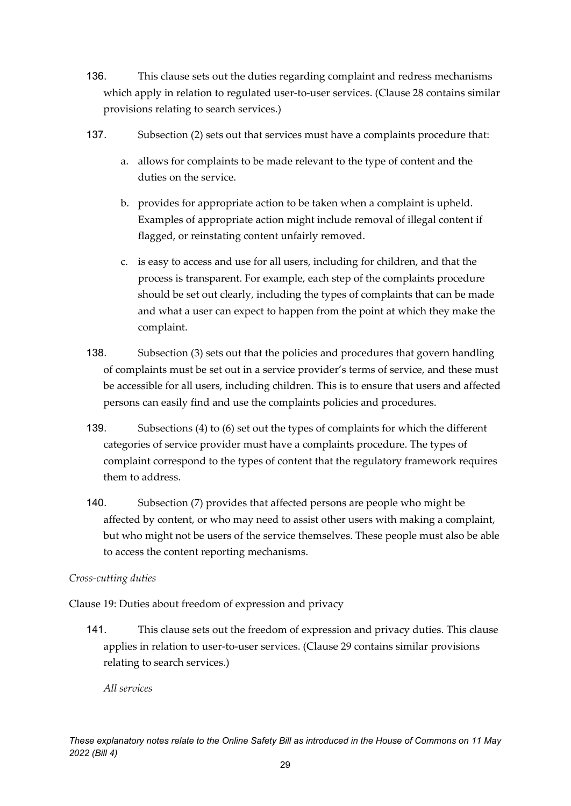- 136. This clause sets out the duties regarding complaint and redress mechanisms which apply in relation to regulated user-to-user services. (Clause 28 contains similar provisions relating to search services.)
- 137. Subsection (2) sets out that services must have a complaints procedure that:
	- a. allows for complaints to be made relevant to the type of content and the duties on the service.
	- b. provides for appropriate action to be taken when a complaint is upheld. Examples of appropriate action might include removal of illegal content if flagged, or reinstating content unfairly removed.
	- c. is easy to access and use for all users, including for children, and that the process is transparent. For example, each step of the complaints procedure should be set out clearly, including the types of complaints that can be made and what a user can expect to happen from the point at which they make the complaint.
- 138. Subsection (3) sets out that the policies and procedures that govern handling of complaints must be set out in a service provider's terms of service, and these must be accessible for all users, including children. This is to ensure that users and affected persons can easily find and use the complaints policies and procedures.
- 139. Subsections (4) to (6) set out the types of complaints for which the different categories of service provider must have a complaints procedure. The types of complaint correspond to the types of content that the regulatory framework requires them to address.
- 140. Subsection (7) provides that affected persons are people who might be affected by content, or who may need to assist other users with making a complaint, but who might not be users of the service themselves. These people must also be able to access the content reporting mechanisms.

#### *Cross-cutting duties*

Clause 19: Duties about freedom of expression and privacy

141. This clause sets out the freedom of expression and privacy duties. This clause applies in relation to user-to-user services. (Clause 29 contains similar provisions relating to search services.)

*All services*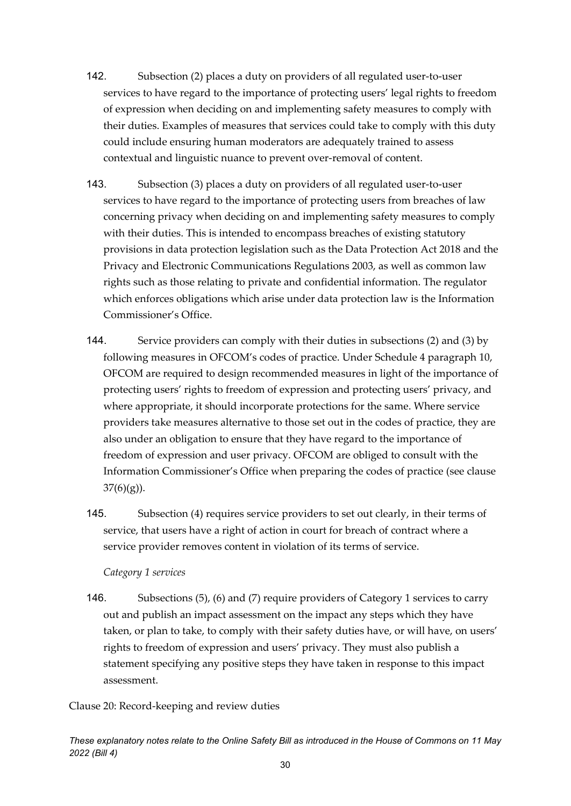- 142. Subsection (2) places a duty on providers of all regulated user-to-user services to have regard to the importance of protecting users' legal rights to freedom of expression when deciding on and implementing safety measures to comply with their duties. Examples of measures that services could take to comply with this duty could include ensuring human moderators are adequately trained to assess contextual and linguistic nuance to prevent over-removal of content.
- 143. Subsection (3) places a duty on providers of all regulated user-to-user services to have regard to the importance of protecting users from breaches of law concerning privacy when deciding on and implementing safety measures to comply with their duties. This is intended to encompass breaches of existing statutory provisions in data protection legislation such as the Data Protection Act 2018 and the Privacy and Electronic Communications Regulations 2003, as well as common law rights such as those relating to private and confidential information. The regulator which enforces obligations which arise under data protection law is the Information Commissioner's Office.
- 144. Service providers can comply with their duties in subsections (2) and (3) by following measures in OFCOM's codes of practice. Under Schedule 4 paragraph 10, OFCOM are required to design recommended measures in light of the importance of protecting users' rights to freedom of expression and protecting users' privacy, and where appropriate, it should incorporate protections for the same. Where service providers take measures alternative to those set out in the codes of practice, they are also under an obligation to ensure that they have regard to the importance of freedom of expression and user privacy. OFCOM are obliged to consult with the Information Commissioner's Office when preparing the codes of practice (see clause  $37(6)(g)$ ).
- 145. Subsection (4) requires service providers to set out clearly, in their terms of service, that users have a right of action in court for breach of contract where a service provider removes content in violation of its terms of service.

#### *Category 1 services*

146. Subsections (5), (6) and (7) require providers of Category 1 services to carry out and publish an impact assessment on the impact any steps which they have taken, or plan to take, to comply with their safety duties have, or will have, on users' rights to freedom of expression and users' privacy. They must also publish a statement specifying any positive steps they have taken in response to this impact assessment.

Clause 20: Record-keeping and review duties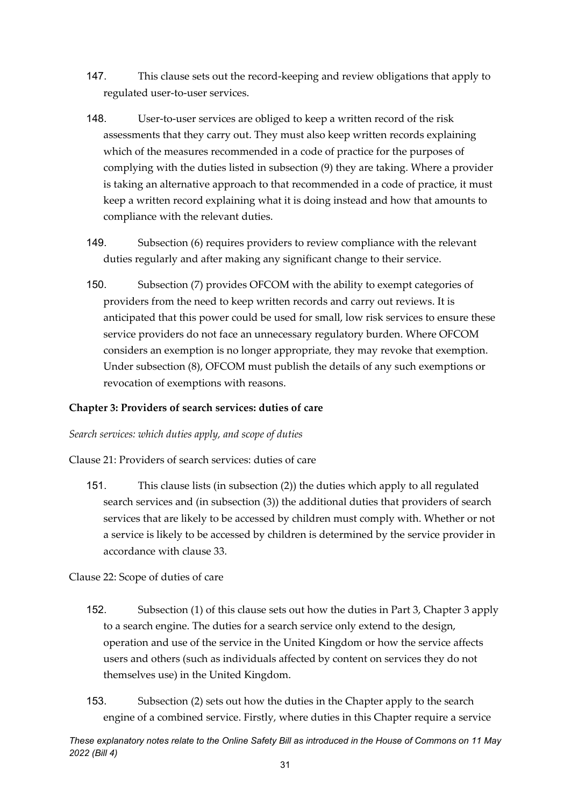- 147. This clause sets out the record-keeping and review obligations that apply to regulated user-to-user services.
- 148. User-to-user services are obliged to keep a written record of the risk assessments that they carry out. They must also keep written records explaining which of the measures recommended in a code of practice for the purposes of complying with the duties listed in subsection (9) they are taking. Where a provider is taking an alternative approach to that recommended in a code of practice, it must keep a written record explaining what it is doing instead and how that amounts to compliance with the relevant duties.
- 149. Subsection (6) requires providers to review compliance with the relevant duties regularly and after making any significant change to their service.
- 150. Subsection (7) provides OFCOM with the ability to exempt categories of providers from the need to keep written records and carry out reviews. It is anticipated that this power could be used for small, low risk services to ensure these service providers do not face an unnecessary regulatory burden. Where OFCOM considers an exemption is no longer appropriate, they may revoke that exemption. Under subsection (8), OFCOM must publish the details of any such exemptions or revocation of exemptions with reasons.

#### <span id="page-30-0"></span>**Chapter 3: Providers of search services: duties of care**

*Search services: which duties apply, and scope of duties*

Clause 21: Providers of search services: duties of care

151. This clause lists (in subsection (2)) the duties which apply to all regulated search services and (in subsection (3)) the additional duties that providers of search services that are likely to be accessed by children must comply with. Whether or not a service is likely to be accessed by children is determined by the service provider in accordance with clause 33.

Clause 22: Scope of duties of care

- 152. Subsection (1) of this clause sets out how the duties in Part 3, Chapter 3 apply to a search engine. The duties for a search service only extend to the design, operation and use of the service in the United Kingdom or how the service affects users and others (such as individuals affected by content on services they do not themselves use) in the United Kingdom.
- 153. Subsection (2) sets out how the duties in the Chapter apply to the search engine of a combined service. Firstly, where duties in this Chapter require a service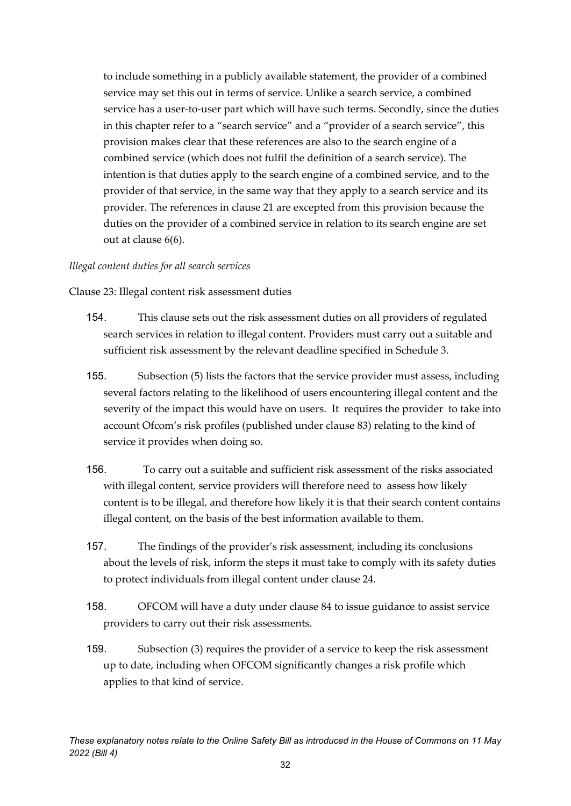to include something in a publicly available statement, the provider of a combined service may set this out in terms of service. Unlike a search service, a combined service has a user-to-user part which will have such terms. Secondly, since the duties in this chapter refer to a "search service" and a "provider of a search service", this provision makes clear that these references are also to the search engine of a combined service (which does not fulfil the definition of a search service). The intention is that duties apply to the search engine of a combined service, and to the provider of that service, in the same way that they apply to a search service and its provider. The references in clause 21 are excepted from this provision because the duties on the provider of a combined service in relation to its search engine are set out at clause 6(6).

#### *Illegal content duties for all search services*

Clause 23: Illegal content risk assessment duties

- 154. This clause sets out the risk assessment duties on all providers of regulated search services in relation to illegal content. Providers must carry out a suitable and sufficient risk assessment by the relevant deadline specified in Schedule 3.
- 155. Subsection (5) lists the factors that the service provider must assess, including several factors relating to the likelihood of users encountering illegal content and the severity of the impact this would have on users. It requires the provider to take into account Ofcom's risk profiles (published under clause 83) relating to the kind of service it provides when doing so.
- 156. To carry out a suitable and sufficient risk assessment of the risks associated with illegal content, service providers will therefore need to assess how likely content is to be illegal, and therefore how likely it is that their search content contains illegal content, on the basis of the best information available to them.
- 157. The findings of the provider's risk assessment, including its conclusions about the levels of risk, inform the steps it must take to comply with its safety duties to protect individuals from illegal content under clause 24.
- 158. OFCOM will have a duty under clause 84 to issue guidance to assist service providers to carry out their risk assessments.
- 159. Subsection (3) requires the provider of a service to keep the risk assessment up to date, including when OFCOM significantly changes a risk profile which applies to that kind of service.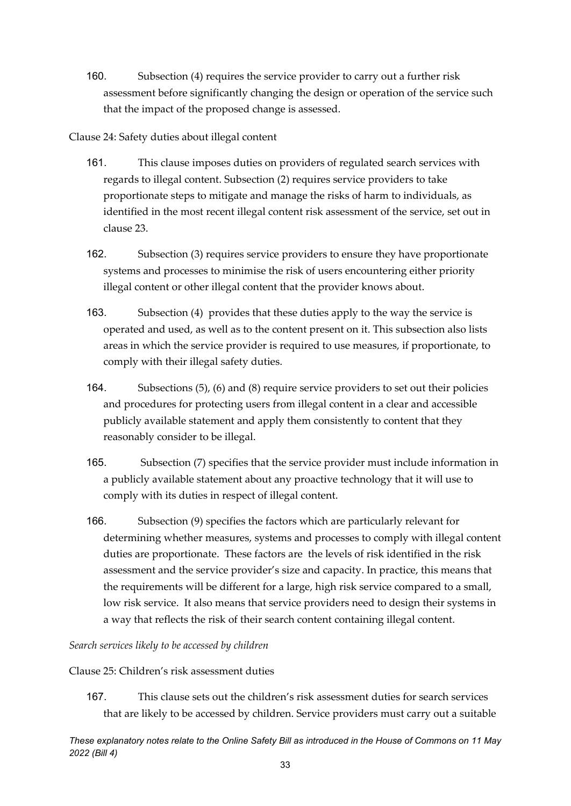160. Subsection (4) requires the service provider to carry out a further risk assessment before significantly changing the design or operation of the service such that the impact of the proposed change is assessed.

#### Clause 24: Safety duties about illegal content

- 161. This clause imposes duties on providers of regulated search services with regards to illegal content. Subsection (2) requires service providers to take proportionate steps to mitigate and manage the risks of harm to individuals, as identified in the most recent illegal content risk assessment of the service, set out in clause 23.
- 162. Subsection (3) requires service providers to ensure they have proportionate systems and processes to minimise the risk of users encountering either priority illegal content or other illegal content that the provider knows about.
- 163. Subsection (4) provides that these duties apply to the way the service is operated and used, as well as to the content present on it. This subsection also lists areas in which the service provider is required to use measures, if proportionate, to comply with their illegal safety duties.
- 164. Subsections (5), (6) and (8) require service providers to set out their policies and procedures for protecting users from illegal content in a clear and accessible publicly available statement and apply them consistently to content that they reasonably consider to be illegal.
- 165. Subsection (7) specifies that the service provider must include information in a publicly available statement about any proactive technology that it will use to comply with its duties in respect of illegal content.
- 166. Subsection (9) specifies the factors which are particularly relevant for determining whether measures, systems and processes to comply with illegal content duties are proportionate. These factors are the levels of risk identified in the risk assessment and the service provider's size and capacity. In practice, this means that the requirements will be different for a large, high risk service compared to a small, low risk service. It also means that service providers need to design their systems in a way that reflects the risk of their search content containing illegal content.

#### *Search services likely to be accessed by children*

#### Clause 25: Children's risk assessment duties

167. This clause sets out the children's risk assessment duties for search services that are likely to be accessed by children. Service providers must carry out a suitable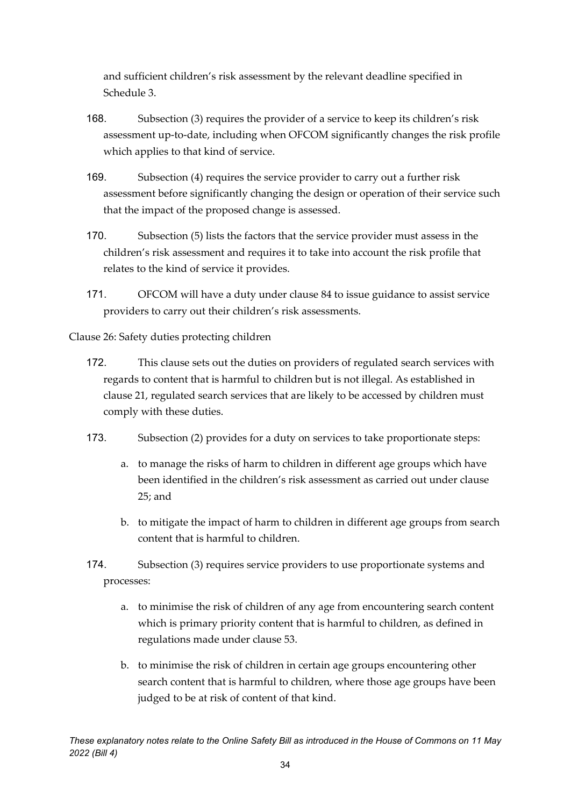and sufficient children's risk assessment by the relevant deadline specified in Schedule 3.

- 168. Subsection (3) requires the provider of a service to keep its children's risk assessment up-to-date, including when OFCOM significantly changes the risk profile which applies to that kind of service.
- 169. Subsection (4) requires the service provider to carry out a further risk assessment before significantly changing the design or operation of their service such that the impact of the proposed change is assessed.
- 170. Subsection (5) lists the factors that the service provider must assess in the children's risk assessment and requires it to take into account the risk profile that relates to the kind of service it provides.
- 171. OFCOM will have a duty under clause 84 to issue guidance to assist service providers to carry out their children's risk assessments.

Clause 26: Safety duties protecting children

- 172. This clause sets out the duties on providers of regulated search services with regards to content that is harmful to children but is not illegal. As established in clause 21, regulated search services that are likely to be accessed by children must comply with these duties.
- 173. Subsection (2) provides for a duty on services to take proportionate steps:
	- a. to manage the risks of harm to children in different age groups which have been identified in the children's risk assessment as carried out under clause 25; and
	- b. to mitigate the impact of harm to children in different age groups from search content that is harmful to children.

174. Subsection (3) requires service providers to use proportionate systems and processes:

- a. to minimise the risk of children of any age from encountering search content which is primary priority content that is harmful to children, as defined in regulations made under clause 53.
- b. to minimise the risk of children in certain age groups encountering other search content that is harmful to children, where those age groups have been judged to be at risk of content of that kind.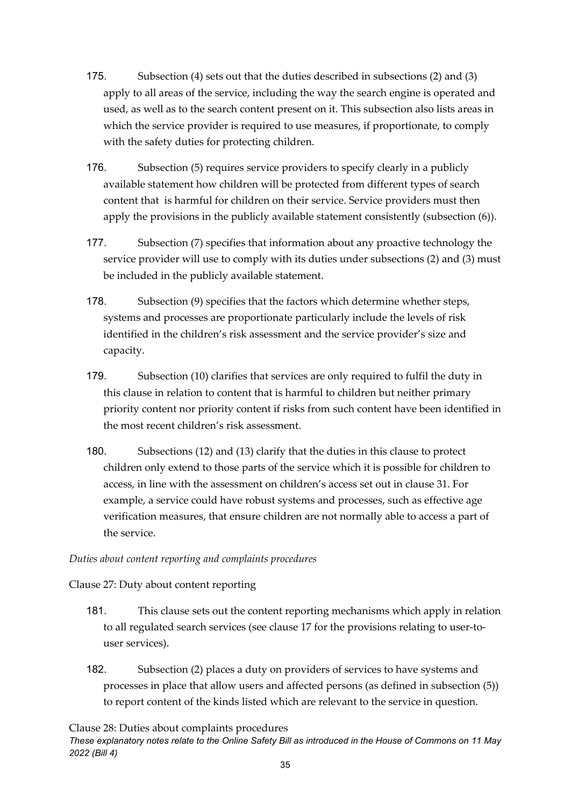- 175. Subsection (4) sets out that the duties described in subsections (2) and (3) apply to all areas of the service, including the way the search engine is operated and used, as well as to the search content present on it. This subsection also lists areas in which the service provider is required to use measures, if proportionate, to comply with the safety duties for protecting children.
- 176. Subsection (5) requires service providers to specify clearly in a publicly available statement how children will be protected from different types of search content that is harmful for children on their service. Service providers must then apply the provisions in the publicly available statement consistently (subsection (6)).
- 177. Subsection (7) specifies that information about any proactive technology the service provider will use to comply with its duties under subsections (2) and (3) must be included in the publicly available statement.
- 178. Subsection (9) specifies that the factors which determine whether steps, systems and processes are proportionate particularly include the levels of risk identified in the children's risk assessment and the service provider's size and capacity.
- 179. Subsection (10) clarifies that services are only required to fulfil the duty in this clause in relation to content that is harmful to children but neither primary priority content nor priority content if risks from such content have been identified in the most recent children's risk assessment.
- 180. Subsections (12) and (13) clarify that the duties in this clause to protect children only extend to those parts of the service which it is possible for children to access, in line with the assessment on children's access set out in clause 31. For example, a service could have robust systems and processes, such as effective age verification measures, that ensure children are not normally able to access a part of the service.

#### *Duties about content reporting and complaints procedures*

Clause 27: Duty about content reporting

- 181. This clause sets out the content reporting mechanisms which apply in relation to all regulated search services (see clause 17 for the provisions relating to user-touser services).
- 182. Subsection (2) places a duty on providers of services to have systems and processes in place that allow users and affected persons (as defined in subsection (5)) to report content of the kinds listed which are relevant to the service in question.

Clause 28: Duties about complaints procedures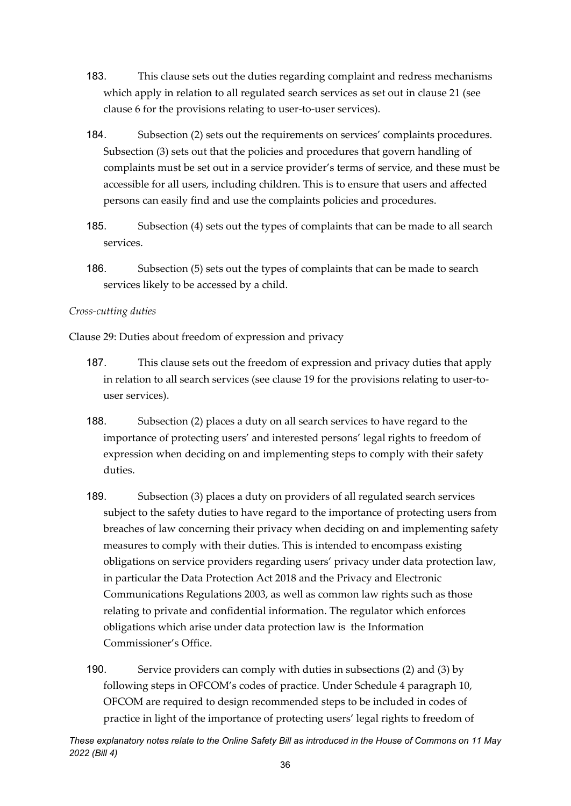- 183. This clause sets out the duties regarding complaint and redress mechanisms which apply in relation to all regulated search services as set out in clause 21 (see clause 6 for the provisions relating to user-to-user services).
- 184. Subsection (2) sets out the requirements on services' complaints procedures. Subsection (3) sets out that the policies and procedures that govern handling of complaints must be set out in a service provider's terms of service, and these must be accessible for all users, including children. This is to ensure that users and affected persons can easily find and use the complaints policies and procedures.
- 185. Subsection (4) sets out the types of complaints that can be made to all search services.
- 186. Subsection (5) sets out the types of complaints that can be made to search services likely to be accessed by a child.

#### *Cross-cutting duties*

Clause 29: Duties about freedom of expression and privacy

- 187. This clause sets out the freedom of expression and privacy duties that apply in relation to all search services (see clause 19 for the provisions relating to user-touser services).
- 188. Subsection (2) places a duty on all search services to have regard to the importance of protecting users' and interested persons' legal rights to freedom of expression when deciding on and implementing steps to comply with their safety duties.
- 189. Subsection (3) places a duty on providers of all regulated search services subject to the safety duties to have regard to the importance of protecting users from breaches of law concerning their privacy when deciding on and implementing safety measures to comply with their duties. This is intended to encompass existing obligations on service providers regarding users' privacy under data protection law, in particular the Data Protection Act 2018 and the Privacy and Electronic Communications Regulations 2003, as well as common law rights such as those relating to private and confidential information. The regulator which enforces obligations which arise under data protection law is the Information Commissioner's Office.
- 190. Service providers can comply with duties in subsections (2) and (3) by following steps in OFCOM's codes of practice. Under Schedule 4 paragraph 10, OFCOM are required to design recommended steps to be included in codes of practice in light of the importance of protecting users' legal rights to freedom of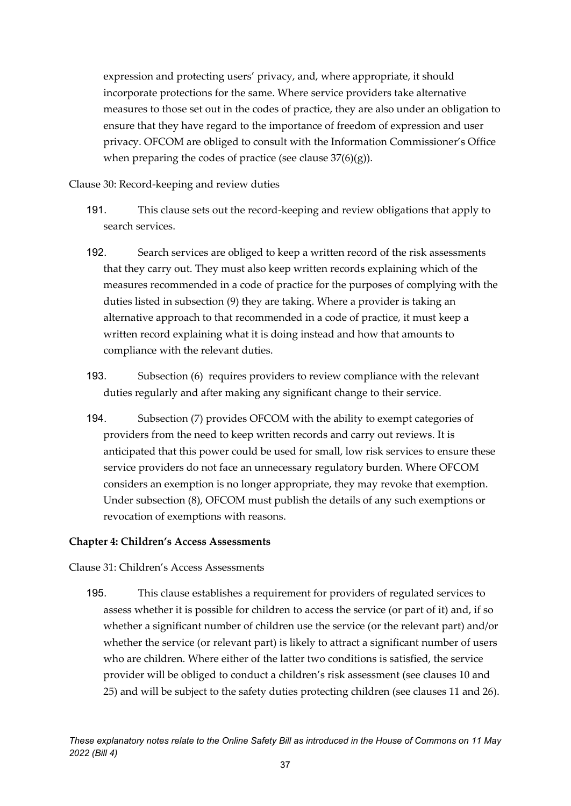expression and protecting users' privacy, and, where appropriate, it should incorporate protections for the same. Where service providers take alternative measures to those set out in the codes of practice, they are also under an obligation to ensure that they have regard to the importance of freedom of expression and user privacy. OFCOM are obliged to consult with the Information Commissioner's Office when preparing the codes of practice (see clause  $37(6)(g)$ ).

Clause 30: Record-keeping and review duties

- 191. This clause sets out the record-keeping and review obligations that apply to search services.
- 192. Search services are obliged to keep a written record of the risk assessments that they carry out. They must also keep written records explaining which of the measures recommended in a code of practice for the purposes of complying with the duties listed in subsection (9) they are taking. Where a provider is taking an alternative approach to that recommended in a code of practice, it must keep a written record explaining what it is doing instead and how that amounts to compliance with the relevant duties.
- 193. Subsection (6) requires providers to review compliance with the relevant duties regularly and after making any significant change to their service.
- 194. Subsection (7) provides OFCOM with the ability to exempt categories of providers from the need to keep written records and carry out reviews. It is anticipated that this power could be used for small, low risk services to ensure these service providers do not face an unnecessary regulatory burden. Where OFCOM considers an exemption is no longer appropriate, they may revoke that exemption. Under subsection (8), OFCOM must publish the details of any such exemptions or revocation of exemptions with reasons.

# **Chapter 4: Children's Access Assessments**

Clause 31: Children's Access Assessments

195. This clause establishes a requirement for providers of regulated services to assess whether it is possible for children to access the service (or part of it) and, if so whether a significant number of children use the service (or the relevant part) and/or whether the service (or relevant part) is likely to attract a significant number of users who are children. Where either of the latter two conditions is satisfied, the service provider will be obliged to conduct a children's risk assessment (see clauses 10 and 25) and will be subject to the safety duties protecting children (see clauses 11 and 26).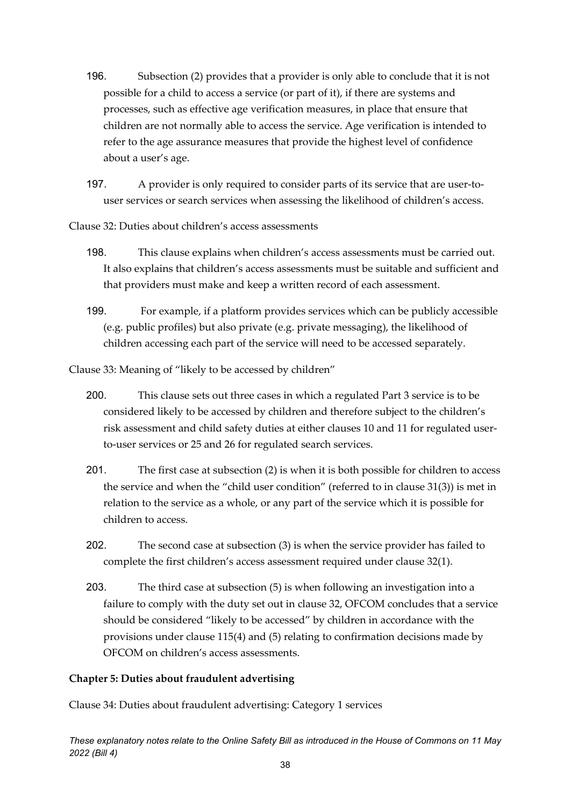- 196. Subsection (2) provides that a provider is only able to conclude that it is not possible for a child to access a service (or part of it), if there are systems and processes, such as effective age verification measures, in place that ensure that children are not normally able to access the service. Age verification is intended to refer to the age assurance measures that provide the highest level of confidence about a user's age.
- 197. A provider is only required to consider parts of its service that are user-touser services or search services when assessing the likelihood of children's access.

Clause 32: Duties about children's access assessments

- 198. This clause explains when children's access assessments must be carried out. It also explains that children's access assessments must be suitable and sufficient and that providers must make and keep a written record of each assessment.
- 199. For example, if a platform provides services which can be publicly accessible (e.g. public profiles) but also private (e.g. private messaging), the likelihood of children accessing each part of the service will need to be accessed separately.

Clause 33: Meaning of "likely to be accessed by children"

- 200. This clause sets out three cases in which a regulated Part 3 service is to be considered likely to be accessed by children and therefore subject to the children's risk assessment and child safety duties at either clauses 10 and 11 for regulated userto-user services or 25 and 26 for regulated search services.
- 201. The first case at subsection (2) is when it is both possible for children to access the service and when the "child user condition" (referred to in clause 31(3)) is met in relation to the service as a whole, or any part of the service which it is possible for children to access.
- 202. The second case at subsection (3) is when the service provider has failed to complete the first children's access assessment required under clause 32(1).
- 203. The third case at subsection (5) is when following an investigation into a failure to comply with the duty set out in clause 32, OFCOM concludes that a service should be considered "likely to be accessed" by children in accordance with the provisions under clause 115(4) and (5) relating to confirmation decisions made by OFCOM on children's access assessments.

# **Chapter 5: Duties about fraudulent advertising**

Clause 34: Duties about fraudulent advertising: Category 1 services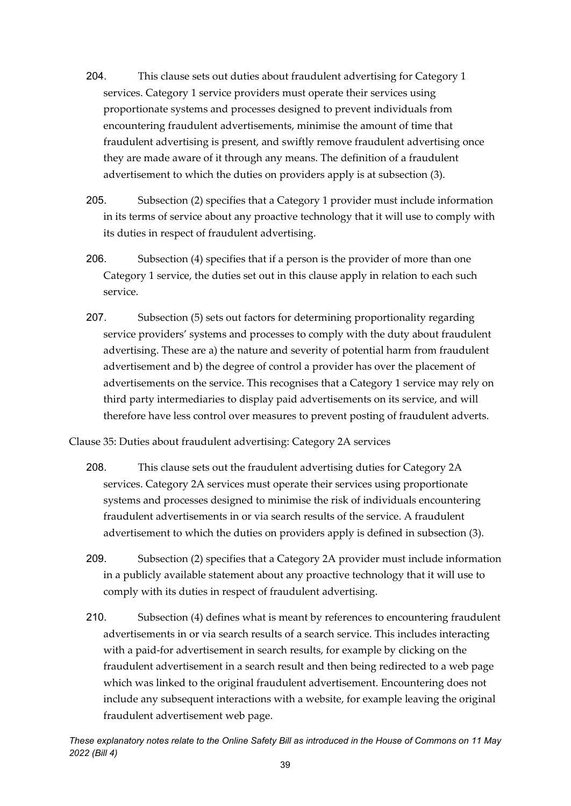- 204. This clause sets out duties about fraudulent advertising for Category 1 services. Category 1 service providers must operate their services using proportionate systems and processes designed to prevent individuals from encountering fraudulent advertisements, minimise the amount of time that fraudulent advertising is present, and swiftly remove fraudulent advertising once they are made aware of it through any means. The definition of a fraudulent advertisement to which the duties on providers apply is at subsection (3).
- 205. Subsection (2) specifies that a Category 1 provider must include information in its terms of service about any proactive technology that it will use to comply with its duties in respect of fraudulent advertising.
- 206. Subsection (4) specifies that if a person is the provider of more than one Category 1 service, the duties set out in this clause apply in relation to each such service.
- 207. Subsection (5) sets out factors for determining proportionality regarding service providers' systems and processes to comply with the duty about fraudulent advertising. These are a) the nature and severity of potential harm from fraudulent advertisement and b) the degree of control a provider has over the placement of advertisements on the service. This recognises that a Category 1 service may rely on third party intermediaries to display paid advertisements on its service, and will therefore have less control over measures to prevent posting of fraudulent adverts.

Clause 35: Duties about fraudulent advertising: Category 2A services

- 208. This clause sets out the fraudulent advertising duties for Category 2A services. Category 2A services must operate their services using proportionate systems and processes designed to minimise the risk of individuals encountering fraudulent advertisements in or via search results of the service. A fraudulent advertisement to which the duties on providers apply is defined in subsection (3).
- 209. Subsection (2) specifies that a Category 2A provider must include information in a publicly available statement about any proactive technology that it will use to comply with its duties in respect of fraudulent advertising.
- 210. Subsection (4) defines what is meant by references to encountering fraudulent advertisements in or via search results of a search service. This includes interacting with a paid-for advertisement in search results, for example by clicking on the fraudulent advertisement in a search result and then being redirected to a web page which was linked to the original fraudulent advertisement. Encountering does not include any subsequent interactions with a website, for example leaving the original fraudulent advertisement web page.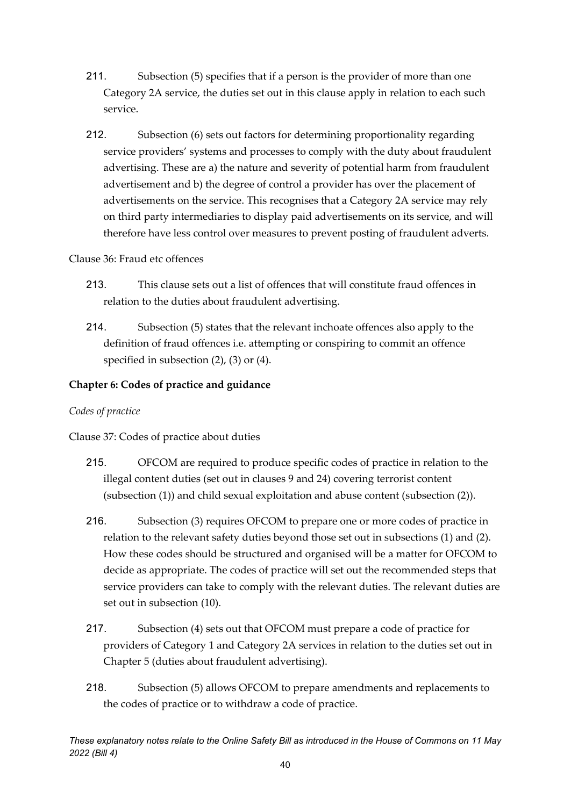- 211. Subsection (5) specifies that if a person is the provider of more than one Category 2A service, the duties set out in this clause apply in relation to each such service.
- 212. Subsection (6) sets out factors for determining proportionality regarding service providers' systems and processes to comply with the duty about fraudulent advertising. These are a) the nature and severity of potential harm from fraudulent advertisement and b) the degree of control a provider has over the placement of advertisements on the service. This recognises that a Category 2A service may rely on third party intermediaries to display paid advertisements on its service, and will therefore have less control over measures to prevent posting of fraudulent adverts.

### Clause 36: Fraud etc offences

- 213. This clause sets out a list of offences that will constitute fraud offences in relation to the duties about fraudulent advertising.
- 214. Subsection (5) states that the relevant inchoate offences also apply to the definition of fraud offences i.e. attempting or conspiring to commit an offence specified in subsection (2), (3) or (4).

# **Chapter 6: Codes of practice and guidance**

# *Codes of practice*

Clause 37: Codes of practice about duties

- 215. OFCOM are required to produce specific codes of practice in relation to the illegal content duties (set out in clauses 9 and 24) covering terrorist content (subsection (1)) and child sexual exploitation and abuse content (subsection (2)).
- 216. Subsection (3) requires OFCOM to prepare one or more codes of practice in relation to the relevant safety duties beyond those set out in subsections (1) and (2). How these codes should be structured and organised will be a matter for OFCOM to decide as appropriate. The codes of practice will set out the recommended steps that service providers can take to comply with the relevant duties. The relevant duties are set out in subsection (10).
- 217. Subsection (4) sets out that OFCOM must prepare a code of practice for providers of Category 1 and Category 2A services in relation to the duties set out in Chapter 5 (duties about fraudulent advertising).
- 218. Subsection (5) allows OFCOM to prepare amendments and replacements to the codes of practice or to withdraw a code of practice.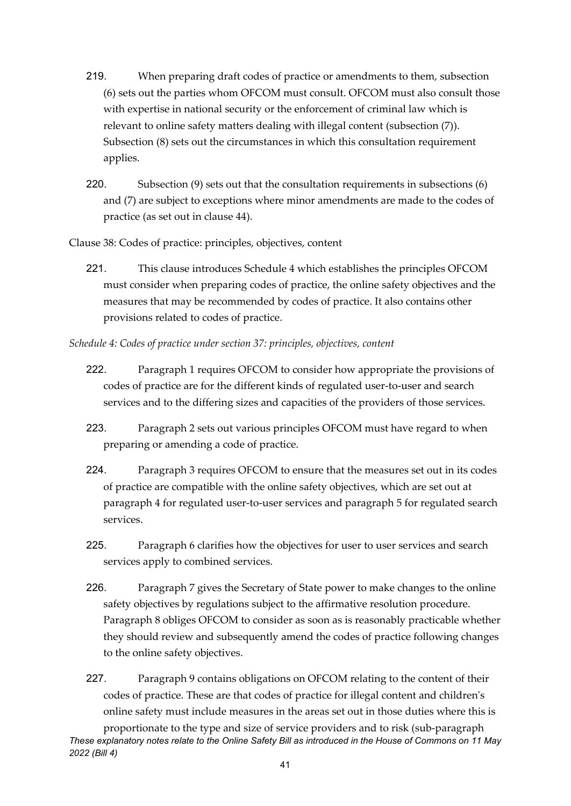- 219. When preparing draft codes of practice or amendments to them, subsection (6) sets out the parties whom OFCOM must consult. OFCOM must also consult those with expertise in national security or the enforcement of criminal law which is relevant to online safety matters dealing with illegal content (subsection (7)). Subsection (8) sets out the circumstances in which this consultation requirement applies.
- 220. Subsection (9) sets out that the consultation requirements in subsections (6) and (7) are subject to exceptions where minor amendments are made to the codes of practice (as set out in clause 44).

Clause 38: Codes of practice: principles, objectives, content

- 221. This clause introduces Schedule 4 which establishes the principles OFCOM must consider when preparing codes of practice, the online safety objectives and the measures that may be recommended by codes of practice. It also contains other provisions related to codes of practice.
- *Schedule 4: Codes of practice under section 37: principles, objectives, content* 
	- 222. Paragraph 1 requires OFCOM to consider how appropriate the provisions of codes of practice are for the different kinds of regulated user-to-user and search services and to the differing sizes and capacities of the providers of those services.
	- 223. Paragraph 2 sets out various principles OFCOM must have regard to when preparing or amending a code of practice.
	- 224. Paragraph 3 requires OFCOM to ensure that the measures set out in its codes of practice are compatible with the online safety objectives, which are set out at paragraph 4 for regulated user-to-user services and paragraph 5 for regulated search services.
	- 225. Paragraph 6 clarifies how the objectives for user to user services and search services apply to combined services.
	- 226. Paragraph 7 gives the Secretary of State power to make changes to the online safety objectives by regulations subject to the affirmative resolution procedure. Paragraph 8 obliges OFCOM to consider as soon as is reasonably practicable whether they should review and subsequently amend the codes of practice following changes to the online safety objectives.
	- 227. Paragraph 9 contains obligations on OFCOM relating to the content of their codes of practice. These are that codes of practice for illegal content and children's online safety must include measures in the areas set out in those duties where this is

*These explanatory notes relate to the Online Safety Bill as introduced in the House of Commons on 11 May 2022 (Bill 4)* proportionate to the type and size of service providers and to risk (sub-paragraph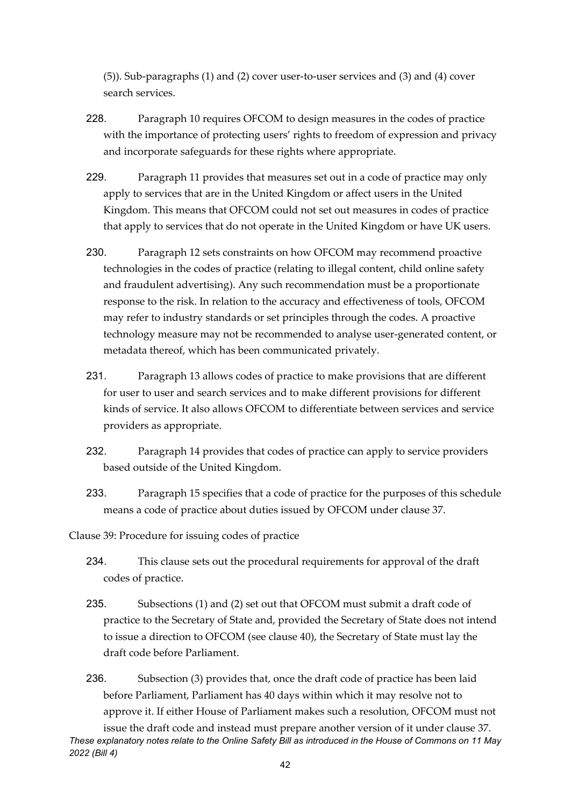(5)). Sub-paragraphs (1) and (2) cover user-to-user services and (3) and (4) cover search services.

- 228. Paragraph 10 requires OFCOM to design measures in the codes of practice with the importance of protecting users' rights to freedom of expression and privacy and incorporate safeguards for these rights where appropriate.
- 229. Paragraph 11 provides that measures set out in a code of practice may only apply to services that are in the United Kingdom or affect users in the United Kingdom. This means that OFCOM could not set out measures in codes of practice that apply to services that do not operate in the United Kingdom or have UK users.
- 230. Paragraph 12 sets constraints on how OFCOM may recommend proactive technologies in the codes of practice (relating to illegal content, child online safety and fraudulent advertising). Any such recommendation must be a proportionate response to the risk. In relation to the accuracy and effectiveness of tools, OFCOM may refer to industry standards or set principles through the codes. A proactive technology measure may not be recommended to analyse user-generated content, or metadata thereof, which has been communicated privately.
- 231. Paragraph 13 allows codes of practice to make provisions that are different for user to user and search services and to make different provisions for different kinds of service. It also allows OFCOM to differentiate between services and service providers as appropriate.
- 232. Paragraph 14 provides that codes of practice can apply to service providers based outside of the United Kingdom.
- 233. Paragraph 15 specifies that a code of practice for the purposes of this schedule means a code of practice about duties issued by OFCOM under clause 37.

Clause 39: Procedure for issuing codes of practice

- 234. This clause sets out the procedural requirements for approval of the draft codes of practice.
- 235. Subsections (1) and (2) set out that OFCOM must submit a draft code of practice to the Secretary of State and, provided the Secretary of State does not intend to issue a direction to OFCOM (see clause 40), the Secretary of State must lay the draft code before Parliament.

*These explanatory notes relate to the Online Safety Bill as introduced in the House of Commons on 11 May*  236. Subsection (3) provides that, once the draft code of practice has been laid before Parliament, Parliament has 40 days within which it may resolve not to approve it. If either House of Parliament makes such a resolution, OFCOM must not issue the draft code and instead must prepare another version of it under clause 37.

*2022 (Bill 4)*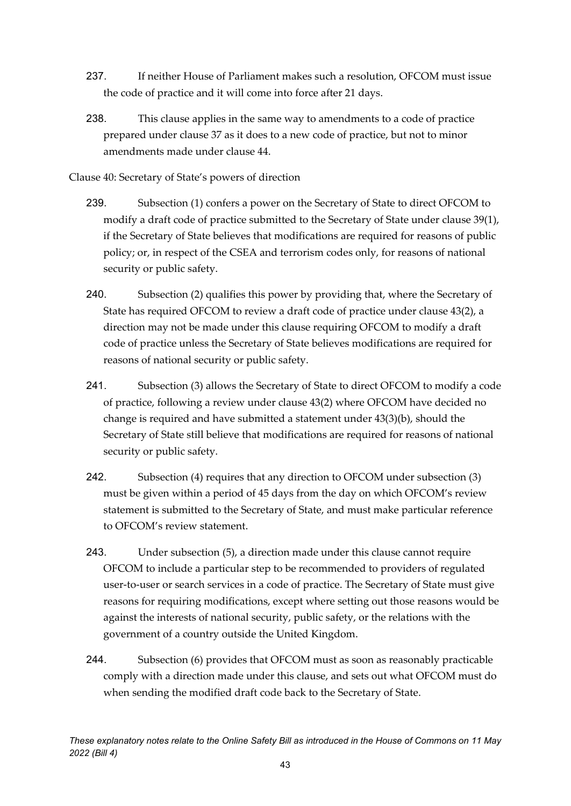- 237. If neither House of Parliament makes such a resolution, OFCOM must issue the code of practice and it will come into force after 21 days.
- 238. This clause applies in the same way to amendments to a code of practice prepared under clause 37 as it does to a new code of practice, but not to minor amendments made under clause 44.

Clause 40: Secretary of State's powers of direction

- 239. Subsection (1) confers a power on the Secretary of State to direct OFCOM to modify a draft code of practice submitted to the Secretary of State under clause 39(1), if the Secretary of State believes that modifications are required for reasons of public policy; or, in respect of the CSEA and terrorism codes only, for reasons of national security or public safety.
- 240. Subsection (2) qualifies this power by providing that, where the Secretary of State has required OFCOM to review a draft code of practice under clause 43(2), a direction may not be made under this clause requiring OFCOM to modify a draft code of practice unless the Secretary of State believes modifications are required for reasons of national security or public safety.
- 241. Subsection (3) allows the Secretary of State to direct OFCOM to modify a code of practice, following a review under clause 43(2) where OFCOM have decided no change is required and have submitted a statement under 43(3)(b), should the Secretary of State still believe that modifications are required for reasons of national security or public safety.
- 242. Subsection (4) requires that any direction to OFCOM under subsection (3) must be given within a period of 45 days from the day on which OFCOM's review statement is submitted to the Secretary of State, and must make particular reference to OFCOM's review statement.
- 243. Under subsection (5), a direction made under this clause cannot require OFCOM to include a particular step to be recommended to providers of regulated user-to-user or search services in a code of practice. The Secretary of State must give reasons for requiring modifications, except where setting out those reasons would be against the interests of national security, public safety, or the relations with the government of a country outside the United Kingdom.
- 244. Subsection (6) provides that OFCOM must as soon as reasonably practicable comply with a direction made under this clause, and sets out what OFCOM must do when sending the modified draft code back to the Secretary of State.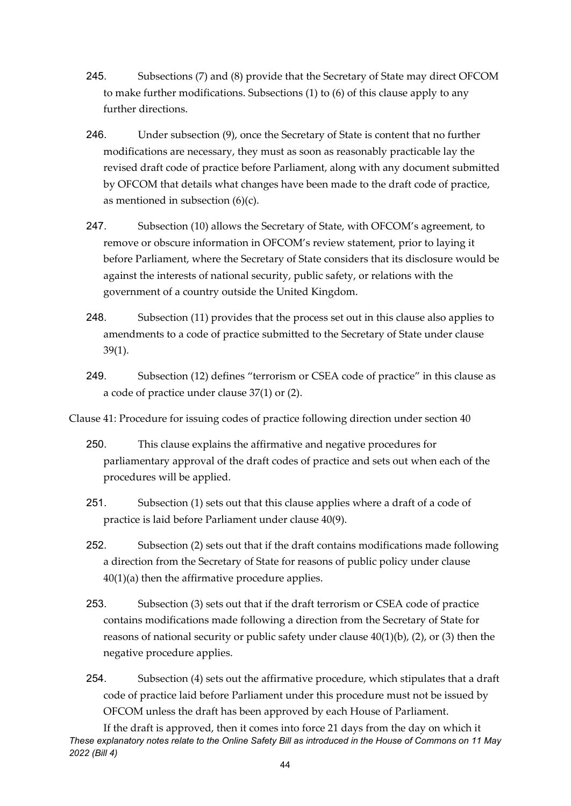- 245. Subsections (7) and (8) provide that the Secretary of State may direct OFCOM to make further modifications. Subsections (1) to (6) of this clause apply to any further directions.
- 246. Under subsection (9), once the Secretary of State is content that no further modifications are necessary, they must as soon as reasonably practicable lay the revised draft code of practice before Parliament, along with any document submitted by OFCOM that details what changes have been made to the draft code of practice, as mentioned in subsection  $(6)(c)$ .
- 247. Subsection (10) allows the Secretary of State, with OFCOM's agreement, to remove or obscure information in OFCOM's review statement, prior to laying it before Parliament, where the Secretary of State considers that its disclosure would be against the interests of national security, public safety, or relations with the government of a country outside the United Kingdom.
- 248. Subsection (11) provides that the process set out in this clause also applies to amendments to a code of practice submitted to the Secretary of State under clause 39(1).
- 249. Subsection (12) defines "terrorism or CSEA code of practice" in this clause as a code of practice under clause 37(1) or (2).
- Clause 41: Procedure for issuing codes of practice following direction under section 40
	- 250. This clause explains the affirmative and negative procedures for parliamentary approval of the draft codes of practice and sets out when each of the procedures will be applied.
	- 251. Subsection (1) sets out that this clause applies where a draft of a code of practice is laid before Parliament under clause 40(9).
	- 252. Subsection (2) sets out that if the draft contains modifications made following a direction from the Secretary of State for reasons of public policy under clause 40(1)(a) then the affirmative procedure applies.
	- 253. Subsection (3) sets out that if the draft terrorism or CSEA code of practice contains modifications made following a direction from the Secretary of State for reasons of national security or public safety under clause 40(1)(b), (2), or (3) then the negative procedure applies.
	- 254. Subsection (4) sets out the affirmative procedure, which stipulates that a draft code of practice laid before Parliament under this procedure must not be issued by OFCOM unless the draft has been approved by each House of Parliament.

*These explanatory notes relate to the Online Safety Bill as introduced in the House of Commons on 11 May 2022 (Bill 4)* If the draft is approved, then it comes into force 21 days from the day on which it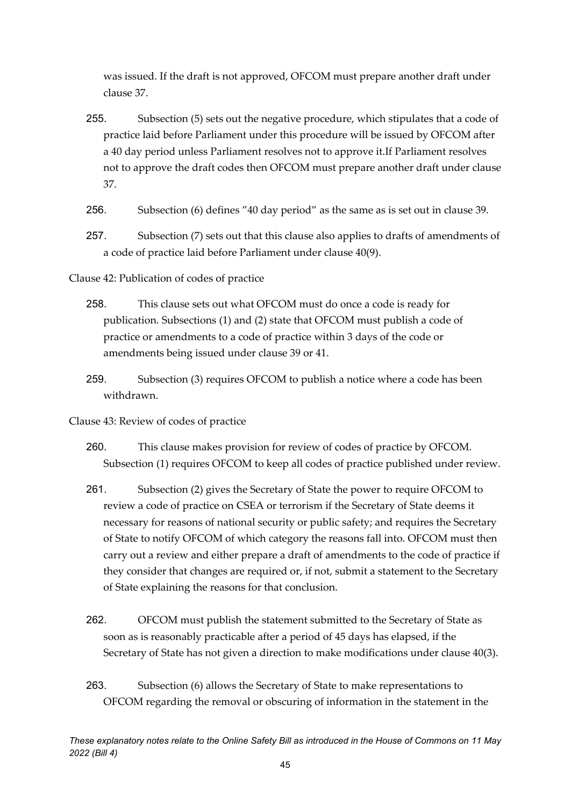was issued. If the draft is not approved, OFCOM must prepare another draft under clause 37.

- 255. Subsection (5) sets out the negative procedure, which stipulates that a code of practice laid before Parliament under this procedure will be issued by OFCOM after a 40 day period unless Parliament resolves not to approve it.If Parliament resolves not to approve the draft codes then OFCOM must prepare another draft under clause 37.
- 256. Subsection (6) defines "40 day period" as the same as is set out in clause 39.
- 257. Subsection (7) sets out that this clause also applies to drafts of amendments of a code of practice laid before Parliament under clause 40(9).

Clause 42: Publication of codes of practice

- 258. This clause sets out what OFCOM must do once a code is ready for publication. Subsections (1) and (2) state that OFCOM must publish a code of practice or amendments to a code of practice within 3 days of the code or amendments being issued under clause 39 or 41.
- 259. Subsection (3) requires OFCOM to publish a notice where a code has been withdrawn.
- Clause 43: Review of codes of practice
	- 260. This clause makes provision for review of codes of practice by OFCOM. Subsection (1) requires OFCOM to keep all codes of practice published under review.
	- 261. Subsection (2) gives the Secretary of State the power to require OFCOM to review a code of practice on CSEA or terrorism if the Secretary of State deems it necessary for reasons of national security or public safety; and requires the Secretary of State to notify OFCOM of which category the reasons fall into. OFCOM must then carry out a review and either prepare a draft of amendments to the code of practice if they consider that changes are required or, if not, submit a statement to the Secretary of State explaining the reasons for that conclusion.
	- 262. OFCOM must publish the statement submitted to the Secretary of State as soon as is reasonably practicable after a period of 45 days has elapsed, if the Secretary of State has not given a direction to make modifications under clause 40(3).
	- 263. Subsection (6) allows the Secretary of State to make representations to OFCOM regarding the removal or obscuring of information in the statement in the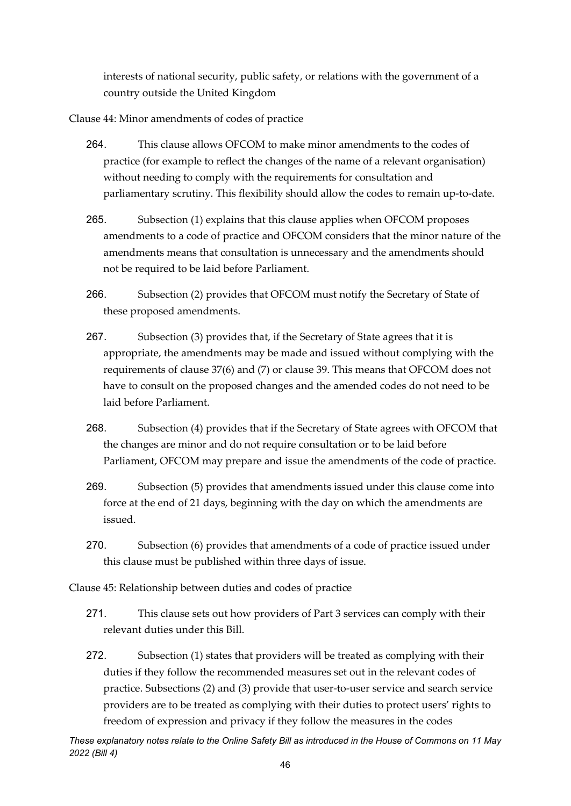interests of national security, public safety, or relations with the government of a country outside the United Kingdom

Clause 44: Minor amendments of codes of practice

- 264. This clause allows OFCOM to make minor amendments to the codes of practice (for example to reflect the changes of the name of a relevant organisation) without needing to comply with the requirements for consultation and parliamentary scrutiny. This flexibility should allow the codes to remain up-to-date.
- 265. Subsection (1) explains that this clause applies when OFCOM proposes amendments to a code of practice and OFCOM considers that the minor nature of the amendments means that consultation is unnecessary and the amendments should not be required to be laid before Parliament.
- 266. Subsection (2) provides that OFCOM must notify the Secretary of State of these proposed amendments.
- 267. Subsection (3) provides that, if the Secretary of State agrees that it is appropriate, the amendments may be made and issued without complying with the requirements of clause 37(6) and (7) or clause 39. This means that OFCOM does not have to consult on the proposed changes and the amended codes do not need to be laid before Parliament.
- 268. Subsection (4) provides that if the Secretary of State agrees with OFCOM that the changes are minor and do not require consultation or to be laid before Parliament, OFCOM may prepare and issue the amendments of the code of practice.
- 269. Subsection (5) provides that amendments issued under this clause come into force at the end of 21 days, beginning with the day on which the amendments are issued.
- 270. Subsection (6) provides that amendments of a code of practice issued under this clause must be published within three days of issue.

Clause 45: Relationship between duties and codes of practice

- 271. This clause sets out how providers of Part 3 services can comply with their relevant duties under this Bill.
- 272. Subsection (1) states that providers will be treated as complying with their duties if they follow the recommended measures set out in the relevant codes of practice. Subsections (2) and (3) provide that user-to-user service and search service providers are to be treated as complying with their duties to protect users' rights to freedom of expression and privacy if they follow the measures in the codes

*These explanatory notes relate to the Online Safety Bill as introduced in the House of Commons on 11 May 2022 (Bill 4)*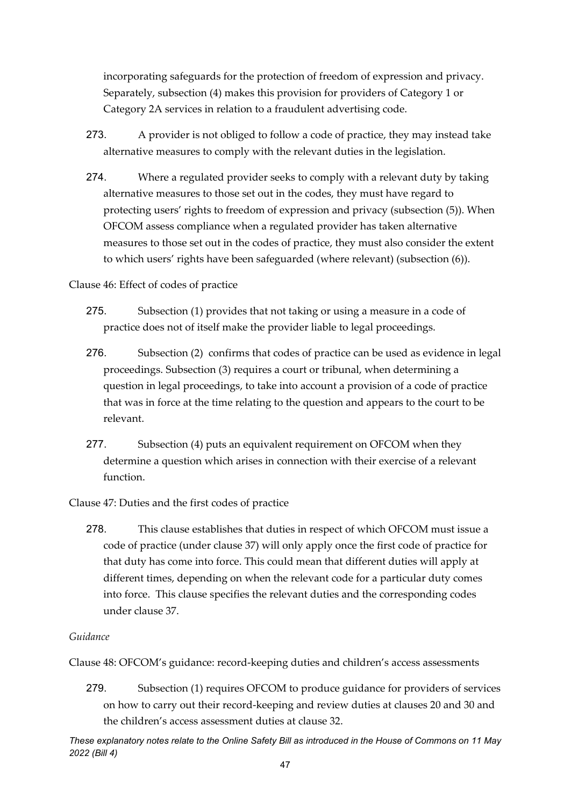incorporating safeguards for the protection of freedom of expression and privacy. Separately, subsection (4) makes this provision for providers of Category 1 or Category 2A services in relation to a fraudulent advertising code.

- 273. A provider is not obliged to follow a code of practice, they may instead take alternative measures to comply with the relevant duties in the legislation.
- 274. Where a regulated provider seeks to comply with a relevant duty by taking alternative measures to those set out in the codes, they must have regard to protecting users' rights to freedom of expression and privacy (subsection (5)). When OFCOM assess compliance when a regulated provider has taken alternative measures to those set out in the codes of practice, they must also consider the extent to which users' rights have been safeguarded (where relevant) (subsection (6)).

### Clause 46: Effect of codes of practice

- 275. Subsection (1) provides that not taking or using a measure in a code of practice does not of itself make the provider liable to legal proceedings.
- 276. Subsection (2) confirms that codes of practice can be used as evidence in legal proceedings. Subsection (3) requires a court or tribunal, when determining a question in legal proceedings, to take into account a provision of a code of practice that was in force at the time relating to the question and appears to the court to be relevant.
- 277. Subsection (4) puts an equivalent requirement on OFCOM when they determine a question which arises in connection with their exercise of a relevant function.

# Clause 47: Duties and the first codes of practice

278. This clause establishes that duties in respect of which OFCOM must issue a code of practice (under clause 37) will only apply once the first code of practice for that duty has come into force. This could mean that different duties will apply at different times, depending on when the relevant code for a particular duty comes into force. This clause specifies the relevant duties and the corresponding codes under clause 37.

### *Guidance*

Clause 48: OFCOM's guidance: record-keeping duties and children's access assessments

279. Subsection (1) requires OFCOM to produce guidance for providers of services on how to carry out their record-keeping and review duties at clauses 20 and 30 and the children's access assessment duties at clause 32.

*These explanatory notes relate to the Online Safety Bill as introduced in the House of Commons on 11 May 2022 (Bill 4)*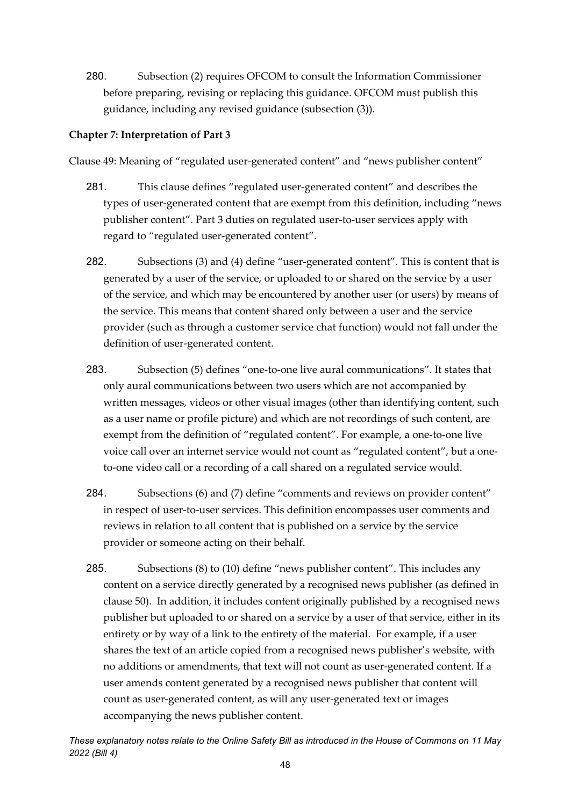280. Subsection (2) requires OFCOM to consult the Information Commissioner before preparing, revising or replacing this guidance. OFCOM must publish this guidance, including any revised guidance (subsection (3)).

### **Chapter 7: Interpretation of Part 3**

Clause 49: Meaning of "regulated user-generated content" and "news publisher content"

- 281. This clause defines "regulated user-generated content" and describes the types of user-generated content that are exempt from this definition, including "news publisher content". Part 3 duties on regulated user-to-user services apply with regard to "regulated user-generated content".
- 282. Subsections (3) and (4) define "user-generated content". This is content that is generated by a user of the service, or uploaded to or shared on the service by a user of the service, and which may be encountered by another user (or users) by means of the service. This means that content shared only between a user and the service provider (such as through a customer service chat function) would not fall under the definition of user-generated content.
- 283. Subsection (5) defines "one-to-one live aural communications". It states that only aural communications between two users which are not accompanied by written messages, videos or other visual images (other than identifying content, such as a user name or profile picture) and which are not recordings of such content, are exempt from the definition of "regulated content". For example, a one-to-one live voice call over an internet service would not count as "regulated content", but a oneto-one video call or a recording of a call shared on a regulated service would.
- 284. Subsections (6) and (7) define "comments and reviews on provider content" in respect of user-to-user services. This definition encompasses user comments and reviews in relation to all content that is published on a service by the service provider or someone acting on their behalf.
- 285. Subsections (8) to (10) define "news publisher content". This includes any content on a service directly generated by a recognised news publisher (as defined in clause 50). In addition, it includes content originally published by a recognised news publisher but uploaded to or shared on a service by a user of that service, either in its entirety or by way of a link to the entirety of the material. For example, if a user shares the text of an article copied from a recognised news publisher's website, with no additions or amendments, that text will not count as user-generated content. If a user amends content generated by a recognised news publisher that content will count as user-generated content, as will any user-generated text or images accompanying the news publisher content.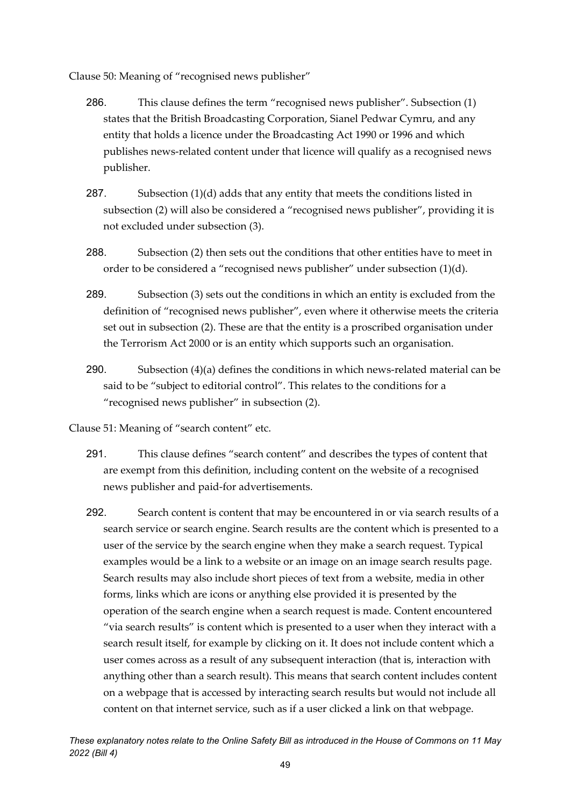Clause 50: Meaning of "recognised news publisher"

- 286. This clause defines the term "recognised news publisher". Subsection (1) states that the British Broadcasting Corporation, Sianel Pedwar Cymru, and any entity that holds a licence under the Broadcasting Act 1990 or 1996 and which publishes news-related content under that licence will qualify as a recognised news publisher.
- 287. Subsection (1)(d) adds that any entity that meets the conditions listed in subsection (2) will also be considered a "recognised news publisher", providing it is not excluded under subsection (3).
- 288. Subsection (2) then sets out the conditions that other entities have to meet in order to be considered a "recognised news publisher" under subsection (1)(d).
- 289. Subsection (3) sets out the conditions in which an entity is excluded from the definition of "recognised news publisher", even where it otherwise meets the criteria set out in subsection (2). These are that the entity is a proscribed organisation under the Terrorism Act 2000 or is an entity which supports such an organisation.
- 290. Subsection (4)(a) defines the conditions in which news-related material can be said to be "subject to editorial control". This relates to the conditions for a "recognised news publisher" in subsection (2).

Clause 51: Meaning of "search content" etc.

- 291. This clause defines "search content" and describes the types of content that are exempt from this definition, including content on the website of a recognised news publisher and paid-for advertisements.
- 292. Search content is content that may be encountered in or via search results of a search service or search engine. Search results are the content which is presented to a user of the service by the search engine when they make a search request. Typical examples would be a link to a website or an image on an image search results page. Search results may also include short pieces of text from a website, media in other forms, links which are icons or anything else provided it is presented by the operation of the search engine when a search request is made. Content encountered "via search results" is content which is presented to a user when they interact with a search result itself, for example by clicking on it. It does not include content which a user comes across as a result of any subsequent interaction (that is, interaction with anything other than a search result). This means that search content includes content on a webpage that is accessed by interacting search results but would not include all content on that internet service, such as if a user clicked a link on that webpage.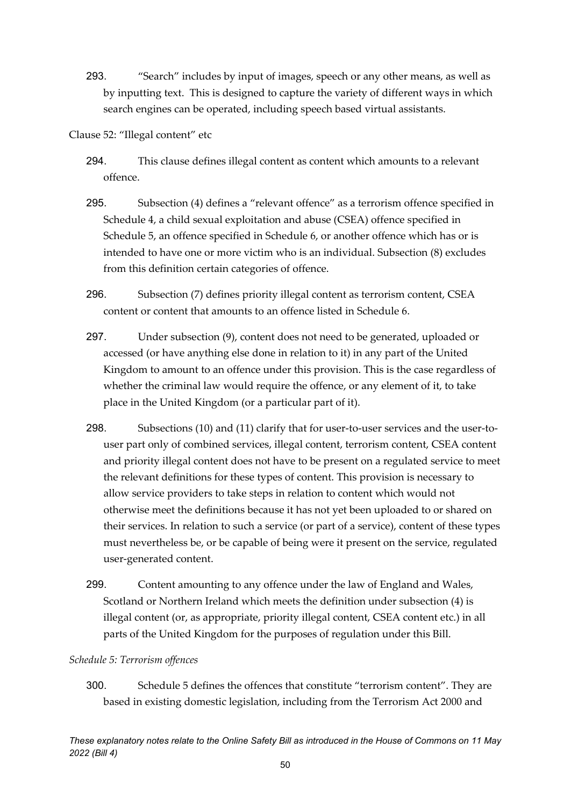293. "Search" includes by input of images, speech or any other means, as well as by inputting text. This is designed to capture the variety of different ways in which search engines can be operated, including speech based virtual assistants.

Clause 52: "Illegal content" etc

- 294. This clause defines illegal content as content which amounts to a relevant offence.
- 295. Subsection (4) defines a "relevant offence" as a terrorism offence specified in Schedule 4, a child sexual exploitation and abuse (CSEA) offence specified in Schedule 5, an offence specified in Schedule 6, or another offence which has or is intended to have one or more victim who is an individual. Subsection (8) excludes from this definition certain categories of offence.
- 296. Subsection (7) defines priority illegal content as terrorism content, CSEA content or content that amounts to an offence listed in Schedule 6.
- 297. Under subsection (9), content does not need to be generated, uploaded or accessed (or have anything else done in relation to it) in any part of the United Kingdom to amount to an offence under this provision. This is the case regardless of whether the criminal law would require the offence, or any element of it, to take place in the United Kingdom (or a particular part of it).
- 298. Subsections (10) and (11) clarify that for user-to-user services and the user-touser part only of combined services, illegal content, terrorism content, CSEA content and priority illegal content does not have to be present on a regulated service to meet the relevant definitions for these types of content. This provision is necessary to allow service providers to take steps in relation to content which would not otherwise meet the definitions because it has not yet been uploaded to or shared on their services. In relation to such a service (or part of a service), content of these types must nevertheless be, or be capable of being were it present on the service, regulated user-generated content.
- 299. Content amounting to any offence under the law of England and Wales, Scotland or Northern Ireland which meets the definition under subsection (4) is illegal content (or, as appropriate, priority illegal content, CSEA content etc.) in all parts of the United Kingdom for the purposes of regulation under this Bill.

# *Schedule 5: Terrorism offences*

300. Schedule 5 defines the offences that constitute "terrorism content". They are based in existing domestic legislation, including from the Terrorism Act 2000 and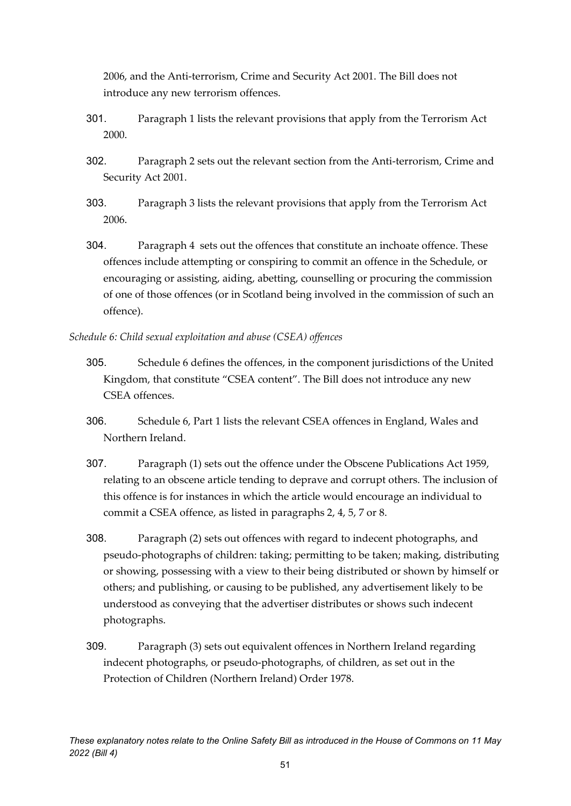2006, and the Anti-terrorism, Crime and Security Act 2001. The Bill does not introduce any new terrorism offences.

- 301. Paragraph 1 lists the relevant provisions that apply from the Terrorism Act 2000.
- 302. Paragraph 2 sets out the relevant section from the Anti-terrorism, Crime and Security Act 2001.
- 303. Paragraph 3 lists the relevant provisions that apply from the Terrorism Act 2006.
- 304. Paragraph 4 sets out the offences that constitute an inchoate offence. These offences include attempting or conspiring to commit an offence in the Schedule, or encouraging or assisting, aiding, abetting, counselling or procuring the commission of one of those offences (or in Scotland being involved in the commission of such an offence).

*Schedule 6: Child sexual exploitation and abuse (CSEA) offences* 

- 305. Schedule 6 defines the offences, in the component jurisdictions of the United Kingdom, that constitute "CSEA content". The Bill does not introduce any new CSEA offences.
- 306. Schedule 6, Part 1 lists the relevant CSEA offences in England, Wales and Northern Ireland.
- 307. Paragraph (1) sets out the offence under the Obscene Publications Act 1959, relating to an obscene article tending to deprave and corrupt others. The inclusion of this offence is for instances in which the article would encourage an individual to commit a CSEA offence, as listed in paragraphs 2, 4, 5, 7 or 8.
- 308. Paragraph (2) sets out offences with regard to indecent photographs, and pseudo-photographs of children: taking; permitting to be taken; making, distributing or showing, possessing with a view to their being distributed or shown by himself or others; and publishing, or causing to be published, any advertisement likely to be understood as conveying that the advertiser distributes or shows such indecent photographs.
- 309. Paragraph (3) sets out equivalent offences in Northern Ireland regarding indecent photographs, or pseudo-photographs, of children, as set out in the Protection of Children (Northern Ireland) Order 1978.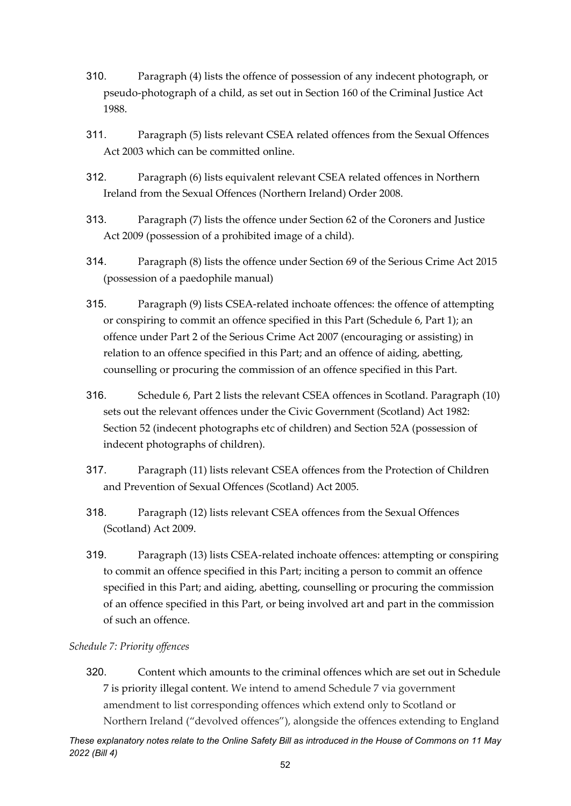- 310. Paragraph (4) lists the offence of possession of any indecent photograph, or pseudo-photograph of a child, as set out in Section 160 of the Criminal Justice Act 1988.
- 311. Paragraph (5) lists relevant CSEA related offences from the Sexual Offences Act 2003 which can be committed online.
- 312. Paragraph (6) lists equivalent relevant CSEA related offences in Northern Ireland from the Sexual Offences (Northern Ireland) Order 2008.
- 313. Paragraph (7) lists the offence under Section 62 of the Coroners and Justice Act 2009 (possession of a prohibited image of a child).
- 314. Paragraph (8) lists the offence under Section 69 of the Serious Crime Act 2015 (possession of a paedophile manual)
- 315. Paragraph (9) lists CSEA-related inchoate offences: the offence of attempting or conspiring to commit an offence specified in this Part (Schedule 6, Part 1); an offence under Part 2 of the Serious Crime Act 2007 (encouraging or assisting) in relation to an offence specified in this Part; and an offence of aiding, abetting, counselling or procuring the commission of an offence specified in this Part.
- 316. Schedule 6, Part 2 lists the relevant CSEA offences in Scotland. Paragraph (10) sets out the relevant offences under the Civic Government (Scotland) Act 1982: Section 52 (indecent photographs etc of children) and Section 52A (possession of indecent photographs of children).
- 317. Paragraph (11) lists relevant CSEA offences from the Protection of Children and Prevention of Sexual Offences (Scotland) Act 2005.
- 318. Paragraph (12) lists relevant CSEA offences from the Sexual Offences (Scotland) Act 2009.
- 319. Paragraph (13) lists CSEA-related inchoate offences: attempting or conspiring to commit an offence specified in this Part; inciting a person to commit an offence specified in this Part; and aiding, abetting, counselling or procuring the commission of an offence specified in this Part, or being involved art and part in the commission of such an offence.

# *Schedule 7: Priority offences*

320. Content which amounts to the criminal offences which are set out in Schedule 7 is priority illegal content. We intend to amend Schedule 7 via government amendment to list corresponding offences which extend only to Scotland or Northern Ireland ("devolved offences"), alongside the offences extending to England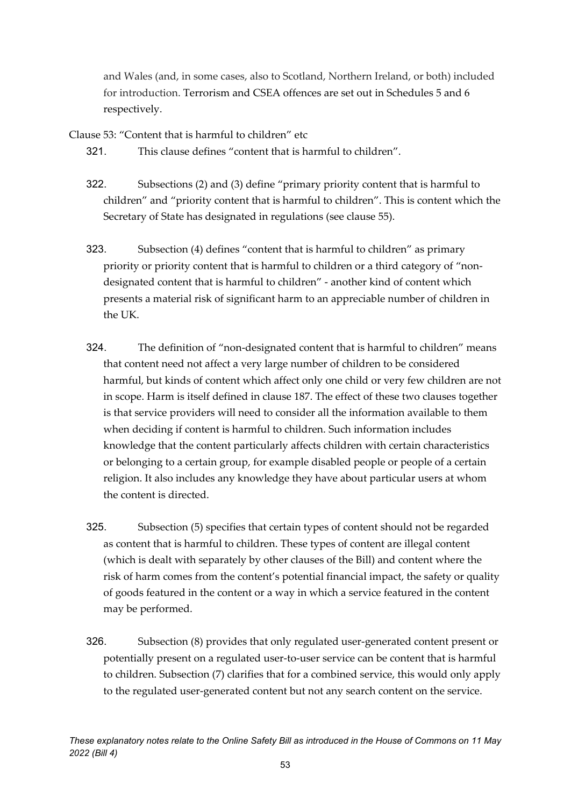and Wales (and, in some cases, also to Scotland, Northern Ireland, or both) included for introduction. Terrorism and CSEA offences are set out in Schedules 5 and 6 respectively.

Clause 53: "Content that is harmful to children" etc

321. This clause defines "content that is harmful to children".

- 322. Subsections (2) and (3) define "primary priority content that is harmful to children" and "priority content that is harmful to children". This is content which the Secretary of State has designated in regulations (see clause 55).
- 323. Subsection (4) defines "content that is harmful to children" as primary priority or priority content that is harmful to children or a third category of "nondesignated content that is harmful to children" - another kind of content which presents a material risk of significant harm to an appreciable number of children in the UK.
- 324. The definition of "non-designated content that is harmful to children" means that content need not affect a very large number of children to be considered harmful, but kinds of content which affect only one child or very few children are not in scope. Harm is itself defined in clause 187. The effect of these two clauses together is that service providers will need to consider all the information available to them when deciding if content is harmful to children. Such information includes knowledge that the content particularly affects children with certain characteristics or belonging to a certain group, for example disabled people or people of a certain religion. It also includes any knowledge they have about particular users at whom the content is directed.
- 325. Subsection (5) specifies that certain types of content should not be regarded as content that is harmful to children. These types of content are illegal content (which is dealt with separately by other clauses of the Bill) and content where the risk of harm comes from the content's potential financial impact, the safety or quality of goods featured in the content or a way in which a service featured in the content may be performed.
- 326. Subsection (8) provides that only regulated user-generated content present or potentially present on a regulated user-to-user service can be content that is harmful to children. Subsection (7) clarifies that for a combined service, this would only apply to the regulated user-generated content but not any search content on the service.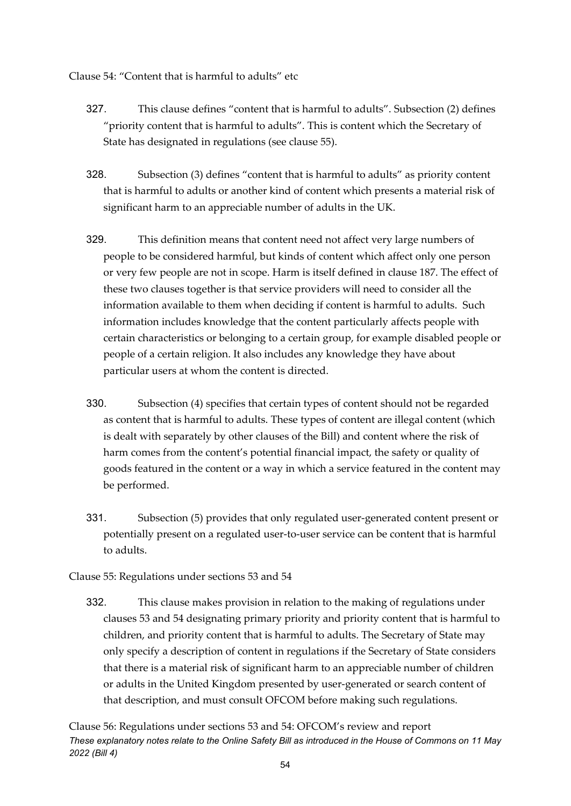Clause 54: "Content that is harmful to adults" etc

- 327. This clause defines "content that is harmful to adults". Subsection (2) defines "priority content that is harmful to adults". This is content which the Secretary of State has designated in regulations (see clause 55).
- 328. Subsection (3) defines "content that is harmful to adults" as priority content that is harmful to adults or another kind of content which presents a material risk of significant harm to an appreciable number of adults in the UK.
- 329. This definition means that content need not affect very large numbers of people to be considered harmful, but kinds of content which affect only one person or very few people are not in scope. Harm is itself defined in clause 187. The effect of these two clauses together is that service providers will need to consider all the information available to them when deciding if content is harmful to adults. Such information includes knowledge that the content particularly affects people with certain characteristics or belonging to a certain group, for example disabled people or people of a certain religion. It also includes any knowledge they have about particular users at whom the content is directed.
- 330. Subsection (4) specifies that certain types of content should not be regarded as content that is harmful to adults. These types of content are illegal content (which is dealt with separately by other clauses of the Bill) and content where the risk of harm comes from the content's potential financial impact, the safety or quality of goods featured in the content or a way in which a service featured in the content may be performed.
- 331. Subsection (5) provides that only regulated user-generated content present or potentially present on a regulated user-to-user service can be content that is harmful to adults.
- Clause 55: Regulations under sections 53 and 54
	- 332. This clause makes provision in relation to the making of regulations under clauses 53 and 54 designating primary priority and priority content that is harmful to children, and priority content that is harmful to adults. The Secretary of State may only specify a description of content in regulations if the Secretary of State considers that there is a material risk of significant harm to an appreciable number of children or adults in the United Kingdom presented by user-generated or search content of that description, and must consult OFCOM before making such regulations.

*These explanatory notes relate to the Online Safety Bill as introduced in the House of Commons on 11 May 2022 (Bill 4)* Clause 56: Regulations under sections 53 and 54: OFCOM's review and report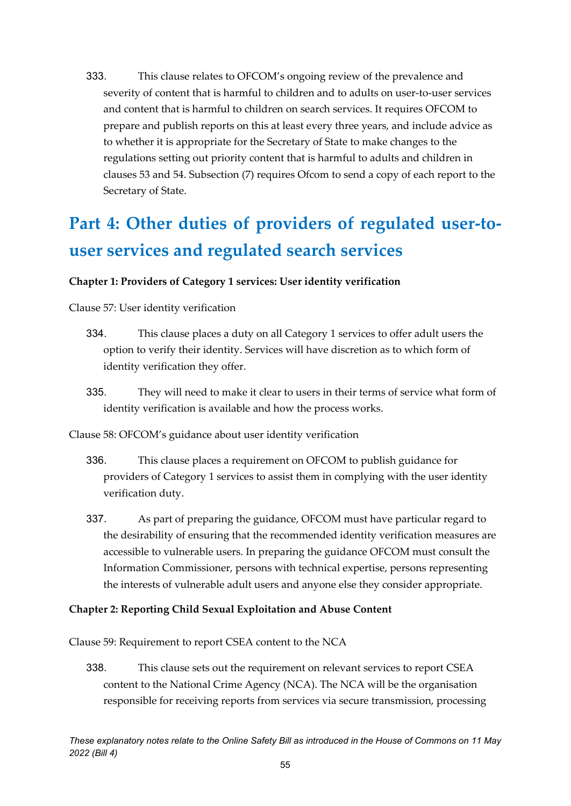333. This clause relates to OFCOM's ongoing review of the prevalence and severity of content that is harmful to children and to adults on user-to-user services and content that is harmful to children on search services. It requires OFCOM to prepare and publish reports on this at least every three years, and include advice as to whether it is appropriate for the Secretary of State to make changes to the regulations setting out priority content that is harmful to adults and children in clauses 53 and 54. Subsection (7) requires Ofcom to send a copy of each report to the Secretary of State.

# **Part 4: Other duties of providers of regulated user-touser services and regulated search services**

# **Chapter 1: Providers of Category 1 services: User identity verification**

Clause 57: User identity verification

- 334. This clause places a duty on all Category 1 services to offer adult users the option to verify their identity. Services will have discretion as to which form of identity verification they offer.
- 335. They will need to make it clear to users in their terms of service what form of identity verification is available and how the process works.

Clause 58: OFCOM's guidance about user identity verification

- 336. This clause places a requirement on OFCOM to publish guidance for providers of Category 1 services to assist them in complying with the user identity verification duty.
- 337. As part of preparing the guidance, OFCOM must have particular regard to the desirability of ensuring that the recommended identity verification measures are accessible to vulnerable users. In preparing the guidance OFCOM must consult the Information Commissioner, persons with technical expertise, persons representing the interests of vulnerable adult users and anyone else they consider appropriate.

# **Chapter 2: Reporting Child Sexual Exploitation and Abuse Content**

Clause 59: Requirement to report CSEA content to the NCA

338. This clause sets out the requirement on relevant services to report CSEA content to the National Crime Agency (NCA). The NCA will be the organisation responsible for receiving reports from services via secure transmission, processing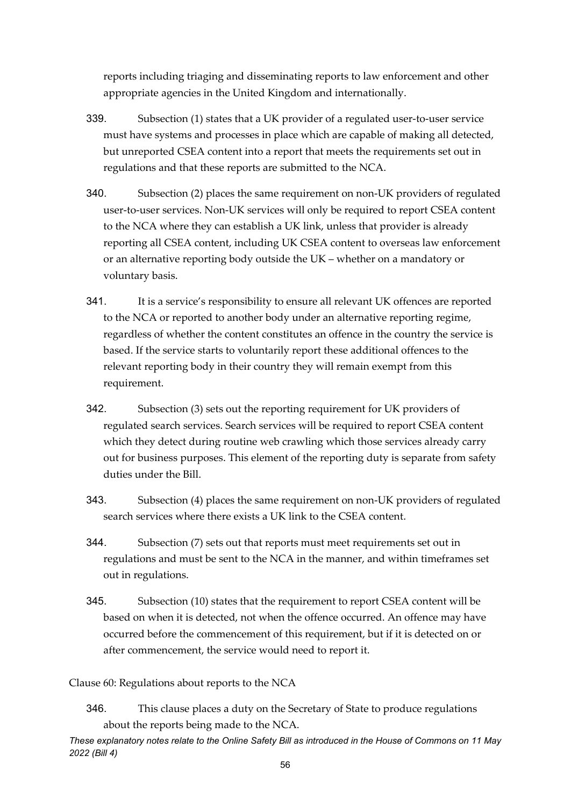reports including triaging and disseminating reports to law enforcement and other appropriate agencies in the United Kingdom and internationally.

- 339. Subsection (1) states that a UK provider of a regulated user-to-user service must have systems and processes in place which are capable of making all detected, but unreported CSEA content into a report that meets the requirements set out in regulations and that these reports are submitted to the NCA.
- 340. Subsection (2) places the same requirement on non-UK providers of regulated user-to-user services. Non-UK services will only be required to report CSEA content to the NCA where they can establish a UK link, unless that provider is already reporting all CSEA content, including UK CSEA content to overseas law enforcement or an alternative reporting body outside the UK – whether on a mandatory or voluntary basis.
- 341. It is a service's responsibility to ensure all relevant UK offences are reported to the NCA or reported to another body under an alternative reporting regime, regardless of whether the content constitutes an offence in the country the service is based. If the service starts to voluntarily report these additional offences to the relevant reporting body in their country they will remain exempt from this requirement.
- 342. Subsection (3) sets out the reporting requirement for UK providers of regulated search services. Search services will be required to report CSEA content which they detect during routine web crawling which those services already carry out for business purposes. This element of the reporting duty is separate from safety duties under the Bill.
- 343. Subsection (4) places the same requirement on non-UK providers of regulated search services where there exists a UK link to the CSEA content.
- 344. Subsection (7) sets out that reports must meet requirements set out in regulations and must be sent to the NCA in the manner, and within timeframes set out in regulations.
- 345. Subsection (10) states that the requirement to report CSEA content will be based on when it is detected, not when the offence occurred. An offence may have occurred before the commencement of this requirement, but if it is detected on or after commencement, the service would need to report it.

Clause 60: Regulations about reports to the NCA

346. This clause places a duty on the Secretary of State to produce regulations about the reports being made to the NCA.

*These explanatory notes relate to the Online Safety Bill as introduced in the House of Commons on 11 May 2022 (Bill 4)*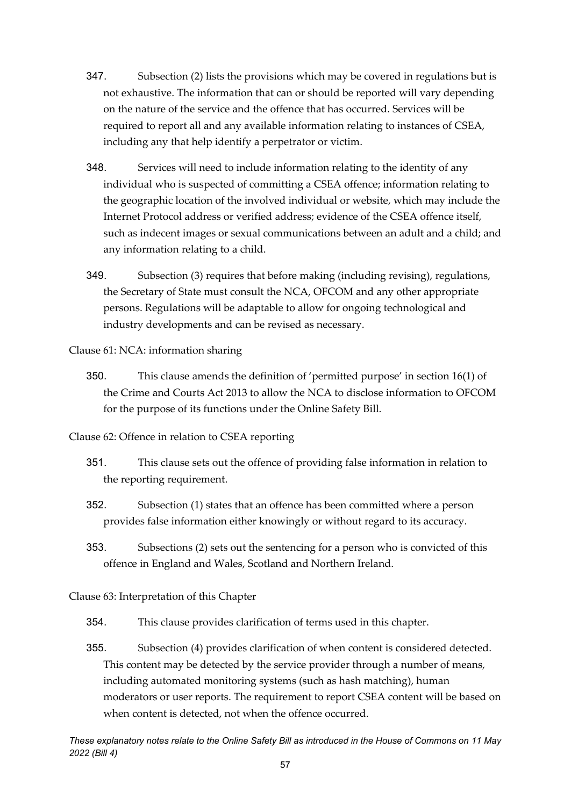- 347. Subsection (2) lists the provisions which may be covered in regulations but is not exhaustive. The information that can or should be reported will vary depending on the nature of the service and the offence that has occurred. Services will be required to report all and any available information relating to instances of CSEA, including any that help identify a perpetrator or victim.
- 348. Services will need to include information relating to the identity of any individual who is suspected of committing a CSEA offence; information relating to the geographic location of the involved individual or website, which may include the Internet Protocol address or verified address; evidence of the CSEA offence itself, such as indecent images or sexual communications between an adult and a child; and any information relating to a child.
- 349. Subsection (3) requires that before making (including revising), regulations, the Secretary of State must consult the NCA, OFCOM and any other appropriate persons. Regulations will be adaptable to allow for ongoing technological and industry developments and can be revised as necessary.

Clause 61: NCA: information sharing

- 350. This clause amends the definition of 'permitted purpose' in section 16(1) of the Crime and Courts Act 2013 to allow the NCA to disclose information to OFCOM for the purpose of its functions under the Online Safety Bill.
- Clause 62: Offence in relation to CSEA reporting
	- 351. This clause sets out the offence of providing false information in relation to the reporting requirement.
	- 352. Subsection (1) states that an offence has been committed where a person provides false information either knowingly or without regard to its accuracy.
	- 353. Subsections (2) sets out the sentencing for a person who is convicted of this offence in England and Wales, Scotland and Northern Ireland.

# Clause 63: Interpretation of this Chapter

- 354. This clause provides clarification of terms used in this chapter.
- 355. Subsection (4) provides clarification of when content is considered detected. This content may be detected by the service provider through a number of means, including automated monitoring systems (such as hash matching), human moderators or user reports. The requirement to report CSEA content will be based on when content is detected, not when the offence occurred.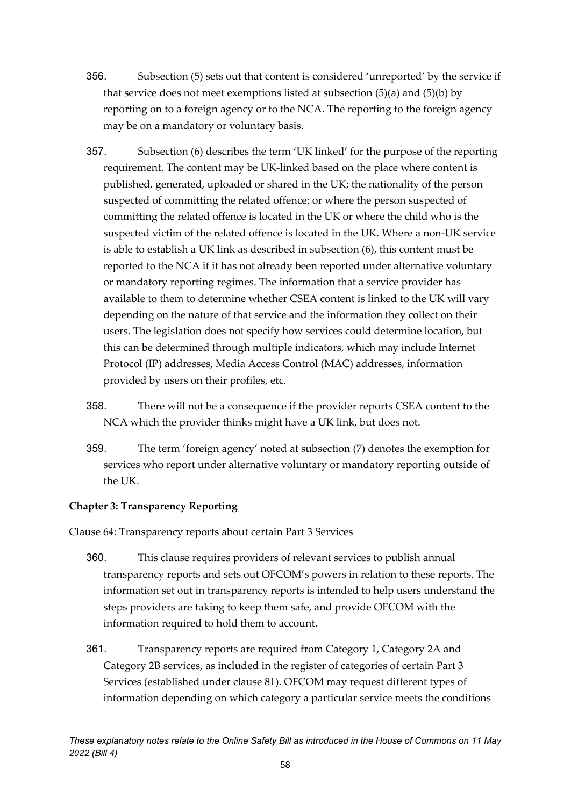- 356. Subsection (5) sets out that content is considered 'unreported' by the service if that service does not meet exemptions listed at subsection  $(5)(a)$  and  $(5)(b)$  by reporting on to a foreign agency or to the NCA. The reporting to the foreign agency may be on a mandatory or voluntary basis.
- 357. Subsection (6) describes the term 'UK linked' for the purpose of the reporting requirement. The content may be UK-linked based on the place where content is published, generated, uploaded or shared in the UK; the nationality of the person suspected of committing the related offence; or where the person suspected of committing the related offence is located in the UK or where the child who is the suspected victim of the related offence is located in the UK. Where a non-UK service is able to establish a UK link as described in subsection (6), this content must be reported to the NCA if it has not already been reported under alternative voluntary or mandatory reporting regimes. The information that a service provider has available to them to determine whether CSEA content is linked to the UK will vary depending on the nature of that service and the information they collect on their users. The legislation does not specify how services could determine location, but this can be determined through multiple indicators, which may include Internet Protocol (IP) addresses, Media Access Control (MAC) addresses, information provided by users on their profiles, etc.
- 358. There will not be a consequence if the provider reports CSEA content to the NCA which the provider thinks might have a UK link, but does not.
- 359. The term 'foreign agency' noted at subsection (7) denotes the exemption for services who report under alternative voluntary or mandatory reporting outside of the UK.

# **Chapter 3: Transparency Reporting**

Clause 64: Transparency reports about certain Part 3 Services

- 360. This clause requires providers of relevant services to publish annual transparency reports and sets out OFCOM's powers in relation to these reports. The information set out in transparency reports is intended to help users understand the steps providers are taking to keep them safe, and provide OFCOM with the information required to hold them to account.
- 361. Transparency reports are required from Category 1, Category 2A and Category 2B services, as included in the register of categories of certain Part 3 Services (established under clause 81). OFCOM may request different types of information depending on which category a particular service meets the conditions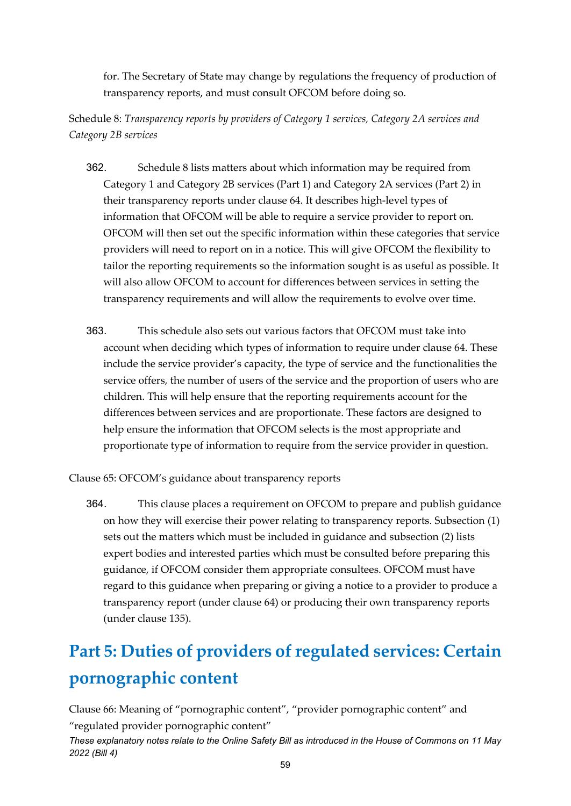for. The Secretary of State may change by regulations the frequency of production of transparency reports, and must consult OFCOM before doing so.

Schedule 8: *Transparency reports by providers of Category 1 services, Category 2A services and Category 2B services*

- 362. Schedule 8 lists matters about which information may be required from Category 1 and Category 2B services (Part 1) and Category 2A services (Part 2) in their transparency reports under clause 64. It describes high-level types of information that OFCOM will be able to require a service provider to report on. OFCOM will then set out the specific information within these categories that service providers will need to report on in a notice. This will give OFCOM the flexibility to tailor the reporting requirements so the information sought is as useful as possible. It will also allow OFCOM to account for differences between services in setting the transparency requirements and will allow the requirements to evolve over time.
- 363. This schedule also sets out various factors that OFCOM must take into account when deciding which types of information to require under clause 64. These include the service provider's capacity, the type of service and the functionalities the service offers, the number of users of the service and the proportion of users who are children. This will help ensure that the reporting requirements account for the differences between services and are proportionate. These factors are designed to help ensure the information that OFCOM selects is the most appropriate and proportionate type of information to require from the service provider in question.

Clause 65: OFCOM's guidance about transparency reports

364. This clause places a requirement on OFCOM to prepare and publish guidance on how they will exercise their power relating to transparency reports. Subsection (1) sets out the matters which must be included in guidance and subsection (2) lists expert bodies and interested parties which must be consulted before preparing this guidance, if OFCOM consider them appropriate consultees. OFCOM must have regard to this guidance when preparing or giving a notice to a provider to produce a transparency report (under clause 64) or producing their own transparency reports (under clause 135).

# **Part 5: Duties of providers of regulated services: Certain pornographic content**

Clause 66: Meaning of "pornographic content", "provider pornographic content" and "regulated provider pornographic content"

*These explanatory notes relate to the Online Safety Bill as introduced in the House of Commons on 11 May 2022 (Bill 4)*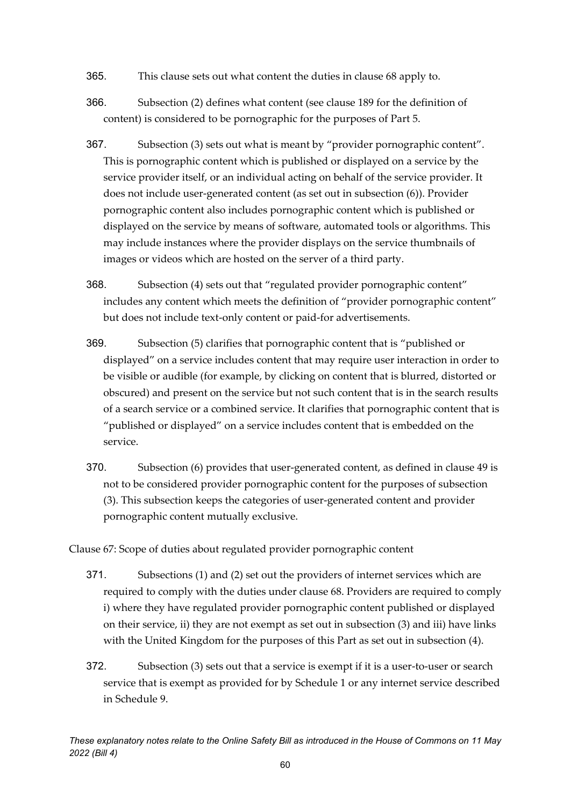- 365. This clause sets out what content the duties in clause 68 apply to.
- 366. Subsection (2) defines what content (see clause 189 for the definition of content) is considered to be pornographic for the purposes of Part 5.
- 367. Subsection (3) sets out what is meant by "provider pornographic content". This is pornographic content which is published or displayed on a service by the service provider itself, or an individual acting on behalf of the service provider. It does not include user-generated content (as set out in subsection (6)). Provider pornographic content also includes pornographic content which is published or displayed on the service by means of software, automated tools or algorithms. This may include instances where the provider displays on the service thumbnails of images or videos which are hosted on the server of a third party.
- 368. Subsection (4) sets out that "regulated provider pornographic content" includes any content which meets the definition of "provider pornographic content" but does not include text-only content or paid-for advertisements.
- 369. Subsection (5) clarifies that pornographic content that is "published or displayed" on a service includes content that may require user interaction in order to be visible or audible (for example, by clicking on content that is blurred, distorted or obscured) and present on the service but not such content that is in the search results of a search service or a combined service. It clarifies that pornographic content that is "published or displayed" on a service includes content that is embedded on the service.
- 370. Subsection (6) provides that user-generated content, as defined in clause 49 is not to be considered provider pornographic content for the purposes of subsection (3). This subsection keeps the categories of user-generated content and provider pornographic content mutually exclusive.

Clause 67: Scope of duties about regulated provider pornographic content

- 371. Subsections (1) and (2) set out the providers of internet services which are required to comply with the duties under clause 68. Providers are required to comply i) where they have regulated provider pornographic content published or displayed on their service, ii) they are not exempt as set out in subsection (3) and iii) have links with the United Kingdom for the purposes of this Part as set out in subsection (4).
- 372. Subsection (3) sets out that a service is exempt if it is a user-to-user or search service that is exempt as provided for by Schedule 1 or any internet service described in Schedule 9.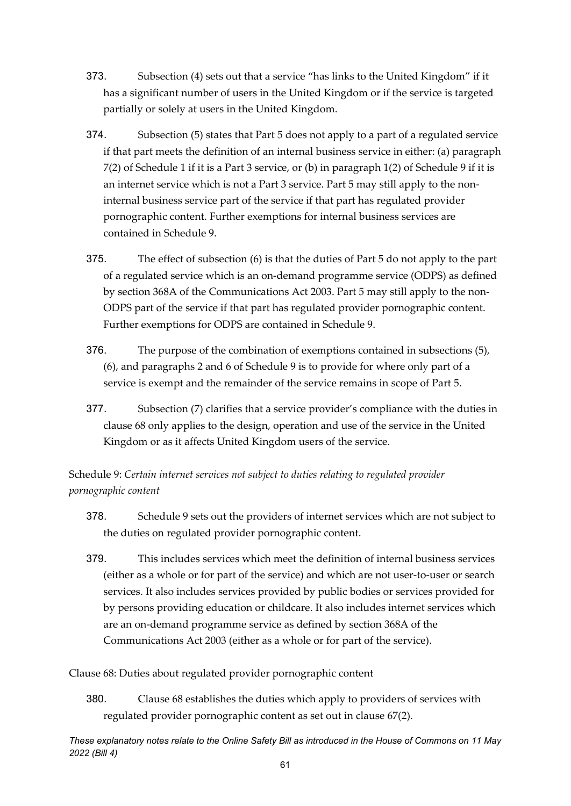- 373. Subsection (4) sets out that a service "has links to the United Kingdom" if it has a significant number of users in the United Kingdom or if the service is targeted partially or solely at users in the United Kingdom.
- 374. Subsection (5) states that Part 5 does not apply to a part of a regulated service if that part meets the definition of an internal business service in either: (a) paragraph 7(2) of Schedule 1 if it is a Part 3 service, or (b) in paragraph 1(2) of Schedule 9 if it is an internet service which is not a Part 3 service. Part 5 may still apply to the noninternal business service part of the service if that part has regulated provider pornographic content. Further exemptions for internal business services are contained in Schedule 9.
- 375. The effect of subsection (6) is that the duties of Part 5 do not apply to the part of a regulated service which is an on-demand programme service (ODPS) as defined by section 368A of the Communications Act 2003. Part 5 may still apply to the non-ODPS part of the service if that part has regulated provider pornographic content. Further exemptions for ODPS are contained in Schedule 9.
- 376. The purpose of the combination of exemptions contained in subsections (5), (6), and paragraphs 2 and 6 of Schedule 9 is to provide for where only part of a service is exempt and the remainder of the service remains in scope of Part 5.
- 377. Subsection (7) clarifies that a service provider's compliance with the duties in clause 68 only applies to the design, operation and use of the service in the United Kingdom or as it affects United Kingdom users of the service.

Schedule 9: *Certain internet services not subject to duties relating to regulated provider pornographic content* 

- 378. Schedule 9 sets out the providers of internet services which are not subject to the duties on regulated provider pornographic content.
- 379. This includes services which meet the definition of internal business services (either as a whole or for part of the service) and which are not user-to-user or search services. It also includes services provided by public bodies or services provided for by persons providing education or childcare. It also includes internet services which are an on-demand programme service as defined by section 368A of the Communications Act 2003 (either as a whole or for part of the service).

Clause 68: Duties about regulated provider pornographic content

380. Clause 68 establishes the duties which apply to providers of services with regulated provider pornographic content as set out in clause 67(2).

*These explanatory notes relate to the Online Safety Bill as introduced in the House of Commons on 11 May 2022 (Bill 4)*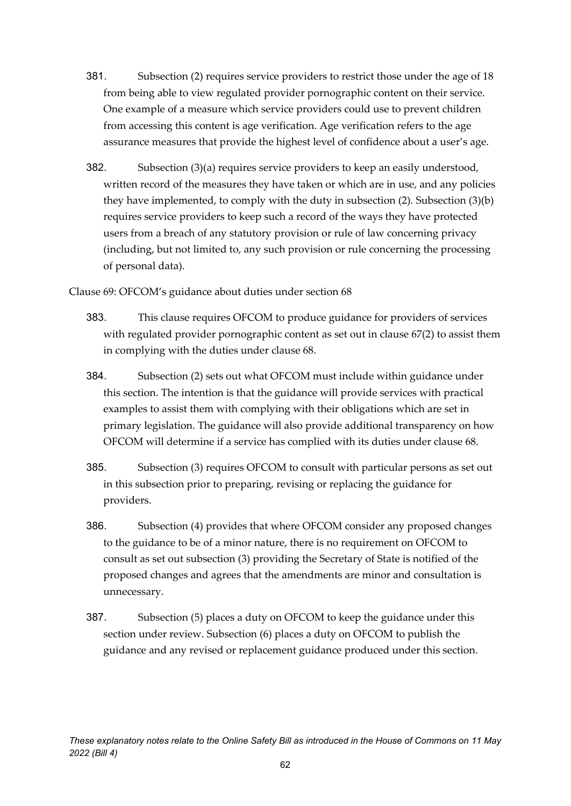- 381. Subsection (2) requires service providers to restrict those under the age of 18 from being able to view regulated provider pornographic content on their service. One example of a measure which service providers could use to prevent children from accessing this content is age verification. Age verification refers to the age assurance measures that provide the highest level of confidence about a user's age.
- 382. Subsection (3)(a) requires service providers to keep an easily understood, written record of the measures they have taken or which are in use, and any policies they have implemented, to comply with the duty in subsection (2). Subsection (3)(b) requires service providers to keep such a record of the ways they have protected users from a breach of any statutory provision or rule of law concerning privacy (including, but not limited to, any such provision or rule concerning the processing of personal data).

Clause 69: OFCOM's guidance about duties under section 68

- 383. This clause requires OFCOM to produce guidance for providers of services with regulated provider pornographic content as set out in clause 67(2) to assist them in complying with the duties under clause 68.
- 384. Subsection (2) sets out what OFCOM must include within guidance under this section. The intention is that the guidance will provide services with practical examples to assist them with complying with their obligations which are set in primary legislation. The guidance will also provide additional transparency on how OFCOM will determine if a service has complied with its duties under clause 68.
- 385. Subsection (3) requires OFCOM to consult with particular persons as set out in this subsection prior to preparing, revising or replacing the guidance for providers.
- 386. Subsection (4) provides that where OFCOM consider any proposed changes to the guidance to be of a minor nature, there is no requirement on OFCOM to consult as set out subsection (3) providing the Secretary of State is notified of the proposed changes and agrees that the amendments are minor and consultation is unnecessary.
- 387. Subsection (5) places a duty on OFCOM to keep the guidance under this section under review. Subsection (6) places a duty on OFCOM to publish the guidance and any revised or replacement guidance produced under this section.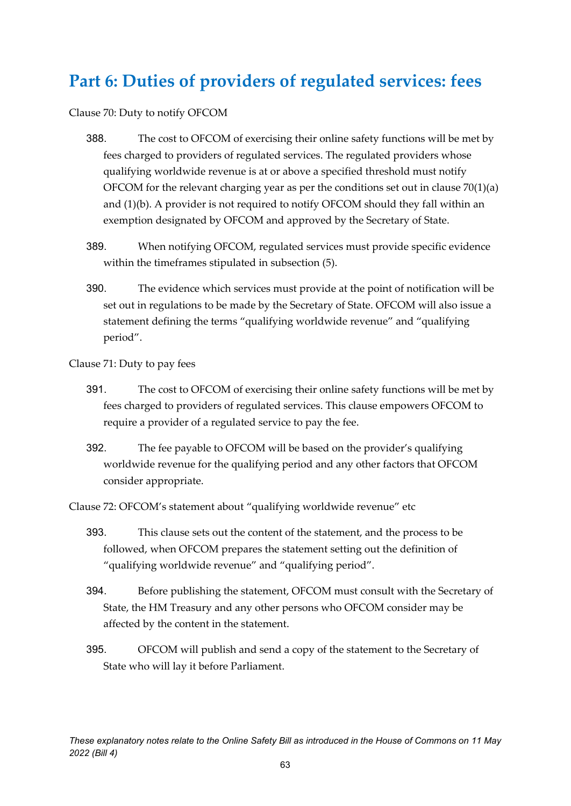# **Part 6: Duties of providers of regulated services: fees**

Clause 70: Duty to notify OFCOM

- 388. The cost to OFCOM of exercising their online safety functions will be met by fees charged to providers of regulated services. The regulated providers whose qualifying worldwide revenue is at or above a specified threshold must notify OFCOM for the relevant charging year as per the conditions set out in clause  $70(1)(a)$ and (1)(b). A provider is not required to notify OFCOM should they fall within an exemption designated by OFCOM and approved by the Secretary of State.
- 389. When notifying OFCOM, regulated services must provide specific evidence within the timeframes stipulated in subsection (5).
- 390. The evidence which services must provide at the point of notification will be set out in regulations to be made by the Secretary of State. OFCOM will also issue a statement defining the terms "qualifying worldwide revenue" and "qualifying period".

Clause 71: Duty to pay fees

- 391. The cost to OFCOM of exercising their online safety functions will be met by fees charged to providers of regulated services. This clause empowers OFCOM to require a provider of a regulated service to pay the fee.
- 392. The fee payable to OFCOM will be based on the provider's qualifying worldwide revenue for the qualifying period and any other factors that OFCOM consider appropriate.

Clause 72: OFCOM's statement about "qualifying worldwide revenue" etc

- 393. This clause sets out the content of the statement, and the process to be followed, when OFCOM prepares the statement setting out the definition of "qualifying worldwide revenue" and "qualifying period".
- 394. Before publishing the statement, OFCOM must consult with the Secretary of State, the HM Treasury and any other persons who OFCOM consider may be affected by the content in the statement.
- 395. OFCOM will publish and send a copy of the statement to the Secretary of State who will lay it before Parliament.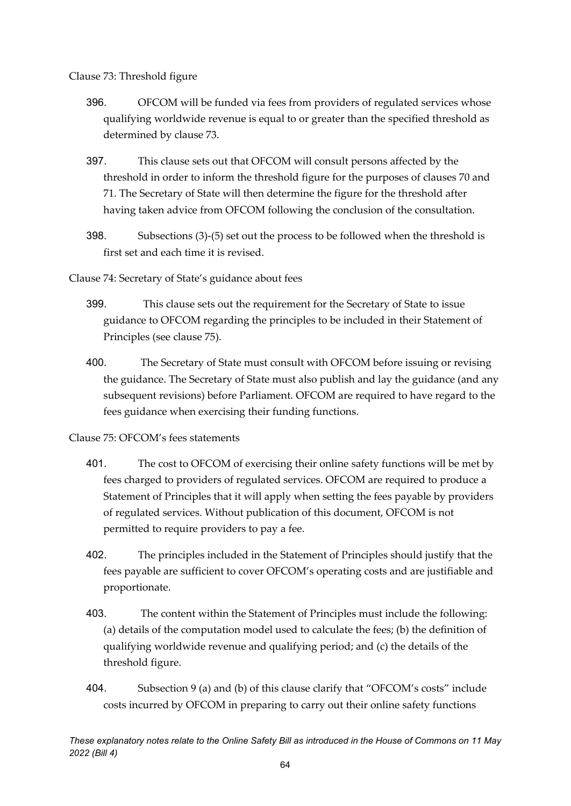Clause 73: Threshold figure

- 396. OFCOM will be funded via fees from providers of regulated services whose qualifying worldwide revenue is equal to or greater than the specified threshold as determined by clause 73.
- 397. This clause sets out that OFCOM will consult persons affected by the threshold in order to inform the threshold figure for the purposes of clauses 70 and 71. The Secretary of State will then determine the figure for the threshold after having taken advice from OFCOM following the conclusion of the consultation.
- 398. Subsections (3)-(5) set out the process to be followed when the threshold is first set and each time it is revised.

Clause 74: Secretary of State's guidance about fees

- 399. This clause sets out the requirement for the Secretary of State to issue guidance to OFCOM regarding the principles to be included in their Statement of Principles (see clause 75).
- 400. The Secretary of State must consult with OFCOM before issuing or revising the guidance. The Secretary of State must also publish and lay the guidance (and any subsequent revisions) before Parliament. OFCOM are required to have regard to the fees guidance when exercising their funding functions.

Clause 75: OFCOM's fees statements

- 401. The cost to OFCOM of exercising their online safety functions will be met by fees charged to providers of regulated services. OFCOM are required to produce a Statement of Principles that it will apply when setting the fees payable by providers of regulated services. Without publication of this document, OFCOM is not permitted to require providers to pay a fee.
- 402. The principles included in the Statement of Principles should justify that the fees payable are sufficient to cover OFCOM's operating costs and are justifiable and proportionate.
- 403. The content within the Statement of Principles must include the following: (a) details of the computation model used to calculate the fees; (b) the definition of qualifying worldwide revenue and qualifying period; and (c) the details of the threshold figure.
- 404. Subsection 9 (a) and (b) of this clause clarify that "OFCOM's costs" include costs incurred by OFCOM in preparing to carry out their online safety functions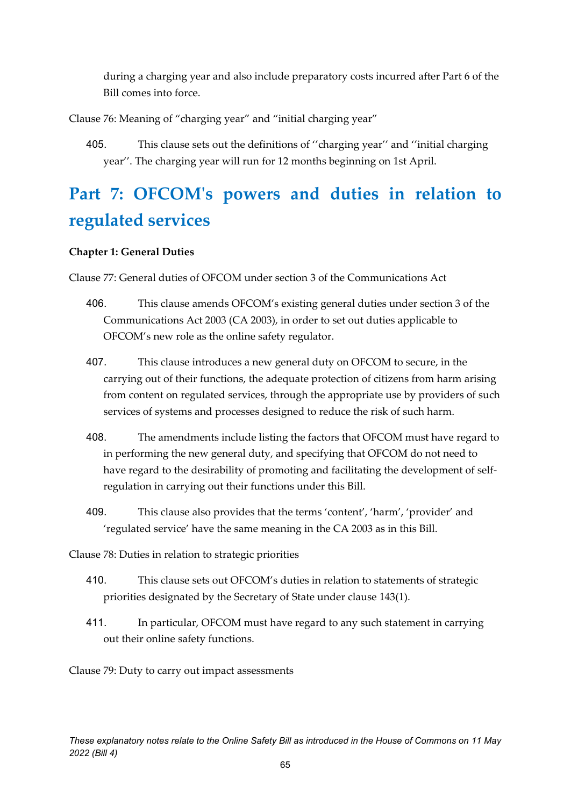during a charging year and also include preparatory costs incurred after Part 6 of the Bill comes into force.

Clause 76: Meaning of "charging year" and "initial charging year"

405. This clause sets out the definitions of ''charging year'' and ''initial charging year''. The charging year will run for 12 months beginning on 1st April.

# **Part 7: OFCOM's powers and duties in relation to regulated services**

# **Chapter 1: General Duties**

Clause 77: General duties of OFCOM under section 3 of the Communications Act

- 406. This clause amends OFCOM's existing general duties under section 3 of the Communications Act 2003 (CA 2003), in order to set out duties applicable to OFCOM's new role as the online safety regulator.
- 407. This clause introduces a new general duty on OFCOM to secure, in the carrying out of their functions, the adequate protection of citizens from harm arising from content on regulated services, through the appropriate use by providers of such services of systems and processes designed to reduce the risk of such harm.
- 408. The amendments include listing the factors that OFCOM must have regard to in performing the new general duty, and specifying that OFCOM do not need to have regard to the desirability of promoting and facilitating the development of selfregulation in carrying out their functions under this Bill.
- 409. This clause also provides that the terms 'content', 'harm', 'provider' and 'regulated service' have the same meaning in the CA 2003 as in this Bill.

Clause 78: Duties in relation to strategic priorities

- 410. This clause sets out OFCOM's duties in relation to statements of strategic priorities designated by the Secretary of State under clause 143(1).
- 411. In particular, OFCOM must have regard to any such statement in carrying out their online safety functions.

Clause 79: Duty to carry out impact assessments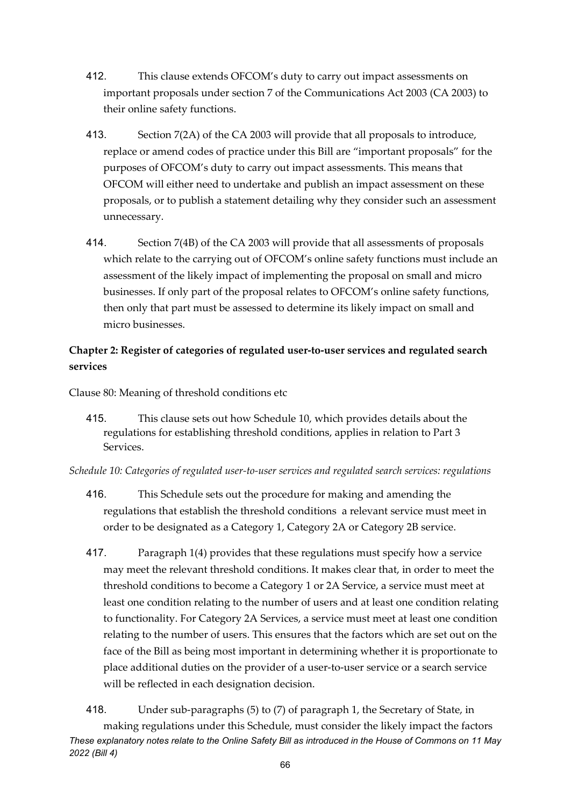- 412. This clause extends OFCOM's duty to carry out impact assessments on important proposals under section 7 of the Communications Act 2003 (CA 2003) to their online safety functions.
- 413. Section 7(2A) of the CA 2003 will provide that all proposals to introduce, replace or amend codes of practice under this Bill are "important proposals" for the purposes of OFCOM's duty to carry out impact assessments. This means that OFCOM will either need to undertake and publish an impact assessment on these proposals, or to publish a statement detailing why they consider such an assessment unnecessary.
- 414. Section 7(4B) of the CA 2003 will provide that all assessments of proposals which relate to the carrying out of OFCOM's online safety functions must include an assessment of the likely impact of implementing the proposal on small and micro businesses. If only part of the proposal relates to OFCOM's online safety functions, then only that part must be assessed to determine its likely impact on small and micro businesses.

# **Chapter 2: Register of categories of regulated user-to-user services and regulated search services**

Clause 80: Meaning of threshold conditions etc

415. This clause sets out how Schedule 10, which provides details about the regulations for establishing threshold conditions, applies in relation to Part 3 Services.

*Schedule 10: Categories of regulated user-to-user services and regulated search services: regulations* 

- 416. This Schedule sets out the procedure for making and amending the regulations that establish the threshold conditions a relevant service must meet in order to be designated as a Category 1, Category 2A or Category 2B service.
- 417. Paragraph 1(4) provides that these regulations must specify how a service may meet the relevant threshold conditions. It makes clear that, in order to meet the threshold conditions to become a Category 1 or 2A Service, a service must meet at least one condition relating to the number of users and at least one condition relating to functionality. For Category 2A Services, a service must meet at least one condition relating to the number of users. This ensures that the factors which are set out on the face of the Bill as being most important in determining whether it is proportionate to place additional duties on the provider of a user-to-user service or a search service will be reflected in each designation decision.

*These explanatory notes relate to the Online Safety Bill as introduced in the House of Commons on 11 May 2022 (Bill 4)* 418. Under sub-paragraphs (5) to (7) of paragraph 1, the Secretary of State, in making regulations under this Schedule, must consider the likely impact the factors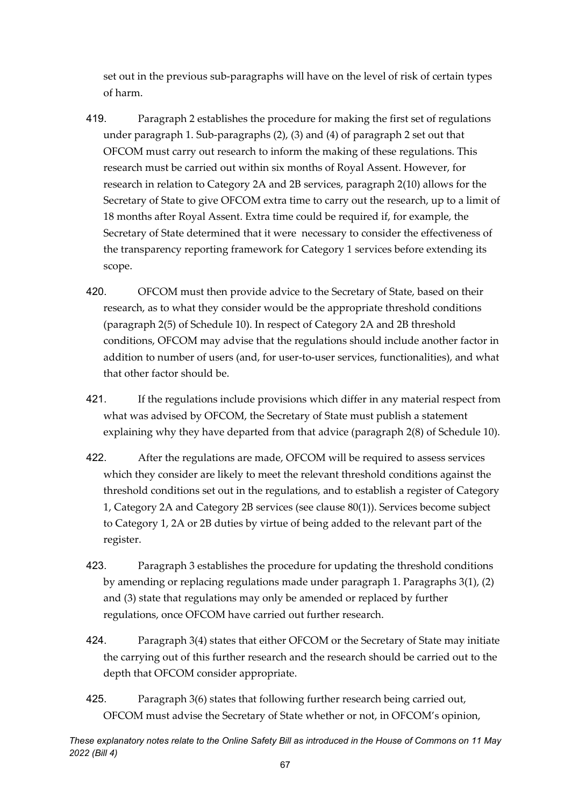set out in the previous sub-paragraphs will have on the level of risk of certain types of harm.

- 419. Paragraph 2 establishes the procedure for making the first set of regulations under paragraph 1. Sub-paragraphs (2), (3) and (4) of paragraph 2 set out that OFCOM must carry out research to inform the making of these regulations. This research must be carried out within six months of Royal Assent. However, for research in relation to Category 2A and 2B services, paragraph 2(10) allows for the Secretary of State to give OFCOM extra time to carry out the research, up to a limit of 18 months after Royal Assent. Extra time could be required if, for example, the Secretary of State determined that it were necessary to consider the effectiveness of the transparency reporting framework for Category 1 services before extending its scope.
- 420. OFCOM must then provide advice to the Secretary of State, based on their research, as to what they consider would be the appropriate threshold conditions (paragraph 2(5) of Schedule 10). In respect of Category 2A and 2B threshold conditions, OFCOM may advise that the regulations should include another factor in addition to number of users (and, for user-to-user services, functionalities), and what that other factor should be.
- 421. If the regulations include provisions which differ in any material respect from what was advised by OFCOM, the Secretary of State must publish a statement explaining why they have departed from that advice (paragraph 2(8) of Schedule 10).
- 422. After the regulations are made, OFCOM will be required to assess services which they consider are likely to meet the relevant threshold conditions against the threshold conditions set out in the regulations, and to establish a register of Category 1, Category 2A and Category 2B services (see clause 80(1)). Services become subject to Category 1, 2A or 2B duties by virtue of being added to the relevant part of the register.
- 423. Paragraph 3 establishes the procedure for updating the threshold conditions by amending or replacing regulations made under paragraph 1. Paragraphs 3(1), (2) and (3) state that regulations may only be amended or replaced by further regulations, once OFCOM have carried out further research.
- 424. Paragraph 3(4) states that either OFCOM or the Secretary of State may initiate the carrying out of this further research and the research should be carried out to the depth that OFCOM consider appropriate.
- 425. Paragraph 3(6) states that following further research being carried out, OFCOM must advise the Secretary of State whether or not, in OFCOM's opinion,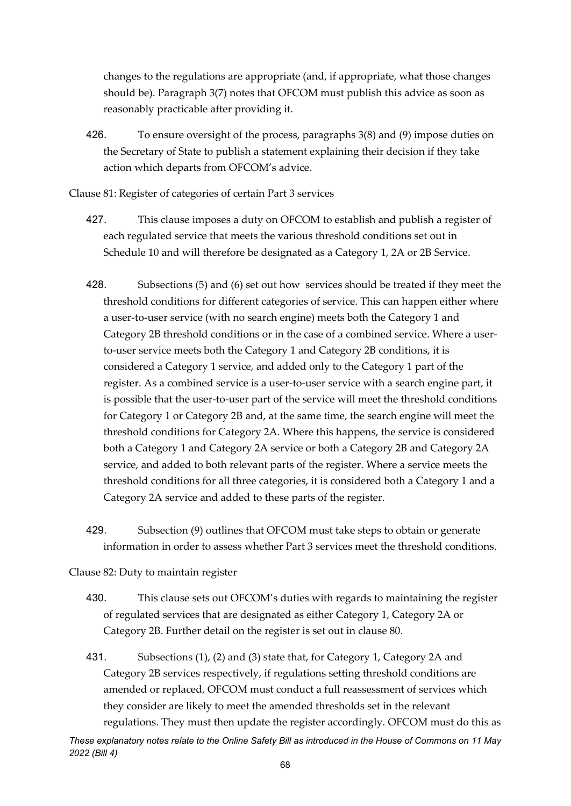changes to the regulations are appropriate (and, if appropriate, what those changes should be). Paragraph 3(7) notes that OFCOM must publish this advice as soon as reasonably practicable after providing it.

426. To ensure oversight of the process, paragraphs 3(8) and (9) impose duties on the Secretary of State to publish a statement explaining their decision if they take action which departs from OFCOM's advice.

Clause 81: Register of categories of certain Part 3 services

- 427. This clause imposes a duty on OFCOM to establish and publish a register of each regulated service that meets the various threshold conditions set out in Schedule 10 and will therefore be designated as a Category 1, 2A or 2B Service.
- 428. Subsections (5) and (6) set out how services should be treated if they meet the threshold conditions for different categories of service. This can happen either where a user-to-user service (with no search engine) meets both the Category 1 and Category 2B threshold conditions or in the case of a combined service. Where a userto-user service meets both the Category 1 and Category 2B conditions, it is considered a Category 1 service, and added only to the Category 1 part of the register. As a combined service is a user-to-user service with a search engine part, it is possible that the user-to-user part of the service will meet the threshold conditions for Category 1 or Category 2B and, at the same time, the search engine will meet the threshold conditions for Category 2A. Where this happens, the service is considered both a Category 1 and Category 2A service or both a Category 2B and Category 2A service, and added to both relevant parts of the register. Where a service meets the threshold conditions for all three categories, it is considered both a Category 1 and a Category 2A service and added to these parts of the register.
- 429. Subsection (9) outlines that OFCOM must take steps to obtain or generate information in order to assess whether Part 3 services meet the threshold conditions.

Clause 82: Duty to maintain register

- 430. This clause sets out OFCOM's duties with regards to maintaining the register of regulated services that are designated as either Category 1, Category 2A or Category 2B. Further detail on the register is set out in clause 80.
- 431. Subsections (1), (2) and (3) state that, for Category 1, Category 2A and Category 2B services respectively, if regulations setting threshold conditions are amended or replaced, OFCOM must conduct a full reassessment of services which they consider are likely to meet the amended thresholds set in the relevant regulations. They must then update the register accordingly. OFCOM must do this as

*These explanatory notes relate to the Online Safety Bill as introduced in the House of Commons on 11 May 2022 (Bill 4)*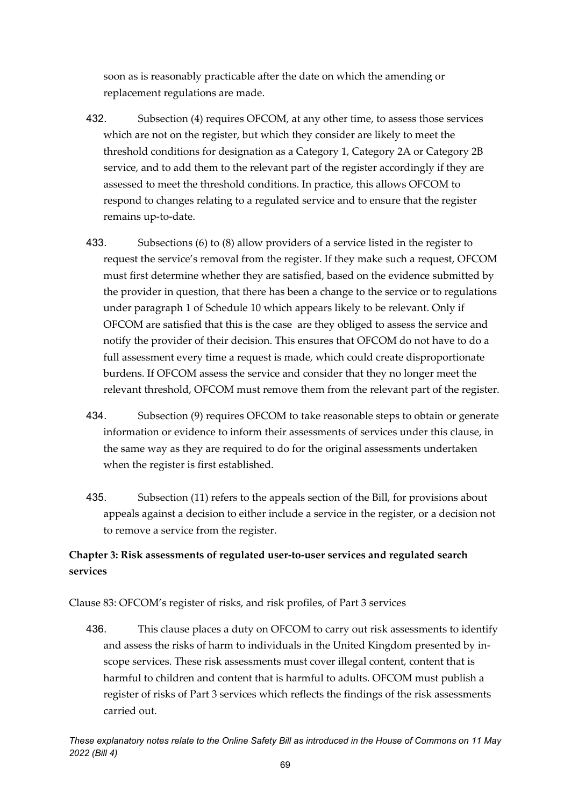soon as is reasonably practicable after the date on which the amending or replacement regulations are made.

- 432. Subsection (4) requires OFCOM, at any other time, to assess those services which are not on the register, but which they consider are likely to meet the threshold conditions for designation as a Category 1, Category 2A or Category 2B service, and to add them to the relevant part of the register accordingly if they are assessed to meet the threshold conditions. In practice, this allows OFCOM to respond to changes relating to a regulated service and to ensure that the register remains up-to-date.
- 433. Subsections (6) to (8) allow providers of a service listed in the register to request the service's removal from the register. If they make such a request, OFCOM must first determine whether they are satisfied, based on the evidence submitted by the provider in question, that there has been a change to the service or to regulations under paragraph 1 of Schedule 10 which appears likely to be relevant. Only if OFCOM are satisfied that this is the case are they obliged to assess the service and notify the provider of their decision. This ensures that OFCOM do not have to do a full assessment every time a request is made, which could create disproportionate burdens. If OFCOM assess the service and consider that they no longer meet the relevant threshold, OFCOM must remove them from the relevant part of the register.
- 434. Subsection (9) requires OFCOM to take reasonable steps to obtain or generate information or evidence to inform their assessments of services under this clause, in the same way as they are required to do for the original assessments undertaken when the register is first established.
- 435. Subsection (11) refers to the appeals section of the Bill, for provisions about appeals against a decision to either include a service in the register, or a decision not to remove a service from the register.

# **Chapter 3: Risk assessments of regulated user-to-user services and regulated search services**

Clause 83: OFCOM's register of risks, and risk profiles, of Part 3 services

436. This clause places a duty on OFCOM to carry out risk assessments to identify and assess the risks of harm to individuals in the United Kingdom presented by inscope services. These risk assessments must cover illegal content, content that is harmful to children and content that is harmful to adults. OFCOM must publish a register of risks of Part 3 services which reflects the findings of the risk assessments carried out.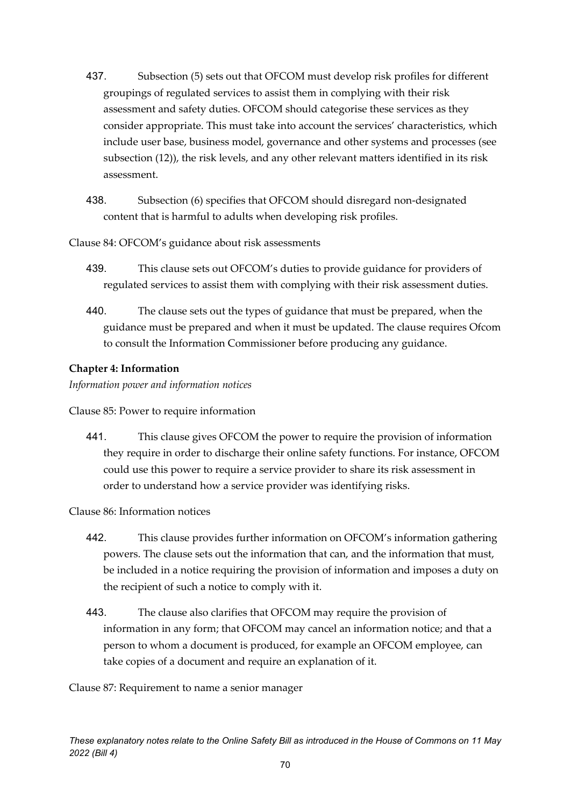- 437. Subsection (5) sets out that OFCOM must develop risk profiles for different groupings of regulated services to assist them in complying with their risk assessment and safety duties. OFCOM should categorise these services as they consider appropriate. This must take into account the services' characteristics, which include user base, business model, governance and other systems and processes (see subsection (12)), the risk levels, and any other relevant matters identified in its risk assessment.
- 438. Subsection (6) specifies that OFCOM should disregard non-designated content that is harmful to adults when developing risk profiles.

Clause 84: OFCOM's guidance about risk assessments

- 439. This clause sets out OFCOM's duties to provide guidance for providers of regulated services to assist them with complying with their risk assessment duties.
- 440. The clause sets out the types of guidance that must be prepared, when the guidance must be prepared and when it must be updated. The clause requires Ofcom to consult the Information Commissioner before producing any guidance.

### **Chapter 4: Information**

*Information power and information notices*

Clause 85: Power to require information

441. This clause gives OFCOM the power to require the provision of information they require in order to discharge their online safety functions. For instance, OFCOM could use this power to require a service provider to share its risk assessment in order to understand how a service provider was identifying risks.

### Clause 86: Information notices

- 442. This clause provides further information on OFCOM's information gathering powers. The clause sets out the information that can, and the information that must, be included in a notice requiring the provision of information and imposes a duty on the recipient of such a notice to comply with it.
- 443. The clause also clarifies that OFCOM may require the provision of information in any form; that OFCOM may cancel an information notice; and that a person to whom a document is produced, for example an OFCOM employee, can take copies of a document and require an explanation of it.

Clause 87: Requirement to name a senior manager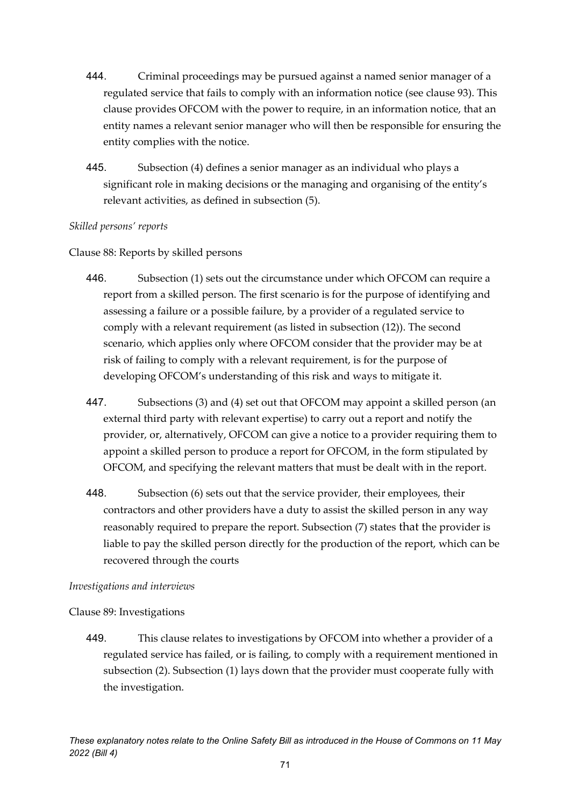- 444. Criminal proceedings may be pursued against a named senior manager of a regulated service that fails to comply with an information notice (see clause 93). This clause provides OFCOM with the power to require, in an information notice, that an entity names a relevant senior manager who will then be responsible for ensuring the entity complies with the notice.
- 445. Subsection (4) defines a senior manager as an individual who plays a significant role in making decisions or the managing and organising of the entity's relevant activities, as defined in subsection (5).

### *Skilled persons' reports*

### Clause 88: Reports by skilled persons

- 446. Subsection (1) sets out the circumstance under which OFCOM can require a report from a skilled person. The first scenario is for the purpose of identifying and assessing a failure or a possible failure, by a provider of a regulated service to comply with a relevant requirement (as listed in subsection (12)). The second scenario, which applies only where OFCOM consider that the provider may be at risk of failing to comply with a relevant requirement, is for the purpose of developing OFCOM's understanding of this risk and ways to mitigate it.
- 447. Subsections (3) and (4) set out that OFCOM may appoint a skilled person (an external third party with relevant expertise) to carry out a report and notify the provider, or, alternatively, OFCOM can give a notice to a provider requiring them to appoint a skilled person to produce a report for OFCOM, in the form stipulated by OFCOM, and specifying the relevant matters that must be dealt with in the report.
- 448. Subsection (6) sets out that the service provider, their employees, their contractors and other providers have a duty to assist the skilled person in any way reasonably required to prepare the report. Subsection (7) states that the provider is liable to pay the skilled person directly for the production of the report, which can be recovered through the courts

### *Investigations and interviews*

# Clause 89: Investigations

449. This clause relates to investigations by OFCOM into whether a provider of a regulated service has failed, or is failing, to comply with a requirement mentioned in subsection (2). Subsection (1) lays down that the provider must cooperate fully with the investigation.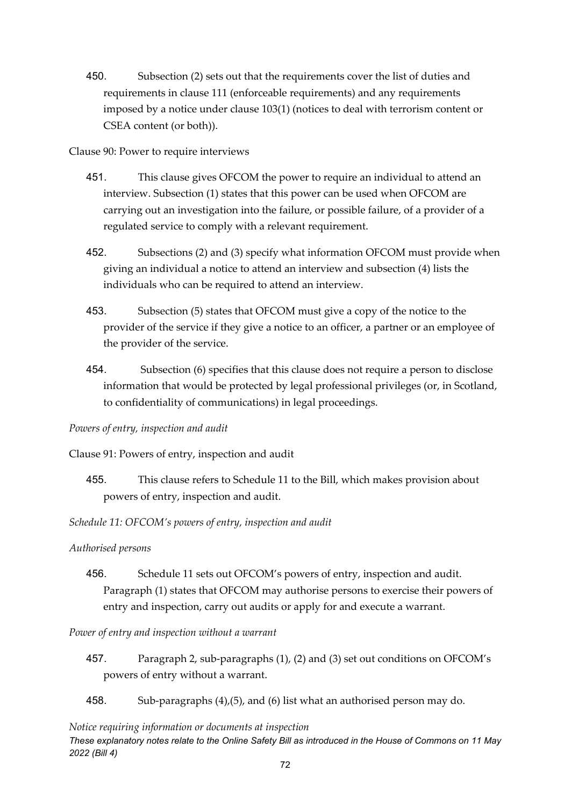450. Subsection (2) sets out that the requirements cover the list of duties and requirements in clause 111 (enforceable requirements) and any requirements imposed by a notice under clause 103(1) (notices to deal with terrorism content or CSEA content (or both)).

Clause 90: Power to require interviews

- 451. This clause gives OFCOM the power to require an individual to attend an interview. Subsection (1) states that this power can be used when OFCOM are carrying out an investigation into the failure, or possible failure, of a provider of a regulated service to comply with a relevant requirement.
- 452. Subsections (2) and (3) specify what information OFCOM must provide when giving an individual a notice to attend an interview and subsection (4) lists the individuals who can be required to attend an interview.
- 453. Subsection (5) states that OFCOM must give a copy of the notice to the provider of the service if they give a notice to an officer, a partner or an employee of the provider of the service.
- 454. Subsection (6) specifies that this clause does not require a person to disclose information that would be protected by legal professional privileges (or, in Scotland, to confidentiality of communications) in legal proceedings.

# *Powers of entry, inspection and audit*

Clause 91: Powers of entry, inspection and audit

455. This clause refers to Schedule 11 to the Bill, which makes provision about powers of entry, inspection and audit.

# *Schedule 11: OFCOM's powers of entry, inspection and audit*

### *Authorised persons*

456. Schedule 11 sets out OFCOM's powers of entry, inspection and audit. Paragraph (1) states that OFCOM may authorise persons to exercise their powers of entry and inspection, carry out audits or apply for and execute a warrant.

### *Power of entry and inspection without a warrant*

- 457. Paragraph 2, sub-paragraphs (1), (2) and (3) set out conditions on OFCOM's powers of entry without a warrant.
- 458. Sub-paragraphs (4),(5), and (6) list what an authorised person may do.

### *Notice requiring information or documents at inspection*

*These explanatory notes relate to the Online Safety Bill as introduced in the House of Commons on 11 May 2022 (Bill 4)*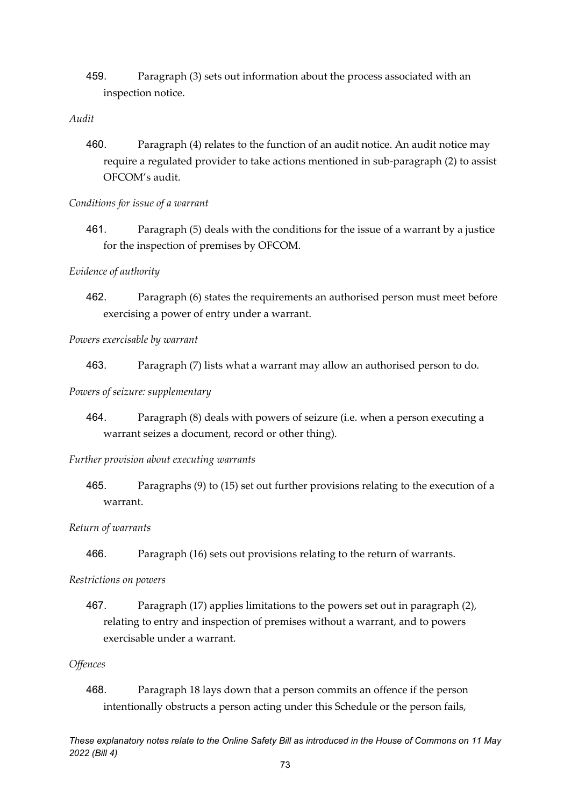459. Paragraph (3) sets out information about the process associated with an inspection notice.

#### *Audit*

460. Paragraph (4) relates to the function of an audit notice. An audit notice may require a regulated provider to take actions mentioned in sub-paragraph (2) to assist OFCOM's audit.

#### *Conditions for issue of a warrant*

461. Paragraph (5) deals with the conditions for the issue of a warrant by a justice for the inspection of premises by OFCOM.

#### *Evidence of authority*

462. Paragraph (6) states the requirements an authorised person must meet before exercising a power of entry under a warrant.

#### *Powers exercisable by warrant*

463. Paragraph (7) lists what a warrant may allow an authorised person to do.

#### *Powers of seizure: supplementary*

464. Paragraph (8) deals with powers of seizure (i.e. when a person executing a warrant seizes a document, record or other thing).

#### *Further provision about executing warrants*

465. Paragraphs (9) to (15) set out further provisions relating to the execution of a warrant.

#### *Return of warrants*

466. Paragraph (16) sets out provisions relating to the return of warrants.

#### *Restrictions on powers*

467. Paragraph (17) applies limitations to the powers set out in paragraph (2), relating to entry and inspection of premises without a warrant, and to powers exercisable under a warrant.

#### *Offences*

468. Paragraph 18 lays down that a person commits an offence if the person intentionally obstructs a person acting under this Schedule or the person fails,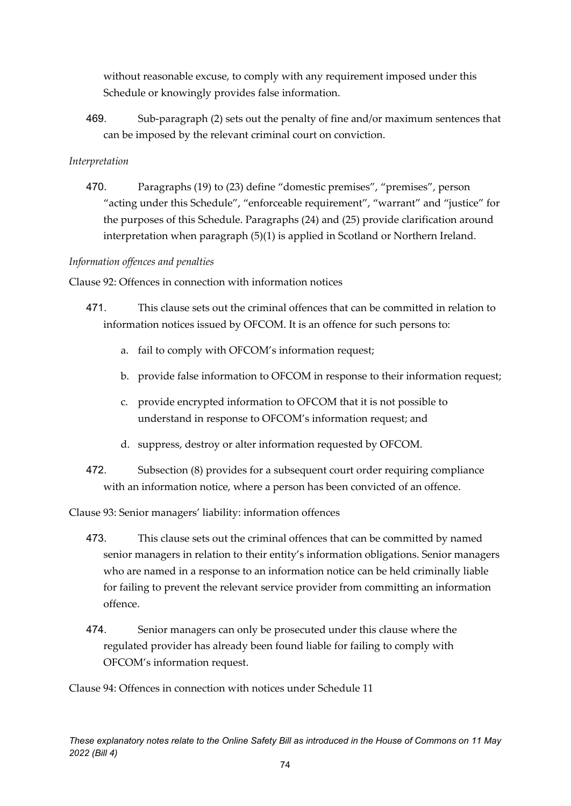without reasonable excuse, to comply with any requirement imposed under this Schedule or knowingly provides false information.

469. Sub-paragraph (2) sets out the penalty of fine and/or maximum sentences that can be imposed by the relevant criminal court on conviction.

#### *Interpretation*

470. Paragraphs (19) to (23) define "domestic premises", "premises", person "acting under this Schedule", "enforceable requirement", "warrant" and "justice" for the purposes of this Schedule. Paragraphs (24) and (25) provide clarification around interpretation when paragraph (5)(1) is applied in Scotland or Northern Ireland.

#### *Information offences and penalties*

Clause 92: Offences in connection with information notices

- 471. This clause sets out the criminal offences that can be committed in relation to information notices issued by OFCOM. It is an offence for such persons to:
	- a. fail to comply with OFCOM's information request;
	- b. provide false information to OFCOM in response to their information request;
	- c. provide encrypted information to OFCOM that it is not possible to understand in response to OFCOM's information request; and
	- d. suppress, destroy or alter information requested by OFCOM.
- 472. Subsection (8) provides for a subsequent court order requiring compliance with an information notice, where a person has been convicted of an offence.

Clause 93: Senior managers' liability: information offences

- 473. This clause sets out the criminal offences that can be committed by named senior managers in relation to their entity's information obligations. Senior managers who are named in a response to an information notice can be held criminally liable for failing to prevent the relevant service provider from committing an information offence.
- 474. Senior managers can only be prosecuted under this clause where the regulated provider has already been found liable for failing to comply with OFCOM's information request.

Clause 94: Offences in connection with notices under Schedule 11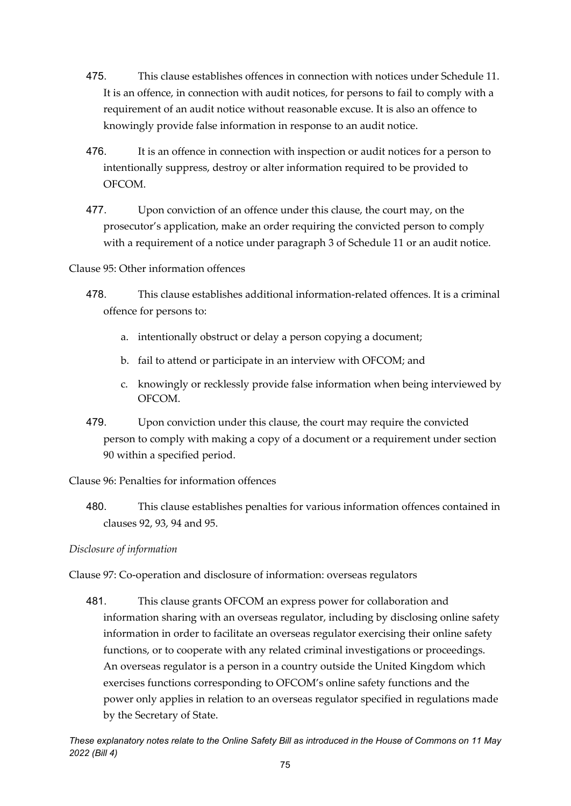- 475. This clause establishes offences in connection with notices under Schedule 11. It is an offence, in connection with audit notices, for persons to fail to comply with a requirement of an audit notice without reasonable excuse. It is also an offence to knowingly provide false information in response to an audit notice.
- 476. It is an offence in connection with inspection or audit notices for a person to intentionally suppress, destroy or alter information required to be provided to OFCOM.
- 477. Upon conviction of an offence under this clause, the court may, on the prosecutor's application, make an order requiring the convicted person to comply with a requirement of a notice under paragraph 3 of Schedule 11 or an audit notice.
- Clause 95: Other information offences
	- 478. This clause establishes additional information-related offences. It is a criminal offence for persons to:
		- a. intentionally obstruct or delay a person copying a document;
		- b. fail to attend or participate in an interview with OFCOM; and
		- c. knowingly or recklessly provide false information when being interviewed by OFCOM.
	- 479. Upon conviction under this clause, the court may require the convicted person to comply with making a copy of a document or a requirement under section 90 within a specified period.

Clause 96: Penalties for information offences

480. This clause establishes penalties for various information offences contained in clauses 92, 93, 94 and 95.

*Disclosure of information*

Clause 97: Co-operation and disclosure of information: overseas regulators

481. This clause grants OFCOM an express power for collaboration and information sharing with an overseas regulator, including by disclosing online safety information in order to facilitate an overseas regulator exercising their online safety functions, or to cooperate with any related criminal investigations or proceedings. An overseas regulator is a person in a country outside the United Kingdom which exercises functions corresponding to OFCOM's online safety functions and the power only applies in relation to an overseas regulator specified in regulations made by the Secretary of State.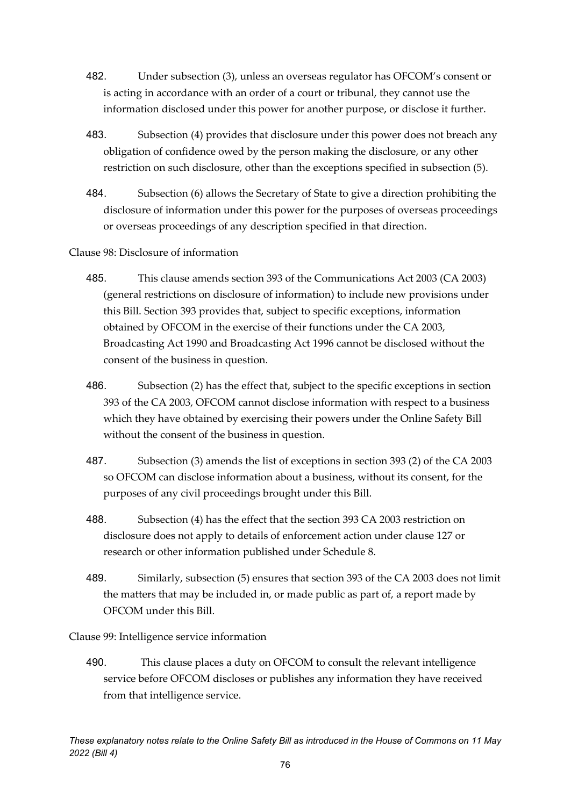- 482. Under subsection (3), unless an overseas regulator has OFCOM's consent or is acting in accordance with an order of a court or tribunal, they cannot use the information disclosed under this power for another purpose, or disclose it further.
- 483. Subsection (4) provides that disclosure under this power does not breach any obligation of confidence owed by the person making the disclosure, or any other restriction on such disclosure, other than the exceptions specified in subsection (5).
- 484. Subsection (6) allows the Secretary of State to give a direction prohibiting the disclosure of information under this power for the purposes of overseas proceedings or overseas proceedings of any description specified in that direction.

#### Clause 98: Disclosure of information

- 485. This clause amends section 393 of the Communications Act 2003 (CA 2003) (general restrictions on disclosure of information) to include new provisions under this Bill. Section 393 provides that, subject to specific exceptions, information obtained by OFCOM in the exercise of their functions under the CA 2003, Broadcasting Act 1990 and Broadcasting Act 1996 cannot be disclosed without the consent of the business in question.
- 486. Subsection (2) has the effect that, subject to the specific exceptions in section 393 of the CA 2003, OFCOM cannot disclose information with respect to a business which they have obtained by exercising their powers under the Online Safety Bill without the consent of the business in question.
- 487. Subsection (3) amends the list of exceptions in section 393 (2) of the CA 2003 so OFCOM can disclose information about a business, without its consent, for the purposes of any civil proceedings brought under this Bill.
- 488. Subsection (4) has the effect that the section 393 CA 2003 restriction on disclosure does not apply to details of enforcement action under clause 127 or research or other information published under Schedule 8.
- 489. Similarly, subsection (5) ensures that section 393 of the CA 2003 does not limit the matters that may be included in, or made public as part of, a report made by OFCOM under this Bill.

Clause 99: Intelligence service information

490. This clause places a duty on OFCOM to consult the relevant intelligence service before OFCOM discloses or publishes any information they have received from that intelligence service.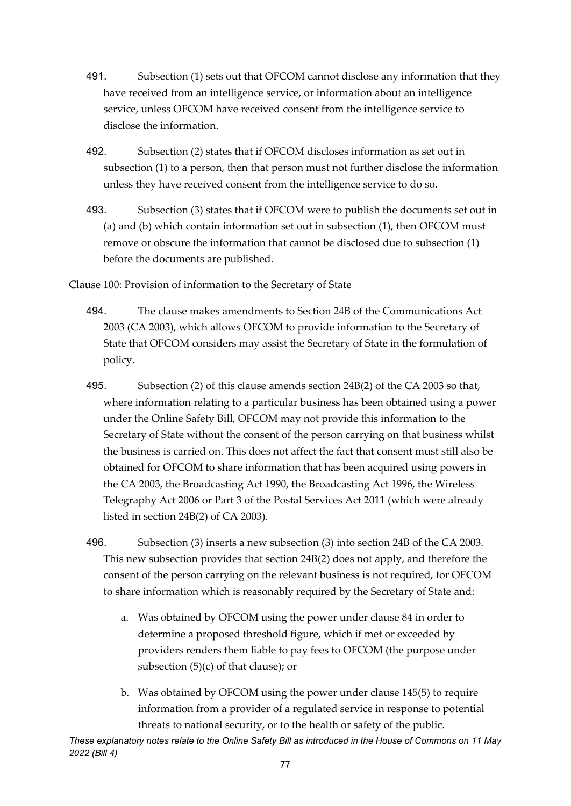- 491. Subsection (1) sets out that OFCOM cannot disclose any information that they have received from an intelligence service, or information about an intelligence service, unless OFCOM have received consent from the intelligence service to disclose the information.
- 492. Subsection (2) states that if OFCOM discloses information as set out in subsection (1) to a person, then that person must not further disclose the information unless they have received consent from the intelligence service to do so.
- 493. Subsection (3) states that if OFCOM were to publish the documents set out in (a) and (b) which contain information set out in subsection (1), then OFCOM must remove or obscure the information that cannot be disclosed due to subsection (1) before the documents are published.
- Clause 100: Provision of information to the Secretary of State
	- 494. The clause makes amendments to Section 24B of the Communications Act 2003 (CA 2003), which allows OFCOM to provide information to the Secretary of State that OFCOM considers may assist the Secretary of State in the formulation of policy.
	- 495. Subsection (2) of this clause amends section 24B(2) of the CA 2003 so that, where information relating to a particular business has been obtained using a power under the Online Safety Bill, OFCOM may not provide this information to the Secretary of State without the consent of the person carrying on that business whilst the business is carried on. This does not affect the fact that consent must still also be obtained for OFCOM to share information that has been acquired using powers in the CA 2003, the Broadcasting Act 1990, the Broadcasting Act 1996, the Wireless Telegraphy Act 2006 or Part 3 of the Postal Services Act 2011 (which were already listed in section 24B(2) of CA 2003).
	- 496. Subsection (3) inserts a new subsection (3) into section 24B of the CA 2003. This new subsection provides that section 24B(2) does not apply, and therefore the consent of the person carrying on the relevant business is not required, for OFCOM to share information which is reasonably required by the Secretary of State and:
		- a. Was obtained by OFCOM using the power under clause 84 in order to determine a proposed threshold figure, which if met or exceeded by providers renders them liable to pay fees to OFCOM (the purpose under subsection  $(5)(c)$  of that clause); or
		- b. Was obtained by OFCOM using the power under clause 145(5) to require information from a provider of a regulated service in response to potential threats to national security, or to the health or safety of the public.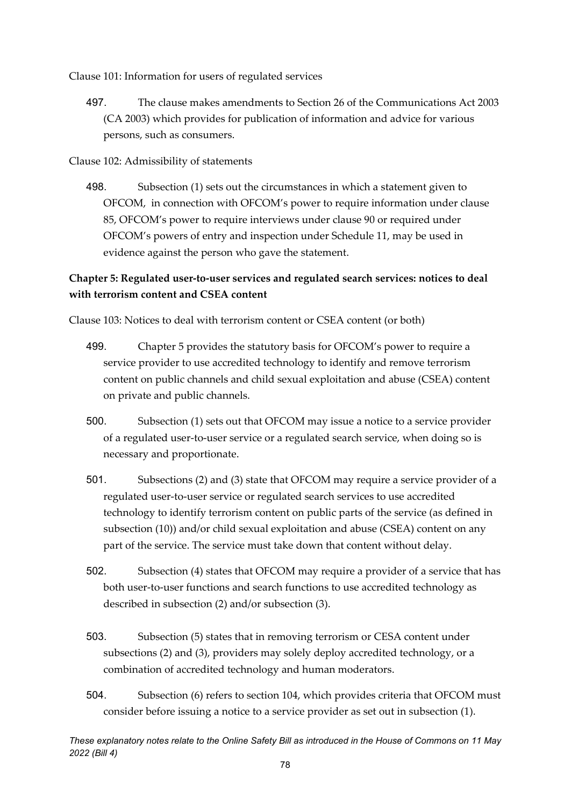Clause 101: Information for users of regulated services

497. The clause makes amendments to Section 26 of the Communications Act 2003 (CA 2003) which provides for publication of information and advice for various persons, such as consumers.

Clause 102: Admissibility of statements

498. Subsection (1) sets out the circumstances in which a statement given to OFCOM, in connection with OFCOM's power to require information under clause 85, OFCOM's power to require interviews under clause 90 or required under OFCOM's powers of entry and inspection under Schedule 11, may be used in evidence against the person who gave the statement.

### **Chapter 5: Regulated user-to-user services and regulated search services: notices to deal with terrorism content and CSEA content**

Clause 103: Notices to deal with terrorism content or CSEA content (or both)

- 499. Chapter 5 provides the statutory basis for OFCOM's power to require a service provider to use accredited technology to identify and remove terrorism content on public channels and child sexual exploitation and abuse (CSEA) content on private and public channels.
- 500. Subsection (1) sets out that OFCOM may issue a notice to a service provider of a regulated user-to-user service or a regulated search service, when doing so is necessary and proportionate.
- 501. Subsections (2) and (3) state that OFCOM may require a service provider of a regulated user-to-user service or regulated search services to use accredited technology to identify terrorism content on public parts of the service (as defined in subsection (10)) and/or child sexual exploitation and abuse (CSEA) content on any part of the service. The service must take down that content without delay.
- 502. Subsection (4) states that OFCOM may require a provider of a service that has both user-to-user functions and search functions to use accredited technology as described in subsection (2) and/or subsection (3).
- 503. Subsection (5) states that in removing terrorism or CESA content under subsections (2) and (3), providers may solely deploy accredited technology, or a combination of accredited technology and human moderators.
- 504. Subsection (6) refers to section 104, which provides criteria that OFCOM must consider before issuing a notice to a service provider as set out in subsection (1).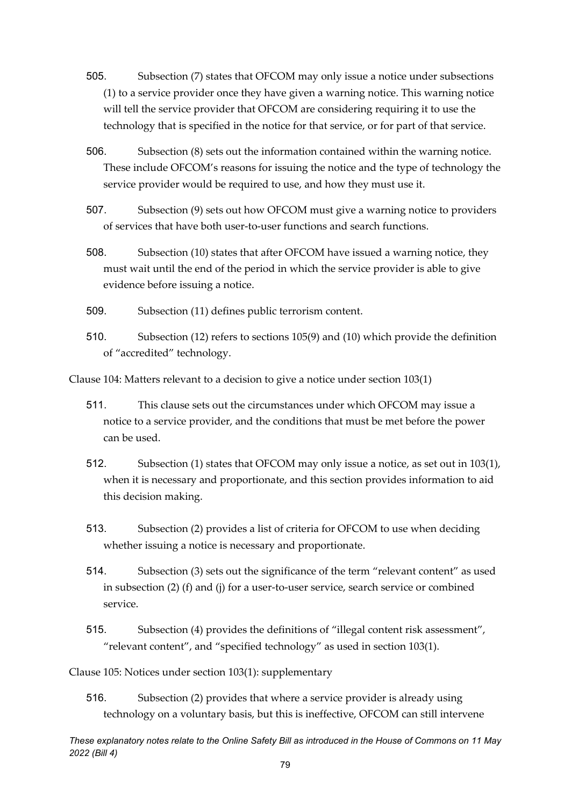- 505. Subsection (7) states that OFCOM may only issue a notice under subsections (1) to a service provider once they have given a warning notice. This warning notice will tell the service provider that OFCOM are considering requiring it to use the technology that is specified in the notice for that service, or for part of that service.
- 506. Subsection (8) sets out the information contained within the warning notice. These include OFCOM's reasons for issuing the notice and the type of technology the service provider would be required to use, and how they must use it.
- 507. Subsection (9) sets out how OFCOM must give a warning notice to providers of services that have both user-to-user functions and search functions.
- 508. Subsection (10) states that after OFCOM have issued a warning notice, they must wait until the end of the period in which the service provider is able to give evidence before issuing a notice.
- 509. Subsection (11) defines public terrorism content.
- 510. Subsection (12) refers to sections 105(9) and (10) which provide the definition of "accredited" technology.

Clause 104: Matters relevant to a decision to give a notice under section 103(1)

- 511. This clause sets out the circumstances under which OFCOM may issue a notice to a service provider, and the conditions that must be met before the power can be used.
- 512. Subsection (1) states that OFCOM may only issue a notice, as set out in 103(1), when it is necessary and proportionate, and this section provides information to aid this decision making.
- 513. Subsection (2) provides a list of criteria for OFCOM to use when deciding whether issuing a notice is necessary and proportionate.
- 514. Subsection (3) sets out the significance of the term "relevant content" as used in subsection (2) (f) and (j) for a user-to-user service, search service or combined service.
- 515. Subsection (4) provides the definitions of "illegal content risk assessment", "relevant content", and "specified technology" as used in section 103(1).

Clause 105: Notices under section 103(1): supplementary

516. Subsection (2) provides that where a service provider is already using technology on a voluntary basis, but this is ineffective, OFCOM can still intervene

*These explanatory notes relate to the Online Safety Bill as introduced in the House of Commons on 11 May 2022 (Bill 4)*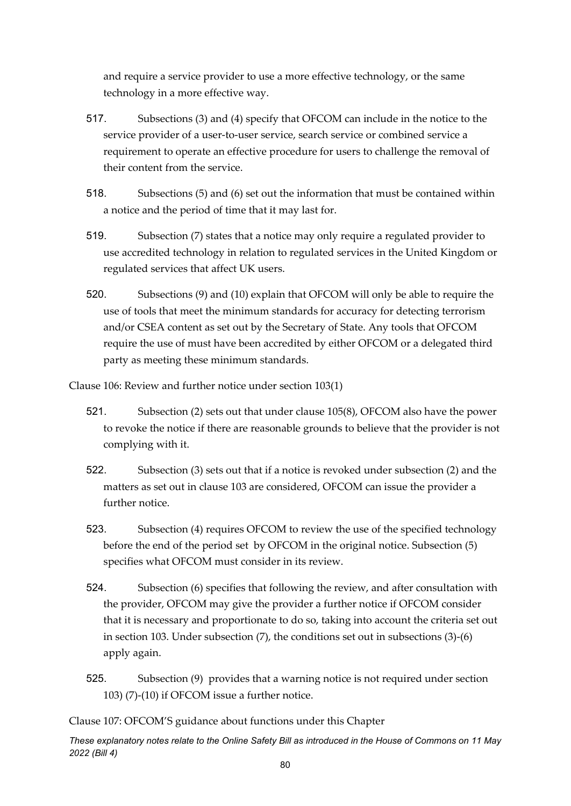and require a service provider to use a more effective technology, or the same technology in a more effective way.

- 517. Subsections (3) and (4) specify that OFCOM can include in the notice to the service provider of a user-to-user service, search service or combined service a requirement to operate an effective procedure for users to challenge the removal of their content from the service.
- 518. Subsections (5) and (6) set out the information that must be contained within a notice and the period of time that it may last for.
- 519. Subsection (7) states that a notice may only require a regulated provider to use accredited technology in relation to regulated services in the United Kingdom or regulated services that affect UK users.
- 520. Subsections (9) and (10) explain that OFCOM will only be able to require the use of tools that meet the minimum standards for accuracy for detecting terrorism and/or CSEA content as set out by the Secretary of State. Any tools that OFCOM require the use of must have been accredited by either OFCOM or a delegated third party as meeting these minimum standards.

Clause 106: Review and further notice under section 103(1)

- 521. Subsection (2) sets out that under clause 105(8), OFCOM also have the power to revoke the notice if there are reasonable grounds to believe that the provider is not complying with it.
- 522. Subsection (3) sets out that if a notice is revoked under subsection (2) and the matters as set out in clause 103 are considered, OFCOM can issue the provider a further notice.
- 523. Subsection (4) requires OFCOM to review the use of the specified technology before the end of the period set by OFCOM in the original notice. Subsection (5) specifies what OFCOM must consider in its review.
- 524. Subsection (6) specifies that following the review, and after consultation with the provider, OFCOM may give the provider a further notice if OFCOM consider that it is necessary and proportionate to do so, taking into account the criteria set out in section 103. Under subsection (7), the conditions set out in subsections (3)-(6) apply again.
- 525. Subsection (9) provides that a warning notice is not required under section 103) (7)-(10) if OFCOM issue a further notice.

Clause 107: OFCOM'S guidance about functions under this Chapter

*These explanatory notes relate to the Online Safety Bill as introduced in the House of Commons on 11 May 2022 (Bill 4)*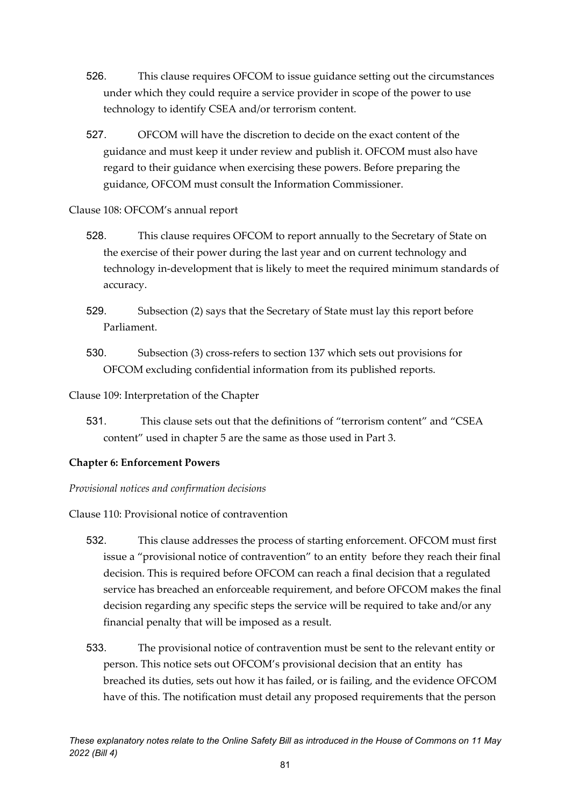- 526. This clause requires OFCOM to issue guidance setting out the circumstances under which they could require a service provider in scope of the power to use technology to identify CSEA and/or terrorism content.
- 527. OFCOM will have the discretion to decide on the exact content of the guidance and must keep it under review and publish it. OFCOM must also have regard to their guidance when exercising these powers. Before preparing the guidance, OFCOM must consult the Information Commissioner.

#### Clause 108: OFCOM's annual report

- 528. This clause requires OFCOM to report annually to the Secretary of State on the exercise of their power during the last year and on current technology and technology in-development that is likely to meet the required minimum standards of accuracy.
- 529. Subsection (2) says that the Secretary of State must lay this report before Parliament.
- 530. Subsection (3) cross-refers to section 137 which sets out provisions for OFCOM excluding confidential information from its published reports.

Clause 109: Interpretation of the Chapter

531. This clause sets out that the definitions of "terrorism content" and "CSEA content" used in chapter 5 are the same as those used in Part 3.

#### **Chapter 6: Enforcement Powers**

*Provisional notices and confirmation decisions*

Clause 110: Provisional notice of contravention

- 532. This clause addresses the process of starting enforcement. OFCOM must first issue a "provisional notice of contravention" to an entity before they reach their final decision. This is required before OFCOM can reach a final decision that a regulated service has breached an enforceable requirement, and before OFCOM makes the final decision regarding any specific steps the service will be required to take and/or any financial penalty that will be imposed as a result.
- 533. The provisional notice of contravention must be sent to the relevant entity or person. This notice sets out OFCOM's provisional decision that an entity has breached its duties, sets out how it has failed, or is failing, and the evidence OFCOM have of this. The notification must detail any proposed requirements that the person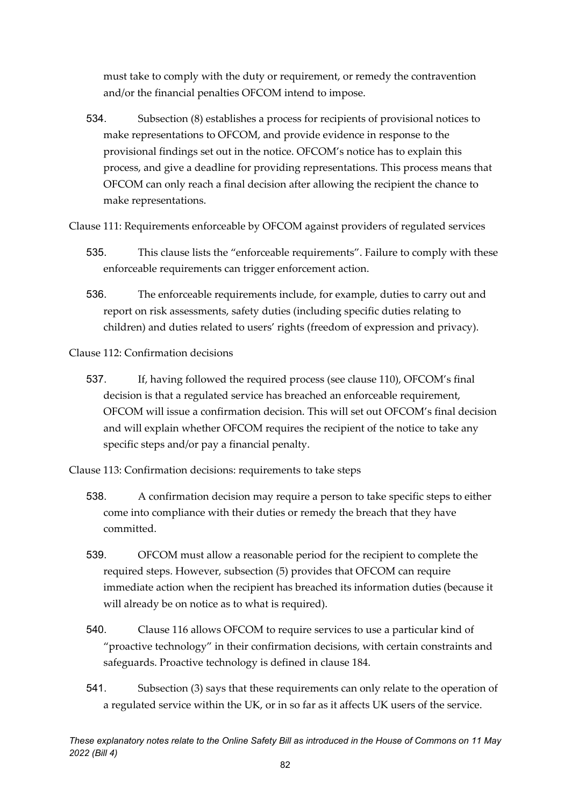must take to comply with the duty or requirement, or remedy the contravention and/or the financial penalties OFCOM intend to impose.

534. Subsection (8) establishes a process for recipients of provisional notices to make representations to OFCOM, and provide evidence in response to the provisional findings set out in the notice. OFCOM's notice has to explain this process, and give a deadline for providing representations. This process means that OFCOM can only reach a final decision after allowing the recipient the chance to make representations.

Clause 111: Requirements enforceable by OFCOM against providers of regulated services

- 535. This clause lists the "enforceable requirements". Failure to comply with these enforceable requirements can trigger enforcement action.
- 536. The enforceable requirements include, for example, duties to carry out and report on risk assessments, safety duties (including specific duties relating to children) and duties related to users' rights (freedom of expression and privacy).

Clause 112: Confirmation decisions

537. If, having followed the required process (see clause 110), OFCOM's final decision is that a regulated service has breached an enforceable requirement, OFCOM will issue a confirmation decision. This will set out OFCOM's final decision and will explain whether OFCOM requires the recipient of the notice to take any specific steps and/or pay a financial penalty.

Clause 113: Confirmation decisions: requirements to take steps

- 538. A confirmation decision may require a person to take specific steps to either come into compliance with their duties or remedy the breach that they have committed.
- 539. OFCOM must allow a reasonable period for the recipient to complete the required steps. However, subsection (5) provides that OFCOM can require immediate action when the recipient has breached its information duties (because it will already be on notice as to what is required).
- 540. Clause 116 allows OFCOM to require services to use a particular kind of "proactive technology" in their confirmation decisions, with certain constraints and safeguards. Proactive technology is defined in clause 184.
- 541. Subsection (3) says that these requirements can only relate to the operation of a regulated service within the UK, or in so far as it affects UK users of the service.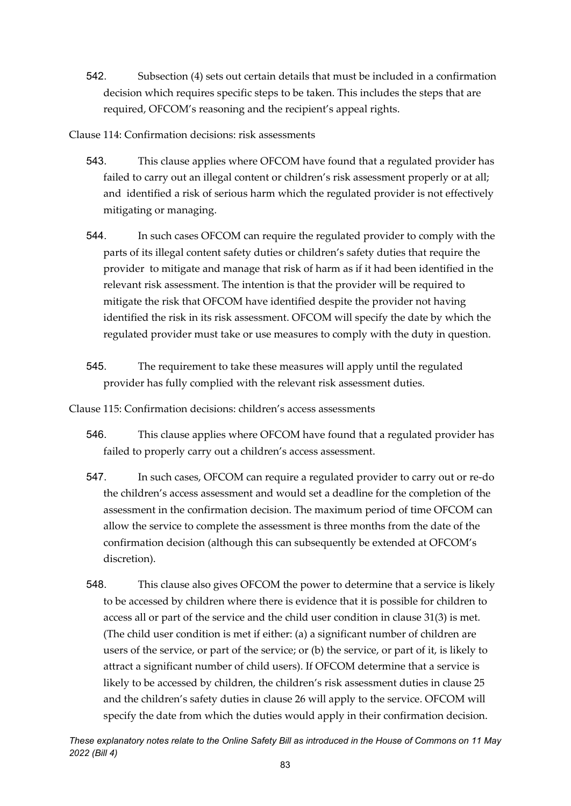- 542. Subsection (4) sets out certain details that must be included in a confirmation decision which requires specific steps to be taken. This includes the steps that are required, OFCOM's reasoning and the recipient's appeal rights.
- Clause 114: Confirmation decisions: risk assessments
	- 543. This clause applies where OFCOM have found that a regulated provider has failed to carry out an illegal content or children's risk assessment properly or at all; and identified a risk of serious harm which the regulated provider is not effectively mitigating or managing.
	- 544. In such cases OFCOM can require the regulated provider to comply with the parts of its illegal content safety duties or children's safety duties that require the provider to mitigate and manage that risk of harm as if it had been identified in the relevant risk assessment. The intention is that the provider will be required to mitigate the risk that OFCOM have identified despite the provider not having identified the risk in its risk assessment. OFCOM will specify the date by which the regulated provider must take or use measures to comply with the duty in question.
	- 545. The requirement to take these measures will apply until the regulated provider has fully complied with the relevant risk assessment duties.

Clause 115: Confirmation decisions: children's access assessments

- 546. This clause applies where OFCOM have found that a regulated provider has failed to properly carry out a children's access assessment.
- 547. In such cases, OFCOM can require a regulated provider to carry out or re-do the children's access assessment and would set a deadline for the completion of the assessment in the confirmation decision. The maximum period of time OFCOM can allow the service to complete the assessment is three months from the date of the confirmation decision (although this can subsequently be extended at OFCOM's discretion).
- 548. This clause also gives OFCOM the power to determine that a service is likely to be accessed by children where there is evidence that it is possible for children to access all or part of the service and the child user condition in clause 31(3) is met. (The child user condition is met if either: (a) a significant number of children are users of the service, or part of the service; or (b) the service, or part of it, is likely to attract a significant number of child users). If OFCOM determine that a service is likely to be accessed by children, the children's risk assessment duties in clause 25 and the children's safety duties in clause 26 will apply to the service. OFCOM will specify the date from which the duties would apply in their confirmation decision.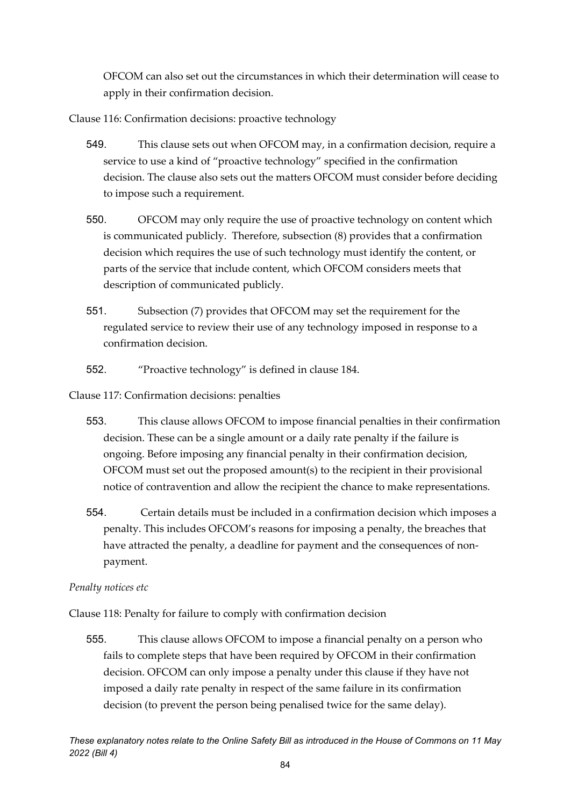OFCOM can also set out the circumstances in which their determination will cease to apply in their confirmation decision.

Clause 116: Confirmation decisions: proactive technology

- 549. This clause sets out when OFCOM may, in a confirmation decision, require a service to use a kind of "proactive technology" specified in the confirmation decision. The clause also sets out the matters OFCOM must consider before deciding to impose such a requirement.
- 550. OFCOM may only require the use of proactive technology on content which is communicated publicly. Therefore, subsection (8) provides that a confirmation decision which requires the use of such technology must identify the content, or parts of the service that include content, which OFCOM considers meets that description of communicated publicly.
- 551. Subsection (7) provides that OFCOM may set the requirement for the regulated service to review their use of any technology imposed in response to a confirmation decision.
- 552. "Proactive technology" is defined in clause 184.

Clause 117: Confirmation decisions: penalties

- 553. This clause allows OFCOM to impose financial penalties in their confirmation decision. These can be a single amount or a daily rate penalty if the failure is ongoing. Before imposing any financial penalty in their confirmation decision, OFCOM must set out the proposed amount(s) to the recipient in their provisional notice of contravention and allow the recipient the chance to make representations.
- 554. Certain details must be included in a confirmation decision which imposes a penalty. This includes OFCOM's reasons for imposing a penalty, the breaches that have attracted the penalty, a deadline for payment and the consequences of nonpayment.

#### *Penalty notices etc*

Clause 118: Penalty for failure to comply with confirmation decision

555. This clause allows OFCOM to impose a financial penalty on a person who fails to complete steps that have been required by OFCOM in their confirmation decision. OFCOM can only impose a penalty under this clause if they have not imposed a daily rate penalty in respect of the same failure in its confirmation decision (to prevent the person being penalised twice for the same delay).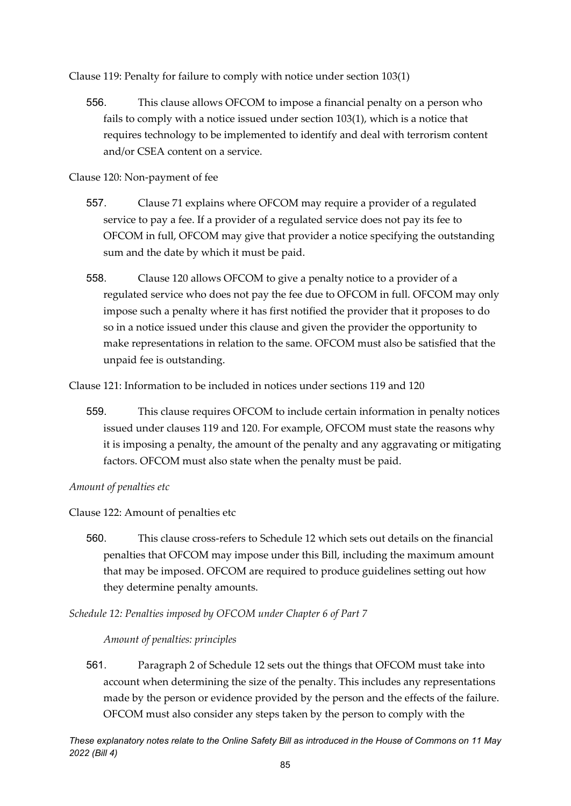Clause 119: Penalty for failure to comply with notice under section 103(1)

556. This clause allows OFCOM to impose a financial penalty on a person who fails to comply with a notice issued under section 103(1), which is a notice that requires technology to be implemented to identify and deal with terrorism content and/or CSEA content on a service.

Clause 120: Non-payment of fee

- 557. Clause 71 explains where OFCOM may require a provider of a regulated service to pay a fee. If a provider of a regulated service does not pay its fee to OFCOM in full, OFCOM may give that provider a notice specifying the outstanding sum and the date by which it must be paid.
- 558. Clause 120 allows OFCOM to give a penalty notice to a provider of a regulated service who does not pay the fee due to OFCOM in full. OFCOM may only impose such a penalty where it has first notified the provider that it proposes to do so in a notice issued under this clause and given the provider the opportunity to make representations in relation to the same. OFCOM must also be satisfied that the unpaid fee is outstanding.

Clause 121: Information to be included in notices under sections 119 and 120

559. This clause requires OFCOM to include certain information in penalty notices issued under clauses 119 and 120. For example, OFCOM must state the reasons why it is imposing a penalty, the amount of the penalty and any aggravating or mitigating factors. OFCOM must also state when the penalty must be paid.

#### *Amount of penalties etc*

Clause 122: Amount of penalties etc

560. This clause cross-refers to Schedule 12 which sets out details on the financial penalties that OFCOM may impose under this Bill, including the maximum amount that may be imposed. OFCOM are required to produce guidelines setting out how they determine penalty amounts.

*Schedule 12: Penalties imposed by OFCOM under Chapter 6 of Part 7* 

#### *Amount of penalties: principles*

561. Paragraph 2 of Schedule 12 sets out the things that OFCOM must take into account when determining the size of the penalty. This includes any representations made by the person or evidence provided by the person and the effects of the failure. OFCOM must also consider any steps taken by the person to comply with the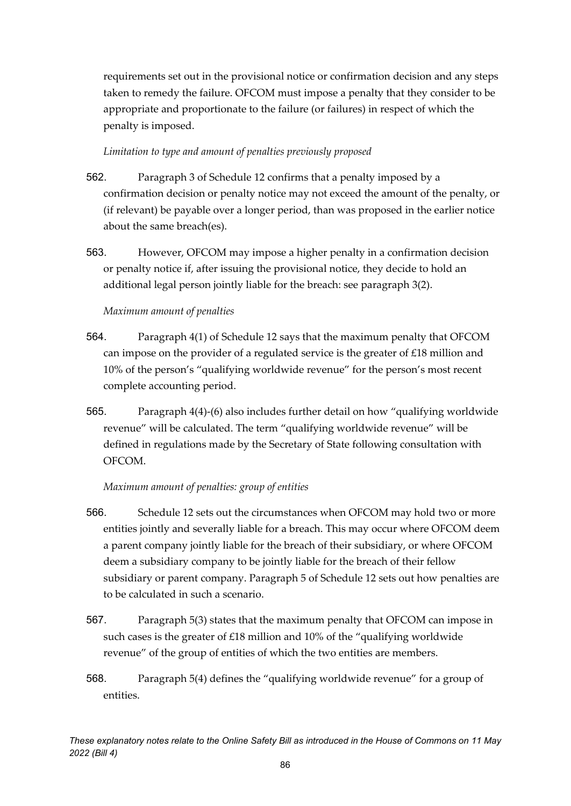requirements set out in the provisional notice or confirmation decision and any steps taken to remedy the failure. OFCOM must impose a penalty that they consider to be appropriate and proportionate to the failure (or failures) in respect of which the penalty is imposed.

#### *Limitation to type and amount of penalties previously proposed*

- 562. Paragraph 3 of Schedule 12 confirms that a penalty imposed by a confirmation decision or penalty notice may not exceed the amount of the penalty, or (if relevant) be payable over a longer period, than was proposed in the earlier notice about the same breach(es).
- 563. However, OFCOM may impose a higher penalty in a confirmation decision or penalty notice if, after issuing the provisional notice, they decide to hold an additional legal person jointly liable for the breach: see paragraph 3(2).

#### *Maximum amount of penalties*

- 564. Paragraph 4(1) of Schedule 12 says that the maximum penalty that OFCOM can impose on the provider of a regulated service is the greater of  $£18$  million and 10% of the person's "qualifying worldwide revenue" for the person's most recent complete accounting period.
- 565. Paragraph 4(4)-(6) also includes further detail on how "qualifying worldwide revenue" will be calculated. The term "qualifying worldwide revenue" will be defined in regulations made by the Secretary of State following consultation with OFCOM.

#### *Maximum amount of penalties: group of entities*

- 566. Schedule 12 sets out the circumstances when OFCOM may hold two or more entities jointly and severally liable for a breach. This may occur where OFCOM deem a parent company jointly liable for the breach of their subsidiary, or where OFCOM deem a subsidiary company to be jointly liable for the breach of their fellow subsidiary or parent company. Paragraph 5 of Schedule 12 sets out how penalties are to be calculated in such a scenario.
- 567. Paragraph 5(3) states that the maximum penalty that OFCOM can impose in such cases is the greater of £18 million and 10% of the "qualifying worldwide revenue" of the group of entities of which the two entities are members.
- 568. Paragraph 5(4) defines the "qualifying worldwide revenue" for a group of entities.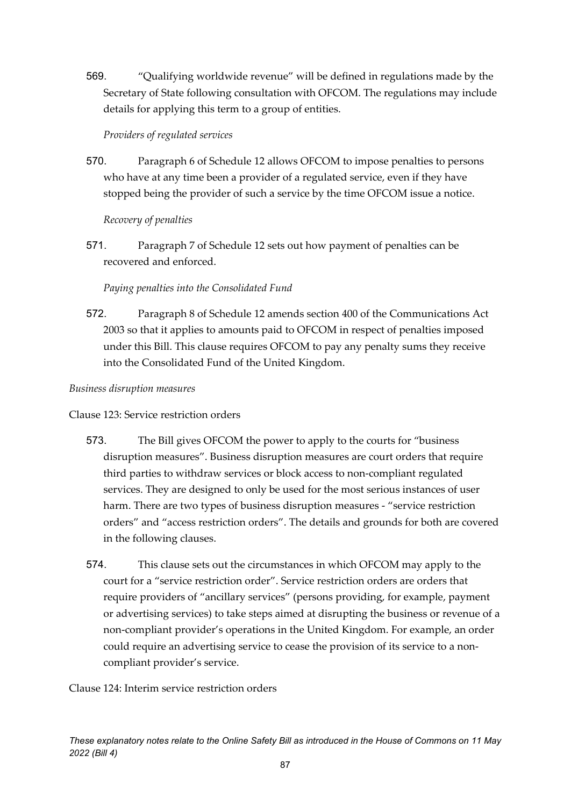569. "Qualifying worldwide revenue" will be defined in regulations made by the Secretary of State following consultation with OFCOM. The regulations may include details for applying this term to a group of entities.

#### *Providers of regulated services*

570. Paragraph 6 of Schedule 12 allows OFCOM to impose penalties to persons who have at any time been a provider of a regulated service, even if they have stopped being the provider of such a service by the time OFCOM issue a notice.

#### *Recovery of penalties*

571. Paragraph 7 of Schedule 12 sets out how payment of penalties can be recovered and enforced.

#### *Paying penalties into the Consolidated Fund*

572. Paragraph 8 of Schedule 12 amends section 400 of the Communications Act 2003 so that it applies to amounts paid to OFCOM in respect of penalties imposed under this Bill. This clause requires OFCOM to pay any penalty sums they receive into the Consolidated Fund of the United Kingdom.

#### *Business disruption measures*

#### Clause 123: Service restriction orders

- 573. The Bill gives OFCOM the power to apply to the courts for "business disruption measures". Business disruption measures are court orders that require third parties to withdraw services or block access to non-compliant regulated services. They are designed to only be used for the most serious instances of user harm. There are two types of business disruption measures - "service restriction orders" and "access restriction orders". The details and grounds for both are covered in the following clauses.
- 574. This clause sets out the circumstances in which OFCOM may apply to the court for a "service restriction order". Service restriction orders are orders that require providers of "ancillary services" (persons providing, for example, payment or advertising services) to take steps aimed at disrupting the business or revenue of a non-compliant provider's operations in the United Kingdom. For example, an order could require an advertising service to cease the provision of its service to a noncompliant provider's service.

#### Clause 124: Interim service restriction orders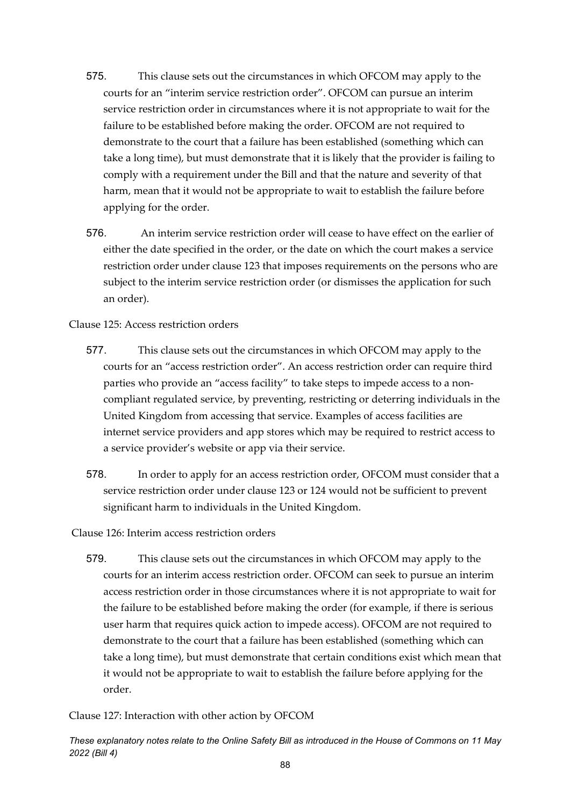- 575. This clause sets out the circumstances in which OFCOM may apply to the courts for an "interim service restriction order". OFCOM can pursue an interim service restriction order in circumstances where it is not appropriate to wait for the failure to be established before making the order. OFCOM are not required to demonstrate to the court that a failure has been established (something which can take a long time), but must demonstrate that it is likely that the provider is failing to comply with a requirement under the Bill and that the nature and severity of that harm, mean that it would not be appropriate to wait to establish the failure before applying for the order.
- 576. An interim service restriction order will cease to have effect on the earlier of either the date specified in the order, or the date on which the court makes a service restriction order under clause 123 that imposes requirements on the persons who are subject to the interim service restriction order (or dismisses the application for such an order).

Clause 125: Access restriction orders

- 577. This clause sets out the circumstances in which OFCOM may apply to the courts for an "access restriction order". An access restriction order can require third parties who provide an "access facility" to take steps to impede access to a noncompliant regulated service, by preventing, restricting or deterring individuals in the United Kingdom from accessing that service. Examples of access facilities are internet service providers and app stores which may be required to restrict access to a service provider's website or app via their service.
- 578. In order to apply for an access restriction order, OFCOM must consider that a service restriction order under clause 123 or 124 would not be sufficient to prevent significant harm to individuals in the United Kingdom.

Clause 126: Interim access restriction orders

579. This clause sets out the circumstances in which OFCOM may apply to the courts for an interim access restriction order. OFCOM can seek to pursue an interim access restriction order in those circumstances where it is not appropriate to wait for the failure to be established before making the order (for example, if there is serious user harm that requires quick action to impede access). OFCOM are not required to demonstrate to the court that a failure has been established (something which can take a long time), but must demonstrate that certain conditions exist which mean that it would not be appropriate to wait to establish the failure before applying for the order.

Clause 127: Interaction with other action by OFCOM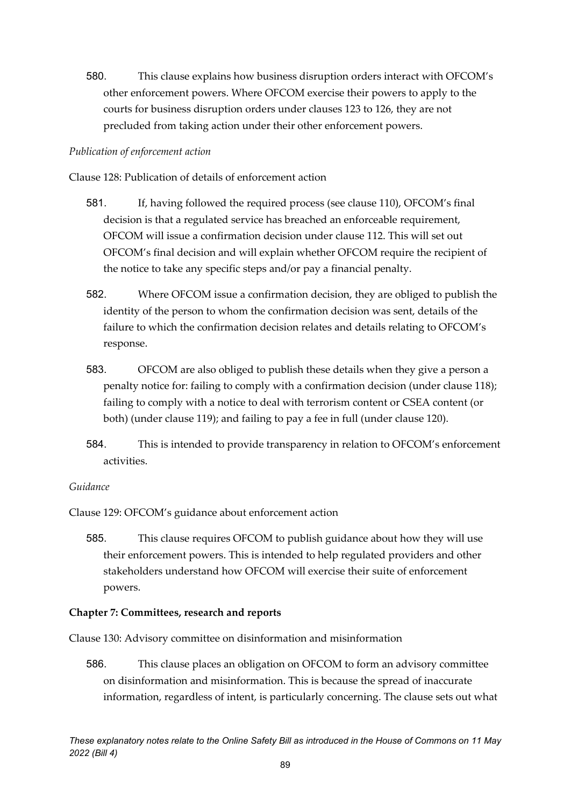580. This clause explains how business disruption orders interact with OFCOM's other enforcement powers. Where OFCOM exercise their powers to apply to the courts for business disruption orders under clauses 123 to 126, they are not precluded from taking action under their other enforcement powers.

#### *Publication of enforcement action*

Clause 128: Publication of details of enforcement action

- 581. If, having followed the required process (see clause 110), OFCOM's final decision is that a regulated service has breached an enforceable requirement, OFCOM will issue a confirmation decision under clause 112. This will set out OFCOM's final decision and will explain whether OFCOM require the recipient of the notice to take any specific steps and/or pay a financial penalty.
- 582. Where OFCOM issue a confirmation decision, they are obliged to publish the identity of the person to whom the confirmation decision was sent, details of the failure to which the confirmation decision relates and details relating to OFCOM's response.
- 583. OFCOM are also obliged to publish these details when they give a person a penalty notice for: failing to comply with a confirmation decision (under clause 118); failing to comply with a notice to deal with terrorism content or CSEA content (or both) (under clause 119); and failing to pay a fee in full (under clause 120).
- 584. This is intended to provide transparency in relation to OFCOM's enforcement activities.

#### *Guidance*

Clause 129: OFCOM's guidance about enforcement action

585. This clause requires OFCOM to publish guidance about how they will use their enforcement powers. This is intended to help regulated providers and other stakeholders understand how OFCOM will exercise their suite of enforcement powers.

#### **Chapter 7: Committees, research and reports**

Clause 130: Advisory committee on disinformation and misinformation

586. This clause places an obligation on OFCOM to form an advisory committee on disinformation and misinformation. This is because the spread of inaccurate information, regardless of intent, is particularly concerning. The clause sets out what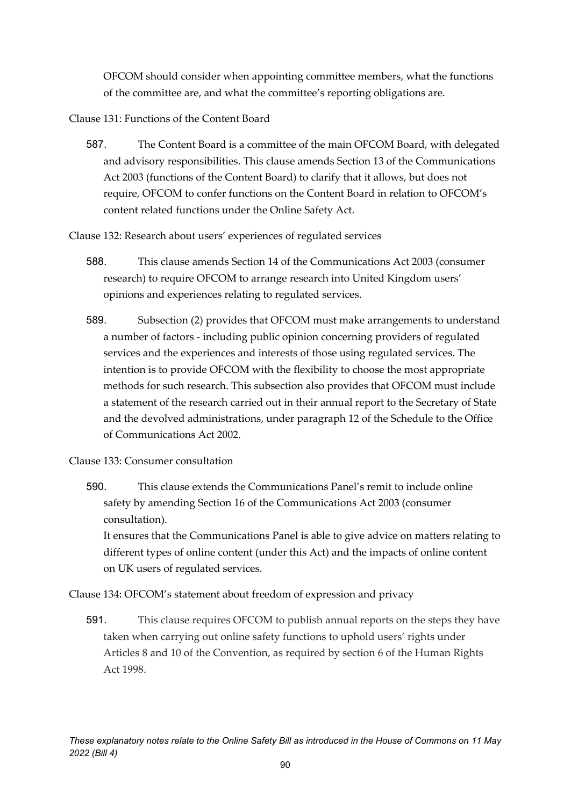OFCOM should consider when appointing committee members, what the functions of the committee are, and what the committee's reporting obligations are.

Clause 131: Functions of the Content Board

587. The Content Board is a committee of the main OFCOM Board, with delegated and advisory responsibilities. This clause amends Section 13 of the Communications Act 2003 (functions of the Content Board) to clarify that it allows, but does not require, OFCOM to confer functions on the Content Board in relation to OFCOM's content related functions under the Online Safety Act.

Clause 132: Research about users' experiences of regulated services

- 588. This clause amends Section 14 of the Communications Act 2003 (consumer research) to require OFCOM to arrange research into United Kingdom users' opinions and experiences relating to regulated services.
- 589. Subsection (2) provides that OFCOM must make arrangements to understand a number of factors - including public opinion concerning providers of regulated services and the experiences and interests of those using regulated services. The intention is to provide OFCOM with the flexibility to choose the most appropriate methods for such research. This subsection also provides that OFCOM must include a statement of the research carried out in their annual report to the Secretary of State and the devolved administrations, under paragraph 12 of the Schedule to the Office of Communications Act 2002.

Clause 133: Consumer consultation

590. This clause extends the Communications Panel's remit to include online safety by amending Section 16 of the Communications Act 2003 (consumer consultation). It ensures that the Communications Panel is able to give advice on matters relating to different types of online content (under this Act) and the impacts of online content on UK users of regulated services.

Clause 134: OFCOM's statement about freedom of expression and privacy

591. This clause requires OFCOM to publish annual reports on the steps they have taken when carrying out online safety functions to uphold users' rights under Articles 8 and 10 of the Convention, as required by section 6 of the Human Rights Act 1998.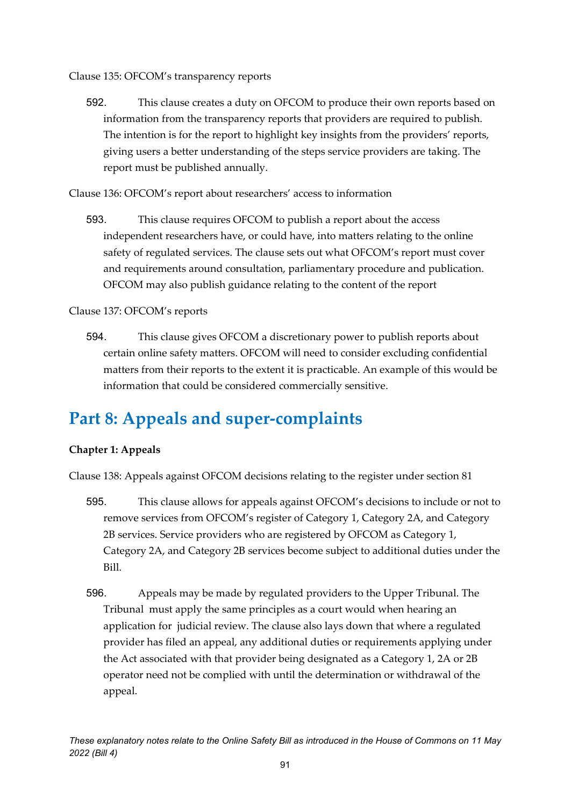Clause 135: OFCOM's transparency reports

592. This clause creates a duty on OFCOM to produce their own reports based on information from the transparency reports that providers are required to publish. The intention is for the report to highlight key insights from the providers' reports, giving users a better understanding of the steps service providers are taking. The report must be published annually.

Clause 136: OFCOM's report about researchers' access to information

593. This clause requires OFCOM to publish a report about the access independent researchers have, or could have, into matters relating to the online safety of regulated services. The clause sets out what OFCOM's report must cover and requirements around consultation, parliamentary procedure and publication. OFCOM may also publish guidance relating to the content of the report

### Clause 137: OFCOM's reports

594. This clause gives OFCOM a discretionary power to publish reports about certain online safety matters. OFCOM will need to consider excluding confidential matters from their reports to the extent it is practicable. An example of this would be information that could be considered commercially sensitive.

# **Part 8: Appeals and super-complaints**

### **Chapter 1: Appeals**

Clause 138: Appeals against OFCOM decisions relating to the register under section 81

- 595. This clause allows for appeals against OFCOM's decisions to include or not to remove services from OFCOM's register of Category 1, Category 2A, and Category 2B services. Service providers who are registered by OFCOM as Category 1, Category 2A, and Category 2B services become subject to additional duties under the Bill.
- 596. Appeals may be made by regulated providers to the Upper Tribunal. The Tribunal must apply the same principles as a court would when hearing an application for judicial review. The clause also lays down that where a regulated provider has filed an appeal, any additional duties or requirements applying under the Act associated with that provider being designated as a Category 1, 2A or 2B operator need not be complied with until the determination or withdrawal of the appeal.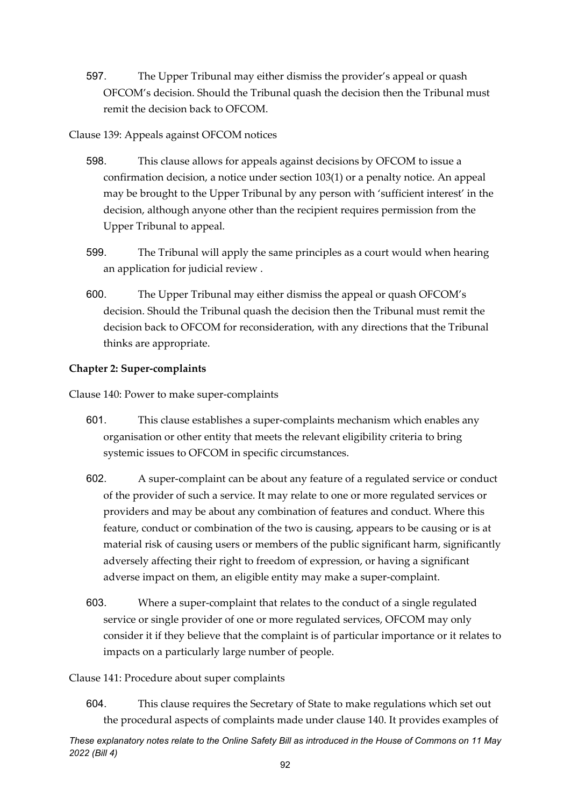597. The Upper Tribunal may either dismiss the provider's appeal or quash OFCOM's decision. Should the Tribunal quash the decision then the Tribunal must remit the decision back to OFCOM.

#### Clause 139: Appeals against OFCOM notices

- 598. This clause allows for appeals against decisions by OFCOM to issue a confirmation decision, a notice under section 103(1) or a penalty notice. An appeal may be brought to the Upper Tribunal by any person with 'sufficient interest' in the decision, although anyone other than the recipient requires permission from the Upper Tribunal to appeal.
- 599. The Tribunal will apply the same principles as a court would when hearing an application for judicial review .
- 600. The Upper Tribunal may either dismiss the appeal or quash OFCOM's decision. Should the Tribunal quash the decision then the Tribunal must remit the decision back to OFCOM for reconsideration, with any directions that the Tribunal thinks are appropriate.

#### **Chapter 2: Super-complaints**

Clause 140: Power to make super-complaints

- 601. This clause establishes a super-complaints mechanism which enables any organisation or other entity that meets the relevant eligibility criteria to bring systemic issues to OFCOM in specific circumstances.
- 602. A super-complaint can be about any feature of a regulated service or conduct of the provider of such a service. It may relate to one or more regulated services or providers and may be about any combination of features and conduct. Where this feature, conduct or combination of the two is causing, appears to be causing or is at material risk of causing users or members of the public significant harm, significantly adversely affecting their right to freedom of expression, or having a significant adverse impact on them, an eligible entity may make a super-complaint.
- 603. Where a super-complaint that relates to the conduct of a single regulated service or single provider of one or more regulated services, OFCOM may only consider it if they believe that the complaint is of particular importance or it relates to impacts on a particularly large number of people.

#### Clause 141: Procedure about super complaints

604. This clause requires the Secretary of State to make regulations which set out the procedural aspects of complaints made under clause 140. It provides examples of

*These explanatory notes relate to the Online Safety Bill as introduced in the House of Commons on 11 May 2022 (Bill 4)*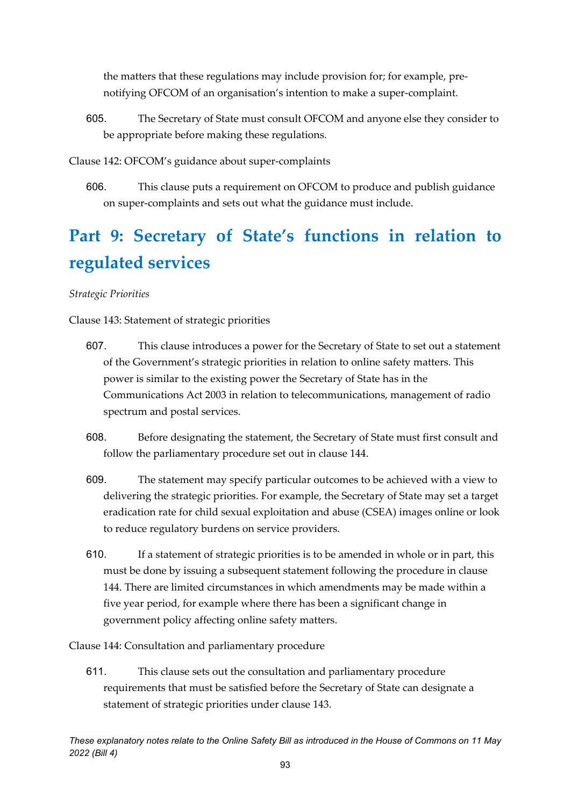the matters that these regulations may include provision for; for example, prenotifying OFCOM of an organisation's intention to make a super-complaint.

605. The Secretary of State must consult OFCOM and anyone else they consider to be appropriate before making these regulations.

Clause 142: OFCOM's guidance about super-complaints

606. This clause puts a requirement on OFCOM to produce and publish guidance on super-complaints and sets out what the guidance must include.

# **Part 9: Secretary of State's functions in relation to regulated services**

#### *Strategic Priorities*

Clause 143: Statement of strategic priorities

- 607. This clause introduces a power for the Secretary of State to set out a statement of the Government's strategic priorities in relation to online safety matters. This power is similar to the existing power the Secretary of State has in the Communications Act 2003 in relation to telecommunications, management of radio spectrum and postal services.
- 608. Before designating the statement, the Secretary of State must first consult and follow the parliamentary procedure set out in clause 144.
- 609. The statement may specify particular outcomes to be achieved with a view to delivering the strategic priorities. For example, the Secretary of State may set a target eradication rate for child sexual exploitation and abuse (CSEA) images online or look to reduce regulatory burdens on service providers.
- 610. If a statement of strategic priorities is to be amended in whole or in part, this must be done by issuing a subsequent statement following the procedure in clause 144. There are limited circumstances in which amendments may be made within a five year period, for example where there has been a significant change in government policy affecting online safety matters.

Clause 144: Consultation and parliamentary procedure

611. This clause sets out the consultation and parliamentary procedure requirements that must be satisfied before the Secretary of State can designate a statement of strategic priorities under clause 143.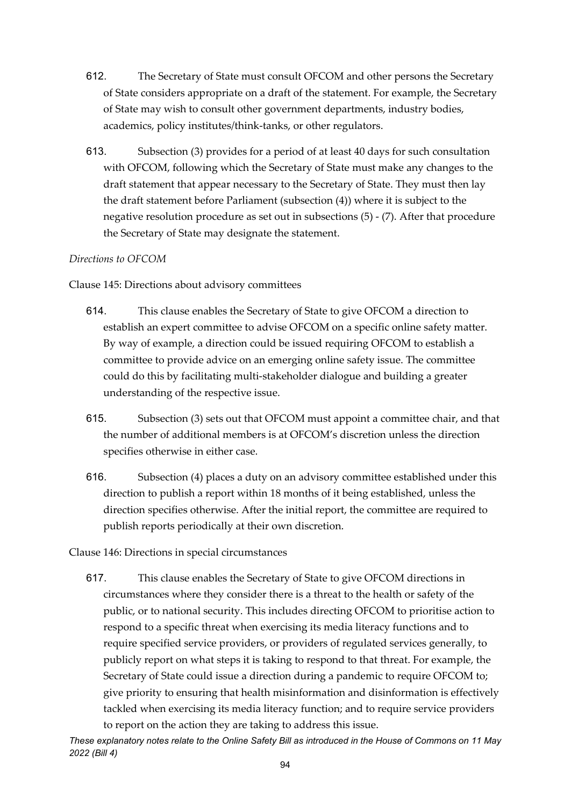- 612. The Secretary of State must consult OFCOM and other persons the Secretary of State considers appropriate on a draft of the statement. For example, the Secretary of State may wish to consult other government departments, industry bodies, academics, policy institutes/think-tanks, or other regulators.
- 613. Subsection (3) provides for a period of at least 40 days for such consultation with OFCOM, following which the Secretary of State must make any changes to the draft statement that appear necessary to the Secretary of State. They must then lay the draft statement before Parliament (subsection (4)) where it is subject to the negative resolution procedure as set out in subsections (5) - (7). After that procedure the Secretary of State may designate the statement.

#### *Directions to OFCOM*

Clause 145: Directions about advisory committees

- 614. This clause enables the Secretary of State to give OFCOM a direction to establish an expert committee to advise OFCOM on a specific online safety matter. By way of example, a direction could be issued requiring OFCOM to establish a committee to provide advice on an emerging online safety issue. The committee could do this by facilitating multi-stakeholder dialogue and building a greater understanding of the respective issue.
- 615. Subsection (3) sets out that OFCOM must appoint a committee chair, and that the number of additional members is at OFCOM's discretion unless the direction specifies otherwise in either case.
- 616. Subsection (4) places a duty on an advisory committee established under this direction to publish a report within 18 months of it being established, unless the direction specifies otherwise. After the initial report, the committee are required to publish reports periodically at their own discretion.

Clause 146: Directions in special circumstances

617. This clause enables the Secretary of State to give OFCOM directions in circumstances where they consider there is a threat to the health or safety of the public, or to national security. This includes directing OFCOM to prioritise action to respond to a specific threat when exercising its media literacy functions and to require specified service providers, or providers of regulated services generally, to publicly report on what steps it is taking to respond to that threat. For example, the Secretary of State could issue a direction during a pandemic to require OFCOM to; give priority to ensuring that health misinformation and disinformation is effectively tackled when exercising its media literacy function; and to require service providers to report on the action they are taking to address this issue.

*These explanatory notes relate to the Online Safety Bill as introduced in the House of Commons on 11 May 2022 (Bill 4)*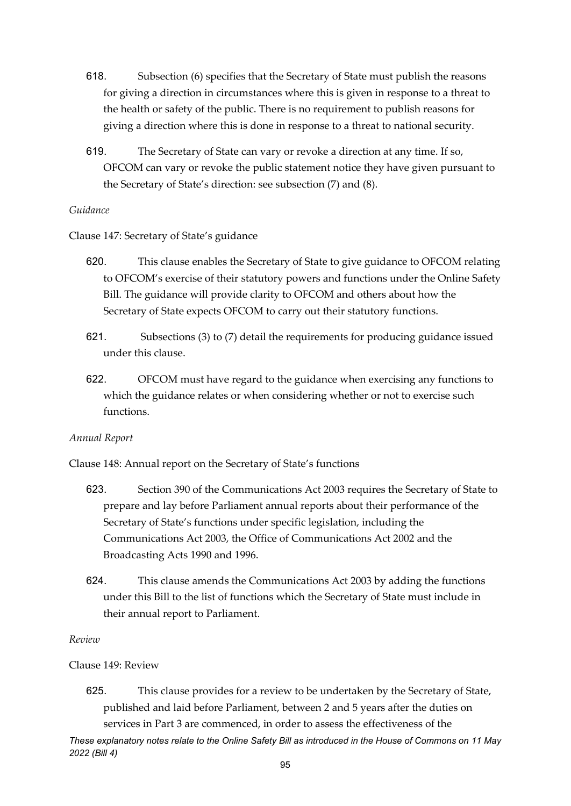- 618. Subsection (6) specifies that the Secretary of State must publish the reasons for giving a direction in circumstances where this is given in response to a threat to the health or safety of the public. There is no requirement to publish reasons for giving a direction where this is done in response to a threat to national security.
- 619. The Secretary of State can vary or revoke a direction at any time. If so, OFCOM can vary or revoke the public statement notice they have given pursuant to the Secretary of State's direction: see subsection (7) and (8).

#### *Guidance*

Clause 147: Secretary of State's guidance

- 620. This clause enables the Secretary of State to give guidance to OFCOM relating to OFCOM's exercise of their statutory powers and functions under the Online Safety Bill. The guidance will provide clarity to OFCOM and others about how the Secretary of State expects OFCOM to carry out their statutory functions.
- 621. Subsections (3) to (7) detail the requirements for producing guidance issued under this clause.
- 622. OFCOM must have regard to the guidance when exercising any functions to which the guidance relates or when considering whether or not to exercise such functions.

#### *Annual Report*

Clause 148: Annual report on the Secretary of State's functions

- 623. Section 390 of the Communications Act 2003 requires the Secretary of State to prepare and lay before Parliament annual reports about their performance of the Secretary of State's functions under specific legislation, including the Communications Act 2003, the Office of Communications Act 2002 and the Broadcasting Acts 1990 and 1996.
- 624. This clause amends the Communications Act 2003 by adding the functions under this Bill to the list of functions which the Secretary of State must include in their annual report to Parliament.

#### *Review*

Clause 149: Review

625. This clause provides for a review to be undertaken by the Secretary of State, published and laid before Parliament, between 2 and 5 years after the duties on services in Part 3 are commenced, in order to assess the effectiveness of the

*These explanatory notes relate to the Online Safety Bill as introduced in the House of Commons on 11 May 2022 (Bill 4)*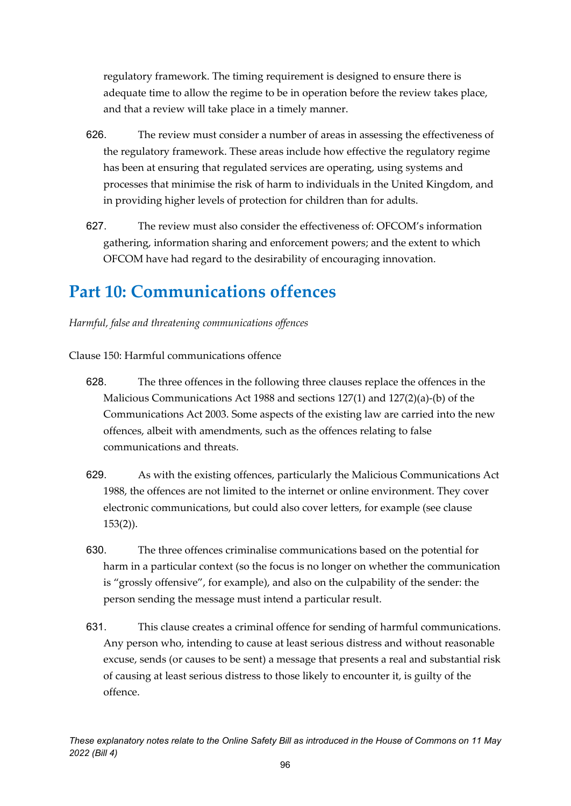regulatory framework. The timing requirement is designed to ensure there is adequate time to allow the regime to be in operation before the review takes place, and that a review will take place in a timely manner.

- 626. The review must consider a number of areas in assessing the effectiveness of the regulatory framework. These areas include how effective the regulatory regime has been at ensuring that regulated services are operating, using systems and processes that minimise the risk of harm to individuals in the United Kingdom, and in providing higher levels of protection for children than for adults.
- 627. The review must also consider the effectiveness of: OFCOM's information gathering, information sharing and enforcement powers; and the extent to which OFCOM have had regard to the desirability of encouraging innovation.

## **Part 10: Communications offences**

*Harmful, false and threatening communications offences*

Clause 150: Harmful communications offence

- 628. The three offences in the following three clauses replace the offences in the Malicious Communications Act 1988 and sections 127(1) and 127(2)(a)-(b) of the Communications Act 2003. Some aspects of the existing law are carried into the new offences, albeit with amendments, such as the offences relating to false communications and threats.
- 629. As with the existing offences, particularly the Malicious Communications Act 1988, the offences are not limited to the internet or online environment. They cover electronic communications, but could also cover letters, for example (see clause 153(2)).
- 630. The three offences criminalise communications based on the potential for harm in a particular context (so the focus is no longer on whether the communication is "grossly offensive", for example), and also on the culpability of the sender: the person sending the message must intend a particular result.
- 631. This clause creates a criminal offence for sending of harmful communications. Any person who, intending to cause at least serious distress and without reasonable excuse, sends (or causes to be sent) a message that presents a real and substantial risk of causing at least serious distress to those likely to encounter it, is guilty of the offence.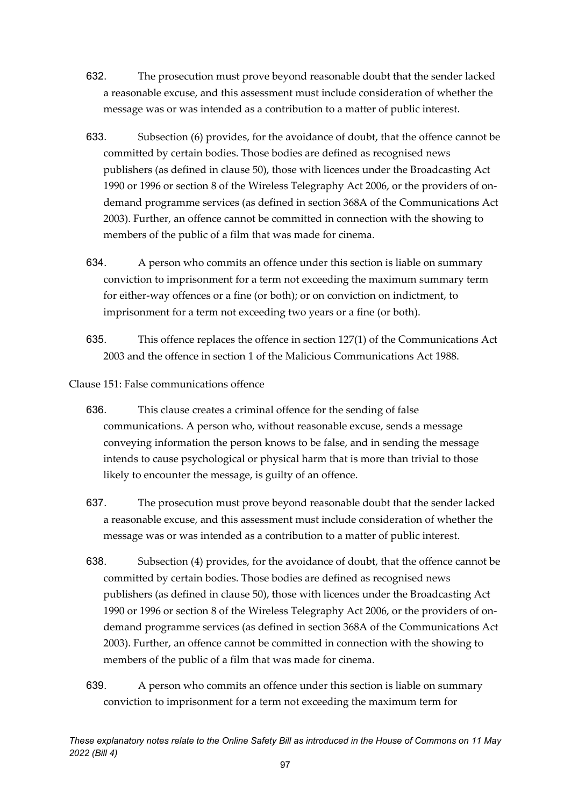- 632. The prosecution must prove beyond reasonable doubt that the sender lacked a reasonable excuse, and this assessment must include consideration of whether the message was or was intended as a contribution to a matter of public interest.
- 633. Subsection (6) provides, for the avoidance of doubt, that the offence cannot be committed by certain bodies. Those bodies are defined as recognised news publishers (as defined in clause 50), those with licences under the Broadcasting Act 1990 or 1996 or section 8 of the Wireless Telegraphy Act 2006, or the providers of ondemand programme services (as defined in section 368A of the Communications Act 2003). Further, an offence cannot be committed in connection with the showing to members of the public of a film that was made for cinema.
- 634. A person who commits an offence under this section is liable on summary conviction to imprisonment for a term not exceeding the maximum summary term for either-way offences or a fine (or both); or on conviction on indictment, to imprisonment for a term not exceeding two years or a fine (or both).
- 635. This offence replaces the offence in section 127(1) of the Communications Act 2003 and the offence in section 1 of the Malicious Communications Act 1988.

Clause 151: False communications offence

- 636. This clause creates a criminal offence for the sending of false communications. A person who, without reasonable excuse, sends a message conveying information the person knows to be false, and in sending the message intends to cause psychological or physical harm that is more than trivial to those likely to encounter the message, is guilty of an offence.
- 637. The prosecution must prove beyond reasonable doubt that the sender lacked a reasonable excuse, and this assessment must include consideration of whether the message was or was intended as a contribution to a matter of public interest.
- 638. Subsection (4) provides, for the avoidance of doubt, that the offence cannot be committed by certain bodies. Those bodies are defined as recognised news publishers (as defined in clause 50), those with licences under the Broadcasting Act 1990 or 1996 or section 8 of the Wireless Telegraphy Act 2006, or the providers of ondemand programme services (as defined in section 368A of the Communications Act 2003). Further, an offence cannot be committed in connection with the showing to members of the public of a film that was made for cinema.
- 639. A person who commits an offence under this section is liable on summary conviction to imprisonment for a term not exceeding the maximum term for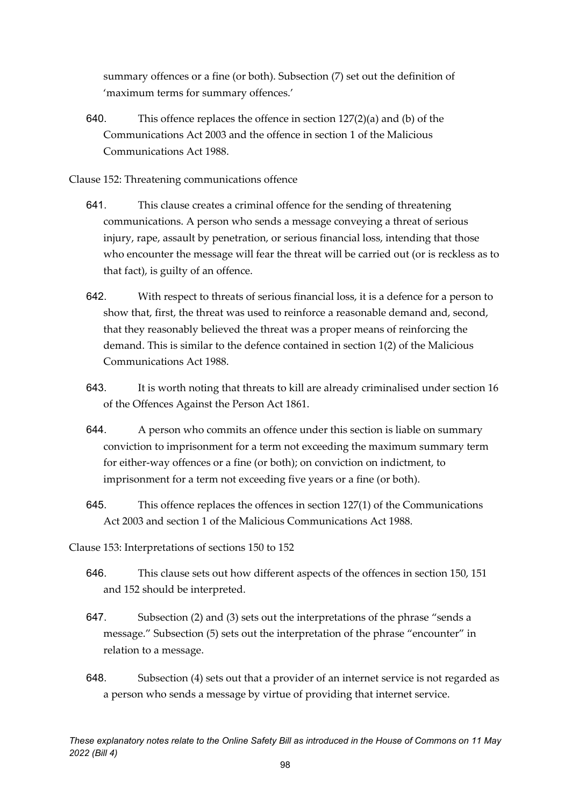summary offences or a fine (or both). Subsection (7) set out the definition of 'maximum terms for summary offences.'

- 640. This offence replaces the offence in section  $127(2)(a)$  and (b) of the Communications Act 2003 and the offence in section 1 of the Malicious Communications Act 1988.
- Clause 152: Threatening communications offence
	- 641. This clause creates a criminal offence for the sending of threatening communications. A person who sends a message conveying a threat of serious injury, rape, assault by penetration, or serious financial loss, intending that those who encounter the message will fear the threat will be carried out (or is reckless as to that fact), is guilty of an offence.
	- 642. With respect to threats of serious financial loss, it is a defence for a person to show that, first, the threat was used to reinforce a reasonable demand and, second, that they reasonably believed the threat was a proper means of reinforcing the demand. This is similar to the defence contained in section 1(2) of the Malicious Communications Act 1988.
	- 643. It is worth noting that threats to kill are already criminalised under section 16 of the Offences Against the Person Act 1861.
	- 644. A person who commits an offence under this section is liable on summary conviction to imprisonment for a term not exceeding the maximum summary term for either-way offences or a fine (or both); on conviction on indictment, to imprisonment for a term not exceeding five years or a fine (or both).
	- 645. This offence replaces the offences in section 127(1) of the Communications Act 2003 and section 1 of the Malicious Communications Act 1988.
- Clause 153: Interpretations of sections 150 to 152
	- 646. This clause sets out how different aspects of the offences in section 150, 151 and 152 should be interpreted.
	- 647. Subsection (2) and (3) sets out the interpretations of the phrase "sends a message." Subsection (5) sets out the interpretation of the phrase "encounter" in relation to a message.
	- 648. Subsection (4) sets out that a provider of an internet service is not regarded as a person who sends a message by virtue of providing that internet service.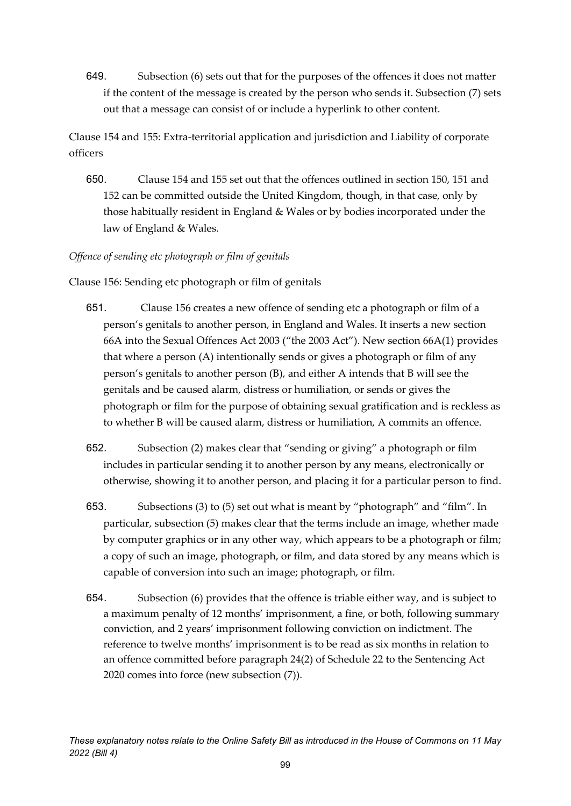649. Subsection (6) sets out that for the purposes of the offences it does not matter if the content of the message is created by the person who sends it. Subsection (7) sets out that a message can consist of or include a hyperlink to other content.

Clause 154 and 155: Extra-territorial application and jurisdiction and Liability of corporate officers

650. Clause 154 and 155 set out that the offences outlined in section 150, 151 and 152 can be committed outside the United Kingdom, though, in that case, only by those habitually resident in England & Wales or by bodies incorporated under the law of England & Wales.

### *Offence of sending etc photograph or film of genitals*

Clause 156: Sending etc photograph or film of genitals

- 651. Clause 156 creates a new offence of sending etc a photograph or film of a person's genitals to another person, in England and Wales. It inserts a new section 66A into the Sexual Offences Act 2003 ("the 2003 Act"). New section 66A(1) provides that where a person (A) intentionally sends or gives a photograph or film of any person's genitals to another person (B), and either A intends that B will see the genitals and be caused alarm, distress or humiliation, or sends or gives the photograph or film for the purpose of obtaining sexual gratification and is reckless as to whether B will be caused alarm, distress or humiliation, A commits an offence.
- 652. Subsection (2) makes clear that "sending or giving" a photograph or film includes in particular sending it to another person by any means, electronically or otherwise, showing it to another person, and placing it for a particular person to find.
- 653. Subsections (3) to (5) set out what is meant by "photograph" and "film". In particular, subsection (5) makes clear that the terms include an image, whether made by computer graphics or in any other way, which appears to be a photograph or film; a copy of such an image, photograph, or film, and data stored by any means which is capable of conversion into such an image; photograph, or film.
- 654. Subsection (6) provides that the offence is triable either way, and is subject to a maximum penalty of 12 months' imprisonment, a fine, or both, following summary conviction, and 2 years' imprisonment following conviction on indictment. The reference to twelve months' imprisonment is to be read as six months in relation to an offence committed before paragraph 24(2) of Schedule 22 to the Sentencing Act 2020 comes into force (new subsection (7)).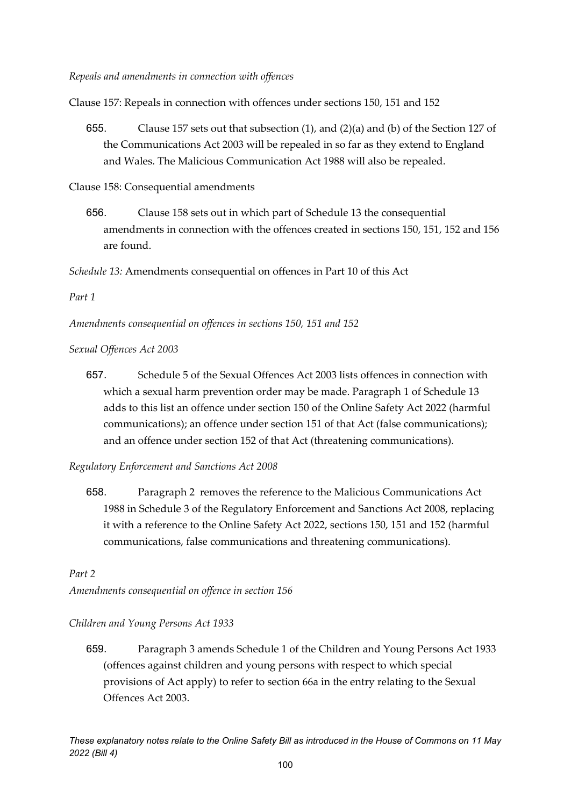Clause 157: Repeals in connection with offences under sections 150, 151 and 152

655. Clause 157 sets out that subsection (1), and (2)(a) and (b) of the Section 127 of the Communications Act 2003 will be repealed in so far as they extend to England and Wales. The Malicious Communication Act 1988 will also be repealed.

Clause 158: Consequential amendments

656. Clause 158 sets out in which part of Schedule 13 the consequential amendments in connection with the offences created in sections 150, 151, 152 and 156 are found.

*Schedule 13:* Amendments consequential on offences in Part 10 of this Act

*Part 1* 

*Amendments consequential on offences in sections 150, 151 and 152*

*Sexual Offences Act 2003*

657. Schedule 5 of the Sexual Offences Act 2003 lists offences in connection with which a sexual harm prevention order may be made. Paragraph 1 of Schedule 13 adds to this list an offence under section 150 of the Online Safety Act 2022 (harmful communications); an offence under section 151 of that Act (false communications); and an offence under section 152 of that Act (threatening communications).

*Regulatory Enforcement and Sanctions Act 2008*

658. Paragraph 2 removes the reference to the Malicious Communications Act 1988 in Schedule 3 of the Regulatory Enforcement and Sanctions Act 2008, replacing it with a reference to the Online Safety Act 2022, sections 150, 151 and 152 (harmful communications, false communications and threatening communications).

*Part 2*

*Amendments consequential on offence in section 156*

#### *Children and Young Persons Act 1933*

659. Paragraph 3 amends Schedule 1 of the Children and Young Persons Act 1933 (offences against children and young persons with respect to which special provisions of Act apply) to refer to section 66a in the entry relating to the Sexual Offences Act 2003.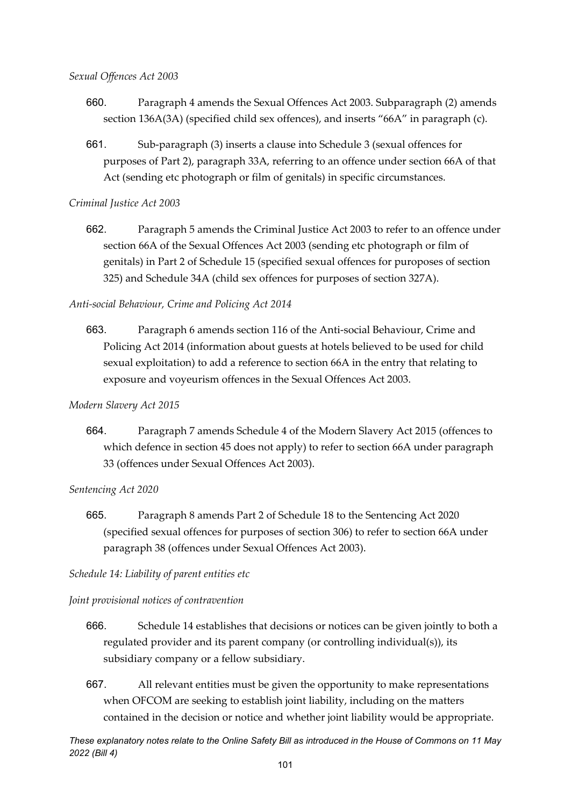#### *Sexual Offences Act 2003*

- 660. Paragraph 4 amends the Sexual Offences Act 2003. Subparagraph (2) amends section 136A(3A) (specified child sex offences), and inserts "66A" in paragraph (c).
- 661. Sub-paragraph (3) inserts a clause into Schedule 3 (sexual offences for purposes of Part 2), paragraph 33A, referring to an offence under section 66A of that Act (sending etc photograph or film of genitals) in specific circumstances.

#### *Criminal Justice Act 2003*

662. Paragraph 5 amends the Criminal Justice Act 2003 to refer to an offence under section 66A of the Sexual Offences Act 2003 (sending etc photograph or film of genitals) in Part 2 of Schedule 15 (specified sexual offences for puroposes of section 325) and Schedule 34A (child sex offences for purposes of section 327A).

#### *Anti-social Behaviour, Crime and Policing Act 2014*

663. Paragraph 6 amends section 116 of the Anti-social Behaviour, Crime and Policing Act 2014 (information about guests at hotels believed to be used for child sexual exploitation) to add a reference to section 66A in the entry that relating to exposure and voyeurism offences in the Sexual Offences Act 2003.

#### *Modern Slavery Act 2015*

664. Paragraph 7 amends Schedule 4 of the Modern Slavery Act 2015 (offences to which defence in section 45 does not apply) to refer to section 66A under paragraph 33 (offences under Sexual Offences Act 2003).

#### *Sentencing Act 2020*

665. Paragraph 8 amends Part 2 of Schedule 18 to the Sentencing Act 2020 (specified sexual offences for purposes of section 306) to refer to section 66A under paragraph 38 (offences under Sexual Offences Act 2003).

#### *Schedule 14: Liability of parent entities etc*

#### *Joint provisional notices of contravention*

- 666. Schedule 14 establishes that decisions or notices can be given jointly to both a regulated provider and its parent company (or controlling individual(s)), its subsidiary company or a fellow subsidiary.
- 667. All relevant entities must be given the opportunity to make representations when OFCOM are seeking to establish joint liability, including on the matters contained in the decision or notice and whether joint liability would be appropriate.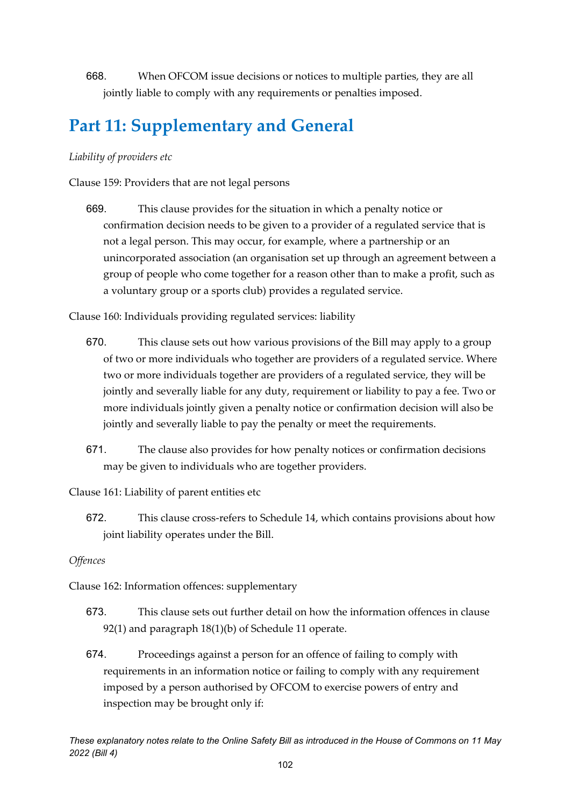668. When OFCOM issue decisions or notices to multiple parties, they are all jointly liable to comply with any requirements or penalties imposed.

# **Part 11: Supplementary and General**

#### *Liability of providers etc*

Clause 159: Providers that are not legal persons

669. This clause provides for the situation in which a penalty notice or confirmation decision needs to be given to a provider of a regulated service that is not a legal person. This may occur, for example, where a partnership or an unincorporated association (an organisation set up through an agreement between a group of people who come together for a reason other than to make a profit, such as a voluntary group or a sports club) provides a regulated service.

Clause 160: Individuals providing regulated services: liability

- 670. This clause sets out how various provisions of the Bill may apply to a group of two or more individuals who together are providers of a regulated service. Where two or more individuals together are providers of a regulated service, they will be jointly and severally liable for any duty, requirement or liability to pay a fee. Two or more individuals jointly given a penalty notice or confirmation decision will also be jointly and severally liable to pay the penalty or meet the requirements.
- 671. The clause also provides for how penalty notices or confirmation decisions may be given to individuals who are together providers.

Clause 161: Liability of parent entities etc

672. This clause cross-refers to Schedule 14, which contains provisions about how joint liability operates under the Bill.

#### *Offences*

Clause 162: Information offences: supplementary

- 673. This clause sets out further detail on how the information offences in clause 92(1) and paragraph 18(1)(b) of Schedule 11 operate.
- 674. Proceedings against a person for an offence of failing to comply with requirements in an information notice or failing to comply with any requirement imposed by a person authorised by OFCOM to exercise powers of entry and inspection may be brought only if: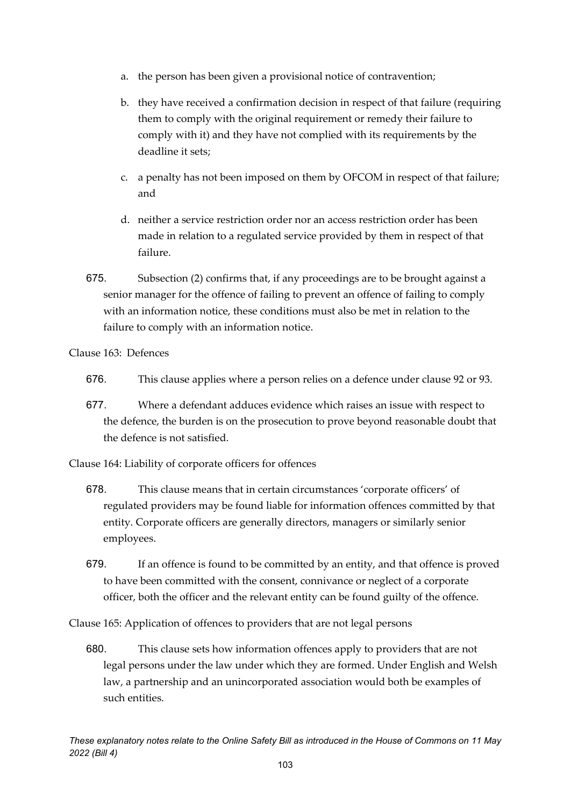- a. the person has been given a provisional notice of contravention;
- b. they have received a confirmation decision in respect of that failure (requiring them to comply with the original requirement or remedy their failure to comply with it) and they have not complied with its requirements by the deadline it sets;
- c. a penalty has not been imposed on them by OFCOM in respect of that failure; and
- d. neither a service restriction order nor an access restriction order has been made in relation to a regulated service provided by them in respect of that failure.
- 675. Subsection (2) confirms that, if any proceedings are to be brought against a senior manager for the offence of failing to prevent an offence of failing to comply with an information notice, these conditions must also be met in relation to the failure to comply with an information notice.

Clause 163: Defences

- 676. This clause applies where a person relies on a defence under clause 92 or 93.
- 677. Where a defendant adduces evidence which raises an issue with respect to the defence, the burden is on the prosecution to prove beyond reasonable doubt that the defence is not satisfied.

Clause 164: Liability of corporate officers for offences

- 678. This clause means that in certain circumstances 'corporate officers' of regulated providers may be found liable for information offences committed by that entity. Corporate officers are generally directors, managers or similarly senior employees.
- 679. If an offence is found to be committed by an entity, and that offence is proved to have been committed with the consent, connivance or neglect of a corporate officer, both the officer and the relevant entity can be found guilty of the offence.

Clause 165: Application of offences to providers that are not legal persons

680. This clause sets how information offences apply to providers that are not legal persons under the law under which they are formed. Under English and Welsh law, a partnership and an unincorporated association would both be examples of such entities.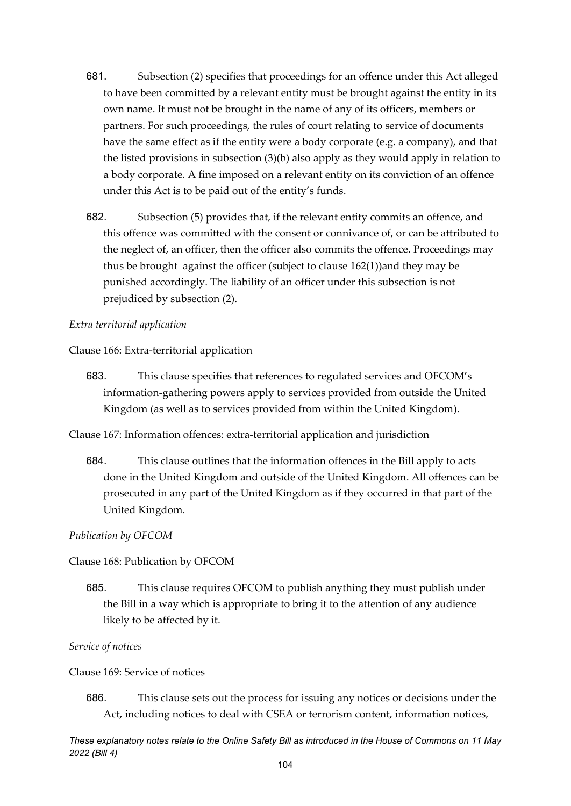- 681. Subsection (2) specifies that proceedings for an offence under this Act alleged to have been committed by a relevant entity must be brought against the entity in its own name. It must not be brought in the name of any of its officers, members or partners. For such proceedings, the rules of court relating to service of documents have the same effect as if the entity were a body corporate (e.g. a company), and that the listed provisions in subsection (3)(b) also apply as they would apply in relation to a body corporate. A fine imposed on a relevant entity on its conviction of an offence under this Act is to be paid out of the entity's funds.
- 682. Subsection (5) provides that, if the relevant entity commits an offence, and this offence was committed with the consent or connivance of, or can be attributed to the neglect of, an officer, then the officer also commits the offence. Proceedings may thus be brought against the officer (subject to clause 162(1))and they may be punished accordingly. The liability of an officer under this subsection is not prejudiced by subsection (2).

#### *Extra territorial application*

Clause 166: Extra-territorial application

683. This clause specifies that references to regulated services and OFCOM's information-gathering powers apply to services provided from outside the United Kingdom (as well as to services provided from within the United Kingdom).

Clause 167: Information offences: extra-territorial application and jurisdiction

684. This clause outlines that the information offences in the Bill apply to acts done in the United Kingdom and outside of the United Kingdom. All offences can be prosecuted in any part of the United Kingdom as if they occurred in that part of the United Kingdom.

*Publication by OFCOM*

Clause 168: Publication by OFCOM

685. This clause requires OFCOM to publish anything they must publish under the Bill in a way which is appropriate to bring it to the attention of any audience likely to be affected by it.

*Service of notices*

Clause 169: Service of notices

686. This clause sets out the process for issuing any notices or decisions under the Act, including notices to deal with CSEA or terrorism content, information notices,

*These explanatory notes relate to the Online Safety Bill as introduced in the House of Commons on 11 May 2022 (Bill 4)*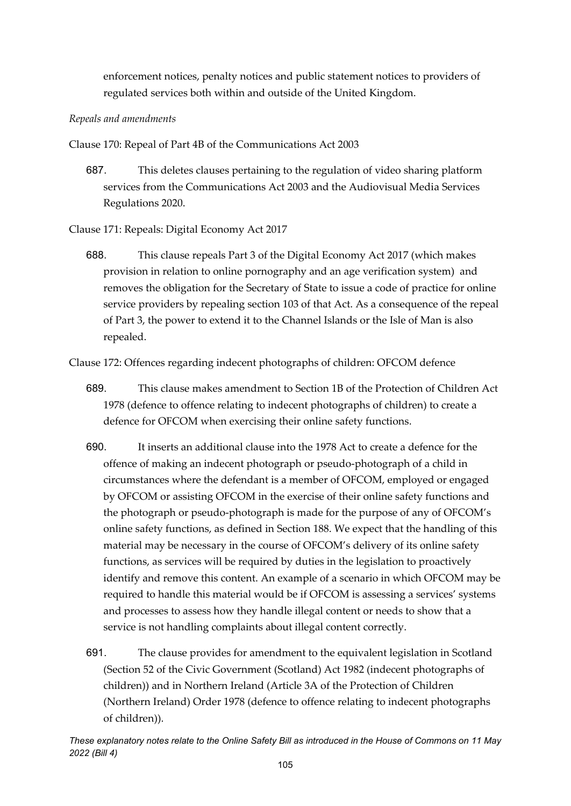enforcement notices, penalty notices and public statement notices to providers of regulated services both within and outside of the United Kingdom.

#### *Repeals and amendments*

Clause 170: Repeal of Part 4B of the Communications Act 2003

687. This deletes clauses pertaining to the regulation of video sharing platform services from the Communications Act 2003 and the Audiovisual Media Services Regulations 2020.

Clause 171: Repeals: Digital Economy Act 2017

688. This clause repeals Part 3 of the Digital Economy Act 2017 (which makes provision in relation to online pornography and an age verification system) and removes the obligation for the Secretary of State to issue a code of practice for online service providers by repealing section 103 of that Act. As a consequence of the repeal of Part 3, the power to extend it to the Channel Islands or the Isle of Man is also repealed.

Clause 172: Offences regarding indecent photographs of children: OFCOM defence

- 689. This clause makes amendment to Section 1B of the Protection of Children Act 1978 (defence to offence relating to indecent photographs of children) to create a defence for OFCOM when exercising their online safety functions.
- 690. It inserts an additional clause into the 1978 Act to create a defence for the offence of making an indecent photograph or pseudo-photograph of a child in circumstances where the defendant is a member of OFCOM, employed or engaged by OFCOM or assisting OFCOM in the exercise of their online safety functions and the photograph or pseudo-photograph is made for the purpose of any of OFCOM's online safety functions, as defined in Section 188. We expect that the handling of this material may be necessary in the course of OFCOM's delivery of its online safety functions, as services will be required by duties in the legislation to proactively identify and remove this content. An example of a scenario in which OFCOM may be required to handle this material would be if OFCOM is assessing a services' systems and processes to assess how they handle illegal content or needs to show that a service is not handling complaints about illegal content correctly.
- 691. The clause provides for amendment to the equivalent legislation in Scotland (Section 52 of the Civic Government (Scotland) Act 1982 (indecent photographs of children)) and in Northern Ireland (Article 3A of the Protection of Children (Northern Ireland) Order 1978 (defence to offence relating to indecent photographs of children)).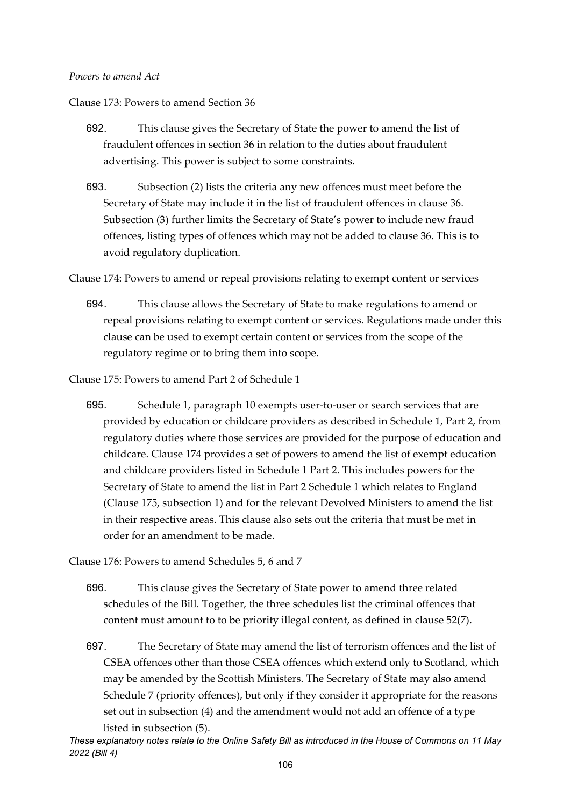#### *Powers to amend Act*

Clause 173: Powers to amend Section 36

- 692. This clause gives the Secretary of State the power to amend the list of fraudulent offences in section 36 in relation to the duties about fraudulent advertising. This power is subject to some constraints.
- 693. Subsection (2) lists the criteria any new offences must meet before the Secretary of State may include it in the list of fraudulent offences in clause 36. Subsection (3) further limits the Secretary of State's power to include new fraud offences, listing types of offences which may not be added to clause 36. This is to avoid regulatory duplication.
- Clause 174: Powers to amend or repeal provisions relating to exempt content or services
	- 694. This clause allows the Secretary of State to make regulations to amend or repeal provisions relating to exempt content or services. Regulations made under this clause can be used to exempt certain content or services from the scope of the regulatory regime or to bring them into scope.
- Clause 175: Powers to amend Part 2 of Schedule 1
	- 695. Schedule 1, paragraph 10 exempts user-to-user or search services that are provided by education or childcare providers as described in Schedule 1, Part 2, from regulatory duties where those services are provided for the purpose of education and childcare. Clause 174 provides a set of powers to amend the list of exempt education and childcare providers listed in Schedule 1 Part 2. This includes powers for the Secretary of State to amend the list in Part 2 Schedule 1 which relates to England (Clause 175, subsection 1) and for the relevant Devolved Ministers to amend the list in their respective areas. This clause also sets out the criteria that must be met in order for an amendment to be made.

Clause 176: Powers to amend Schedules 5, 6 and 7

- 696. This clause gives the Secretary of State power to amend three related schedules of the Bill. Together, the three schedules list the criminal offences that content must amount to to be priority illegal content, as defined in clause 52(7).
- 697. The Secretary of State may amend the list of terrorism offences and the list of CSEA offences other than those CSEA offences which extend only to Scotland, which may be amended by the Scottish Ministers. The Secretary of State may also amend Schedule 7 (priority offences), but only if they consider it appropriate for the reasons set out in subsection (4) and the amendment would not add an offence of a type listed in subsection (5).

*These explanatory notes relate to the Online Safety Bill as introduced in the House of Commons on 11 May 2022 (Bill 4)*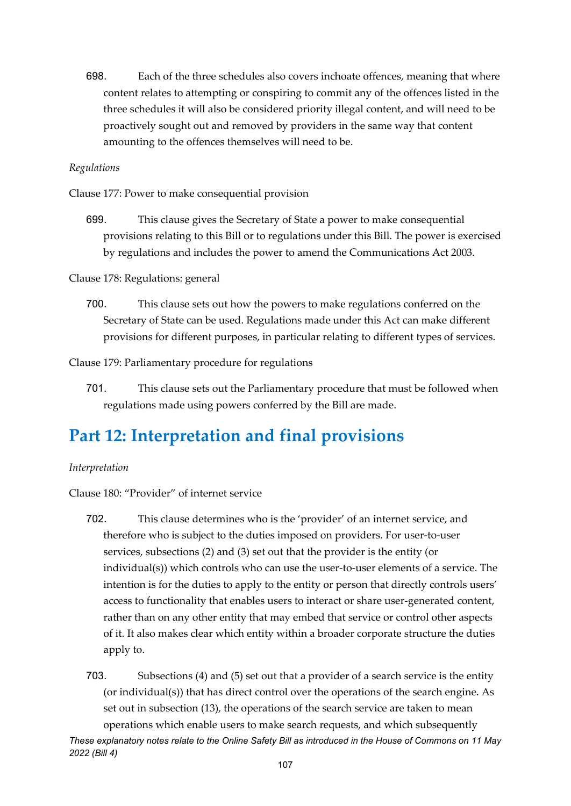698. Each of the three schedules also covers inchoate offences, meaning that where content relates to attempting or conspiring to commit any of the offences listed in the three schedules it will also be considered priority illegal content, and will need to be proactively sought out and removed by providers in the same way that content amounting to the offences themselves will need to be.

#### *Regulations*

Clause 177: Power to make consequential provision

699. This clause gives the Secretary of State a power to make consequential provisions relating to this Bill or to regulations under this Bill. The power is exercised by regulations and includes the power to amend the Communications Act 2003.

Clause 178: Regulations: general

700. This clause sets out how the powers to make regulations conferred on the Secretary of State can be used. Regulations made under this Act can make different provisions for different purposes, in particular relating to different types of services.

Clause 179: Parliamentary procedure for regulations

701. This clause sets out the Parliamentary procedure that must be followed when regulations made using powers conferred by the Bill are made.

### **Part 12: Interpretation and final provisions**

#### *Interpretation*

Clause 180: "Provider" of internet service

- 702. This clause determines who is the 'provider' of an internet service, and therefore who is subject to the duties imposed on providers. For user-to-user services, subsections (2) and (3) set out that the provider is the entity (or individual(s)) which controls who can use the user-to-user elements of a service. The intention is for the duties to apply to the entity or person that directly controls users' access to functionality that enables users to interact or share user-generated content, rather than on any other entity that may embed that service or control other aspects of it. It also makes clear which entity within a broader corporate structure the duties apply to.
- *These explanatory notes relate to the Online Safety Bill as introduced in the House of Commons on 11 May*  703. Subsections (4) and (5) set out that a provider of a search service is the entity (or individual(s)) that has direct control over the operations of the search engine. As set out in subsection (13), the operations of the search service are taken to mean operations which enable users to make search requests, and which subsequently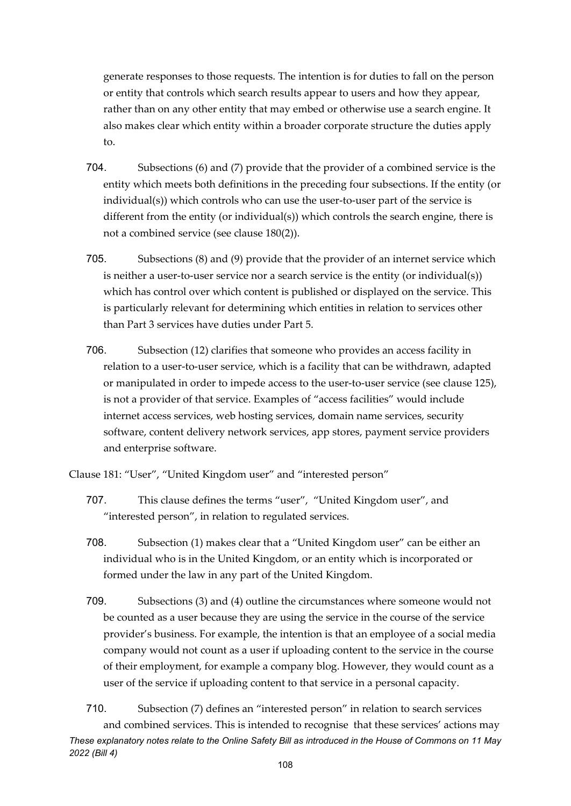generate responses to those requests. The intention is for duties to fall on the person or entity that controls which search results appear to users and how they appear, rather than on any other entity that may embed or otherwise use a search engine. It also makes clear which entity within a broader corporate structure the duties apply to.

- 704. Subsections (6) and (7) provide that the provider of a combined service is the entity which meets both definitions in the preceding four subsections. If the entity (or individual(s)) which controls who can use the user-to-user part of the service is different from the entity (or individual(s)) which controls the search engine, there is not a combined service (see clause 180(2)).
- 705. Subsections (8) and (9) provide that the provider of an internet service which is neither a user-to-user service nor a search service is the entity (or individual(s)) which has control over which content is published or displayed on the service. This is particularly relevant for determining which entities in relation to services other than Part 3 services have duties under Part 5.
- 706. Subsection (12) clarifies that someone who provides an access facility in relation to a user-to-user service, which is a facility that can be withdrawn, adapted or manipulated in order to impede access to the user-to-user service (see clause 125), is not a provider of that service. Examples of "access facilities" would include internet access services, web hosting services, domain name services, security software, content delivery network services, app stores, payment service providers and enterprise software.

Clause 181: "User", "United Kingdom user" and "interested person"

- 707. This clause defines the terms "user", "United Kingdom user", and "interested person", in relation to regulated services.
- 708. Subsection (1) makes clear that a "United Kingdom user" can be either an individual who is in the United Kingdom, or an entity which is incorporated or formed under the law in any part of the United Kingdom.
- 709. Subsections (3) and (4) outline the circumstances where someone would not be counted as a user because they are using the service in the course of the service provider's business. For example, the intention is that an employee of a social media company would not count as a user if uploading content to the service in the course of their employment, for example a company blog. However, they would count as a user of the service if uploading content to that service in a personal capacity.

*These explanatory notes relate to the Online Safety Bill as introduced in the House of Commons on 11 May 2022 (Bill 4)* 710. Subsection (7) defines an "interested person" in relation to search services and combined services. This is intended to recognise that these services' actions may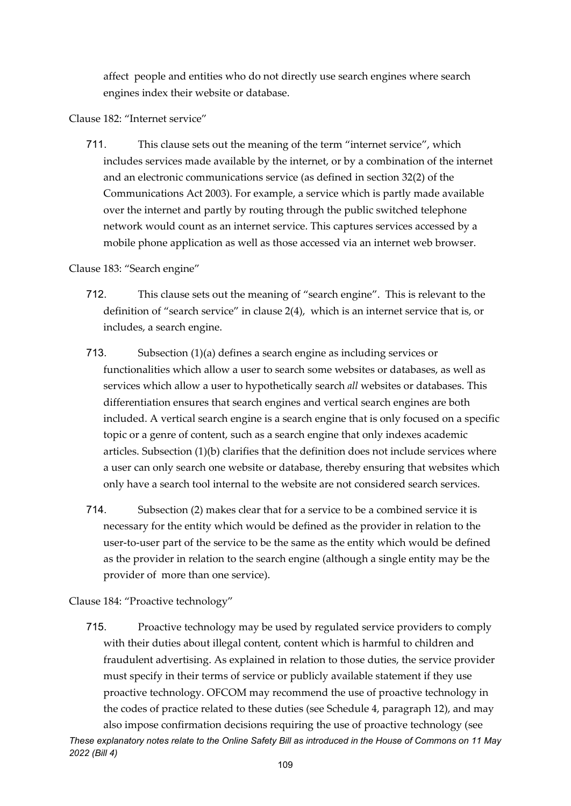affect people and entities who do not directly use search engines where search engines index their website or database.

Clause 182: "Internet service"

711. This clause sets out the meaning of the term "internet service", which includes services made available by the internet, or by a combination of the internet and an electronic communications service (as defined in section 32(2) of the Communications Act 2003). For example, a service which is partly made available over the internet and partly by routing through the public switched telephone network would count as an internet service. This captures services accessed by a mobile phone application as well as those accessed via an internet web browser.

#### Clause 183: "Search engine"

- 712. This clause sets out the meaning of "search engine". This is relevant to the definition of "search service" in clause 2(4), which is an internet service that is, or includes, a search engine.
- 713. Subsection (1)(a) defines a search engine as including services or functionalities which allow a user to search some websites or databases, as well as services which allow a user to hypothetically search *all* websites or databases. This differentiation ensures that search engines and vertical search engines are both included. A vertical search engine is a search engine that is only focused on a specific topic or a genre of content, such as a search engine that only indexes academic articles. Subsection (1)(b) clarifies that the definition does not include services where a user can only search one website or database, thereby ensuring that websites which only have a search tool internal to the website are not considered search services.
- 714. Subsection (2) makes clear that for a service to be a combined service it is necessary for the entity which would be defined as the provider in relation to the user-to-user part of the service to be the same as the entity which would be defined as the provider in relation to the search engine (although a single entity may be the provider of more than one service).

Clause 184: "Proactive technology"

*2022 (Bill 4)*

*These explanatory notes relate to the Online Safety Bill as introduced in the House of Commons on 11 May*  715. Proactive technology may be used by regulated service providers to comply with their duties about illegal content, content which is harmful to children and fraudulent advertising. As explained in relation to those duties, the service provider must specify in their terms of service or publicly available statement if they use proactive technology. OFCOM may recommend the use of proactive technology in the codes of practice related to these duties (see Schedule 4, paragraph 12), and may also impose confirmation decisions requiring the use of proactive technology (see

109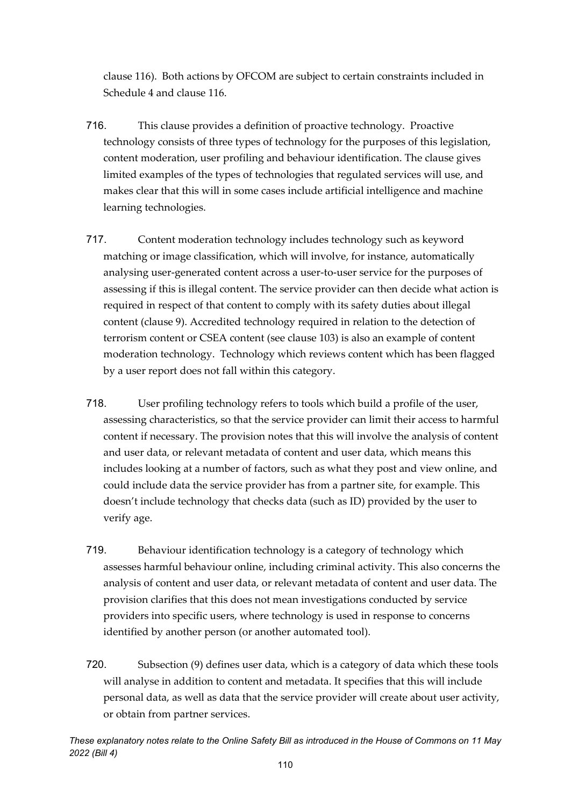clause 116). Both actions by OFCOM are subject to certain constraints included in Schedule 4 and clause 116.

- 716. This clause provides a definition of proactive technology. Proactive technology consists of three types of technology for the purposes of this legislation, content moderation, user profiling and behaviour identification. The clause gives limited examples of the types of technologies that regulated services will use, and makes clear that this will in some cases include artificial intelligence and machine learning technologies.
- 717. Content moderation technology includes technology such as keyword matching or image classification, which will involve, for instance, automatically analysing user-generated content across a user-to-user service for the purposes of assessing if this is illegal content. The service provider can then decide what action is required in respect of that content to comply with its safety duties about illegal content (clause 9). Accredited technology required in relation to the detection of terrorism content or CSEA content (see clause 103) is also an example of content moderation technology. Technology which reviews content which has been flagged by a user report does not fall within this category.
- 718. User profiling technology refers to tools which build a profile of the user, assessing characteristics, so that the service provider can limit their access to harmful content if necessary. The provision notes that this will involve the analysis of content and user data, or relevant metadata of content and user data, which means this includes looking at a number of factors, such as what they post and view online, and could include data the service provider has from a partner site, for example. This doesn't include technology that checks data (such as ID) provided by the user to verify age.
- 719. Behaviour identification technology is a category of technology which assesses harmful behaviour online, including criminal activity. This also concerns the analysis of content and user data, or relevant metadata of content and user data. The provision clarifies that this does not mean investigations conducted by service providers into specific users, where technology is used in response to concerns identified by another person (or another automated tool).
- 720. Subsection (9) defines user data, which is a category of data which these tools will analyse in addition to content and metadata. It specifies that this will include personal data, as well as data that the service provider will create about user activity, or obtain from partner services.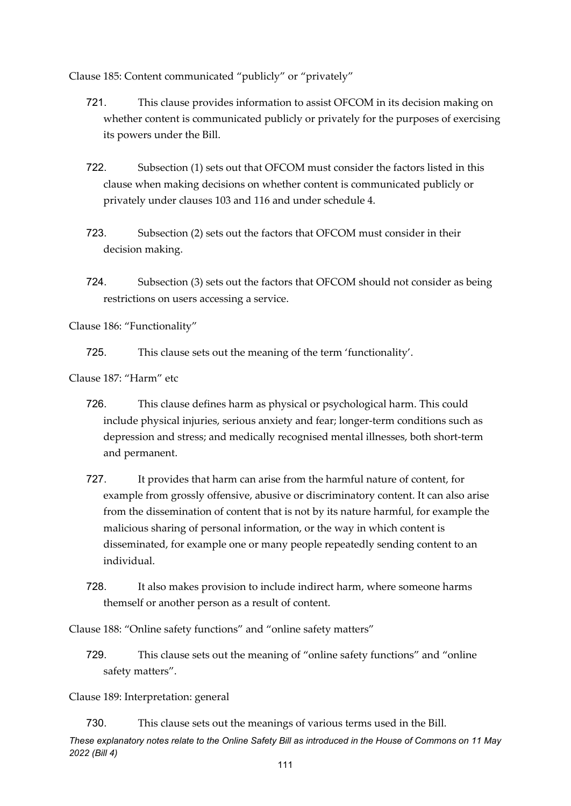Clause 185: Content communicated "publicly" or "privately"

- 721. This clause provides information to assist OFCOM in its decision making on whether content is communicated publicly or privately for the purposes of exercising its powers under the Bill.
- 722. Subsection (1) sets out that OFCOM must consider the factors listed in this clause when making decisions on whether content is communicated publicly or privately under clauses 103 and 116 and under schedule 4.
- 723. Subsection (2) sets out the factors that OFCOM must consider in their decision making.
- 724. Subsection (3) sets out the factors that OFCOM should not consider as being restrictions on users accessing a service.

Clause 186: "Functionality"

725. This clause sets out the meaning of the term 'functionality'.

Clause 187: "Harm" etc

- 726. This clause defines harm as physical or psychological harm. This could include physical injuries, serious anxiety and fear; longer-term conditions such as depression and stress; and medically recognised mental illnesses, both short-term and permanent.
- 727. It provides that harm can arise from the harmful nature of content, for example from grossly offensive, abusive or discriminatory content. It can also arise from the dissemination of content that is not by its nature harmful, for example the malicious sharing of personal information, or the way in which content is disseminated, for example one or many people repeatedly sending content to an individual.
- 728. It also makes provision to include indirect harm, where someone harms themself or another person as a result of content.

Clause 188: "Online safety functions" and "online safety matters"

729. This clause sets out the meaning of "online safety functions" and "online safety matters".

Clause 189: Interpretation: general

730. This clause sets out the meanings of various terms used in the Bill.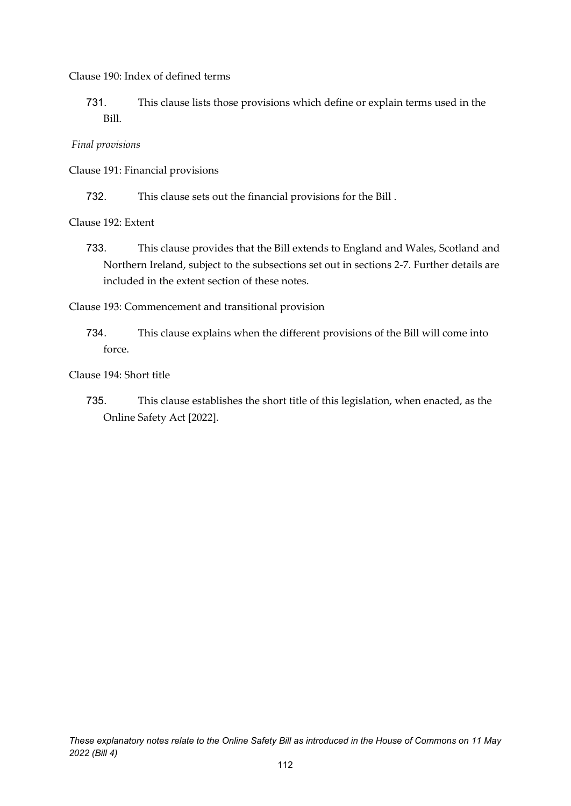Clause 190: Index of defined terms

731. This clause lists those provisions which define or explain terms used in the Bill.

*Final provisions*

Clause 191: Financial provisions

732. This clause sets out the financial provisions for the Bill .

Clause 192: Extent

733. This clause provides that the Bill extends to England and Wales, Scotland and Northern Ireland, subject to the subsections set out in sections 2-7. Further details are included in the extent section of these notes.

Clause 193: Commencement and transitional provision

734. This clause explains when the different provisions of the Bill will come into force.

Clause 194: Short title

735. This clause establishes the short title of this legislation, when enacted, as the Online Safety Act [2022].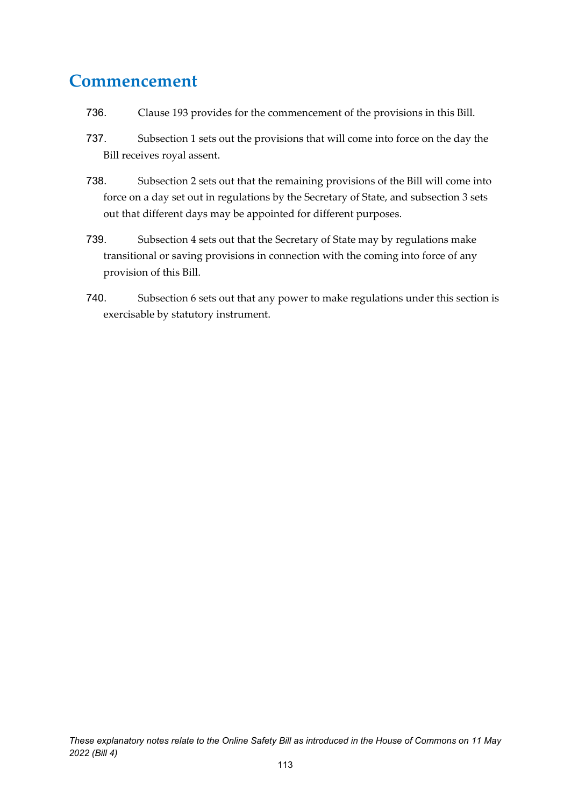#### **Commencement**

- 736. Clause 193 provides for the commencement of the provisions in this Bill.
- 737. Subsection 1 sets out the provisions that will come into force on the day the Bill receives royal assent.
- 738. Subsection 2 sets out that the remaining provisions of the Bill will come into force on a day set out in regulations by the Secretary of State, and subsection 3 sets out that different days may be appointed for different purposes.
- 739. Subsection 4 sets out that the Secretary of State may by regulations make transitional or saving provisions in connection with the coming into force of any provision of this Bill.
- 740. Subsection 6 sets out that any power to make regulations under this section is exercisable by statutory instrument.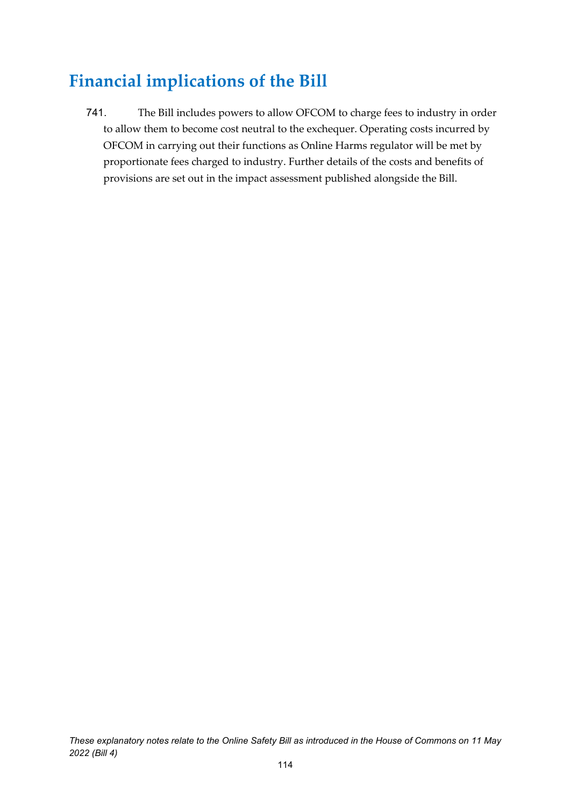## **Financial implications of the Bill**

741. The Bill includes powers to allow OFCOM to charge fees to industry in order to allow them to become cost neutral to the exchequer. Operating costs incurred by OFCOM in carrying out their functions as Online Harms regulator will be met by proportionate fees charged to industry. Further details of the costs and benefits of provisions are set out in the impact assessment published alongside the Bill.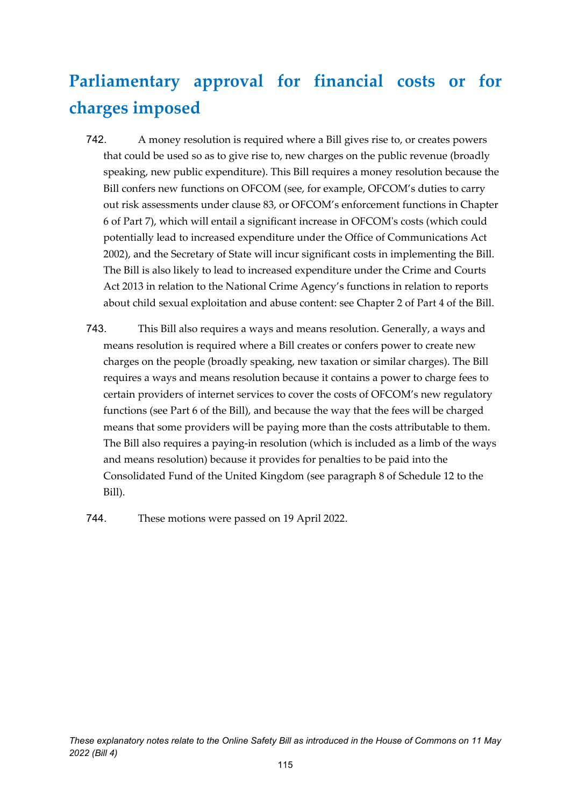## **Parliamentary approval for financial costs or for charges imposed**

- 742. A money resolution is required where a Bill gives rise to, or creates powers that could be used so as to give rise to, new charges on the public revenue (broadly speaking, new public expenditure). This Bill requires a money resolution because the Bill confers new functions on OFCOM (see, for example, OFCOM's duties to carry out risk assessments under clause 83, or OFCOM's enforcement functions in Chapter 6 of Part 7), which will entail a significant increase in OFCOM's costs (which could potentially lead to increased expenditure under the Office of Communications Act 2002), and the Secretary of State will incur significant costs in implementing the Bill. The Bill is also likely to lead to increased expenditure under the Crime and Courts Act 2013 in relation to the National Crime Agency's functions in relation to reports about child sexual exploitation and abuse content: see Chapter 2 of Part 4 of the Bill.
- 743. This Bill also requires a ways and means resolution. Generally, a ways and means resolution is required where a Bill creates or confers power to create new charges on the people (broadly speaking, new taxation or similar charges). The Bill requires a ways and means resolution because it contains a power to charge fees to certain providers of internet services to cover the costs of OFCOM's new regulatory functions (see Part 6 of the Bill), and because the way that the fees will be charged means that some providers will be paying more than the costs attributable to them. The Bill also requires a paying-in resolution (which is included as a limb of the ways and means resolution) because it provides for penalties to be paid into the Consolidated Fund of the United Kingdom (see paragraph 8 of Schedule 12 to the Bill).

744. These motions were passed on 19 April 2022.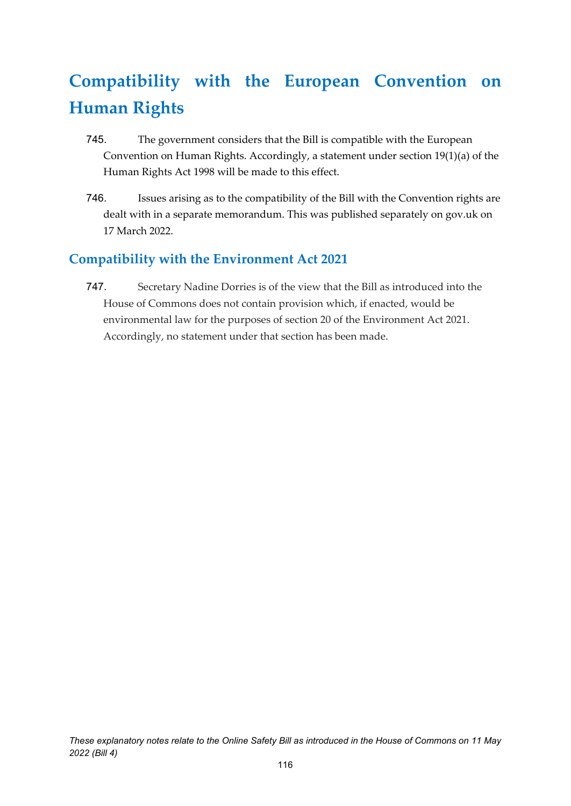# **Compatibility with the European Convention on Human Rights**

- 745. The government considers that the Bill is compatible with the European Convention on Human Rights. Accordingly, a statement under section 19(1)(a) of the Human Rights Act 1998 will be made to this effect.
- 746. Issues arising as to the compatibility of the Bill with the Convention rights are dealt with in a separate memorandum. This was published separately on gov.uk on 17 March 2022.

#### **Compatibility with the Environment Act 2021**

747. Secretary Nadine Dorries is of the view that the Bill as introduced into the House of Commons does not contain provision which, if enacted, would be environmental law for the purposes of section 20 of the Environment Act 2021. Accordingly, no statement under that section has been made.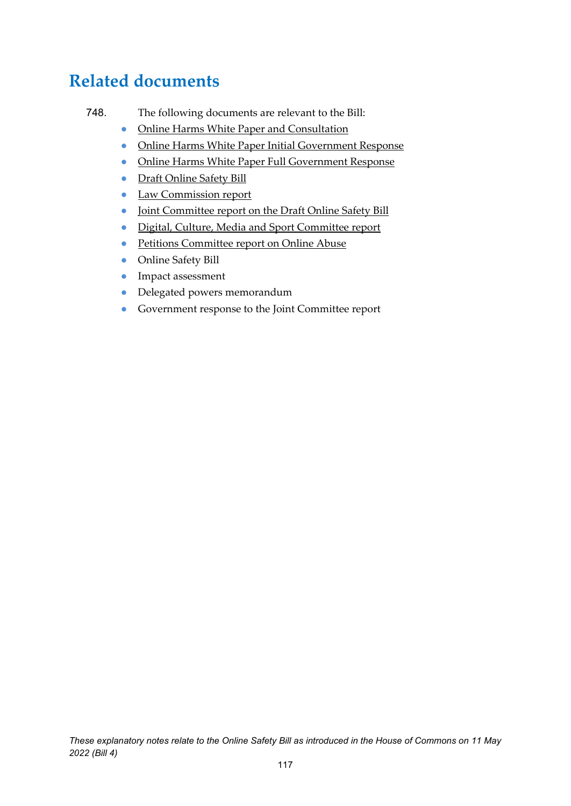### **Related documents**

- 748. The following documents are relevant to the Bill:
	- [Online Harms White Paper and Consultation](https://assets.publishing.service.gov.uk/government/uploads/system/uploads/attachment_data/file/793360/Online_Harms_White_Paper.pdf)
	- [Online Harms White Paper Initial Government Response](https://www.gov.uk/government/consultations/online-harms-white-paper/public-feedback/online-harms-white-paper-initial-consultation-response)
	- [Online Harms White Paper Full Government Response](https://www.gov.uk/government/consultations/online-harms-white-paper/outcome/online-harms-white-paper-full-government-response)
	- [Draft Online Safety Bill](https://assets.publishing.service.gov.uk/government/uploads/system/uploads/attachment_data/file/985033/Draft_Online_Safety_Bill_Bookmarked.pdf)
	- [Law Commission report](https://s3-eu-west-2.amazonaws.com/lawcom-prod-storage-11jsxou24uy7q/uploads/2021/07/Modernising-Communications-Offences-2021-Law-Com-No-399.pdf)
	- [Joint Committee report on the Draft Online Safety Bill](https://committees.parliament.uk/publications/8206/documents/84092/default/)
	- [Digital, Culture, Media and Sport Committee report](https://committees.parliament.uk/publications/8609/documents/86961/default/)
	- [Petitions Committee report on Online Abuse](https://committees.parliament.uk/publications/8669/documents/89002/default/)
	- Online Safety Bill
	- Impact assessment
	- Delegated powers memorandum
	- Government response to the Joint Committee report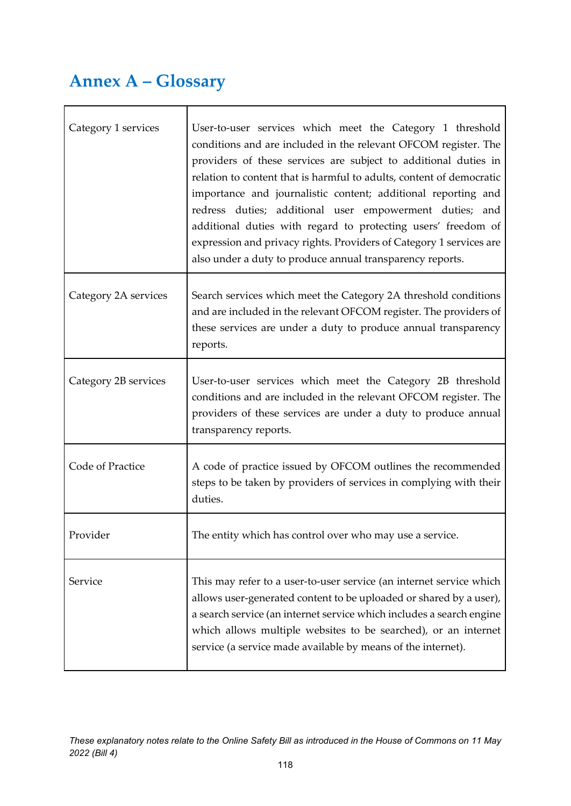## **Annex A – Glossary**

| Category 1 services  | User-to-user services which meet the Category 1 threshold<br>conditions and are included in the relevant OFCOM register. The<br>providers of these services are subject to additional duties in<br>relation to content that is harmful to adults, content of democratic<br>importance and journalistic content; additional reporting and<br>redress duties; additional user empowerment duties; and<br>additional duties with regard to protecting users' freedom of<br>expression and privacy rights. Providers of Category 1 services are<br>also under a duty to produce annual transparency reports. |
|----------------------|----------------------------------------------------------------------------------------------------------------------------------------------------------------------------------------------------------------------------------------------------------------------------------------------------------------------------------------------------------------------------------------------------------------------------------------------------------------------------------------------------------------------------------------------------------------------------------------------------------|
| Category 2A services | Search services which meet the Category 2A threshold conditions<br>and are included in the relevant OFCOM register. The providers of<br>these services are under a duty to produce annual transparency<br>reports.                                                                                                                                                                                                                                                                                                                                                                                       |
| Category 2B services | User-to-user services which meet the Category 2B threshold<br>conditions and are included in the relevant OFCOM register. The<br>providers of these services are under a duty to produce annual<br>transparency reports.                                                                                                                                                                                                                                                                                                                                                                                 |
| Code of Practice     | A code of practice issued by OFCOM outlines the recommended<br>steps to be taken by providers of services in complying with their<br>duties.                                                                                                                                                                                                                                                                                                                                                                                                                                                             |
| Provider             | The entity which has control over who may use a service.                                                                                                                                                                                                                                                                                                                                                                                                                                                                                                                                                 |
| Service              | This may refer to a user-to-user service (an internet service which<br>allows user-generated content to be uploaded or shared by a user),<br>a search service (an internet service which includes a search engine<br>which allows multiple websites to be searched), or an internet<br>service (a service made available by means of the internet).                                                                                                                                                                                                                                                      |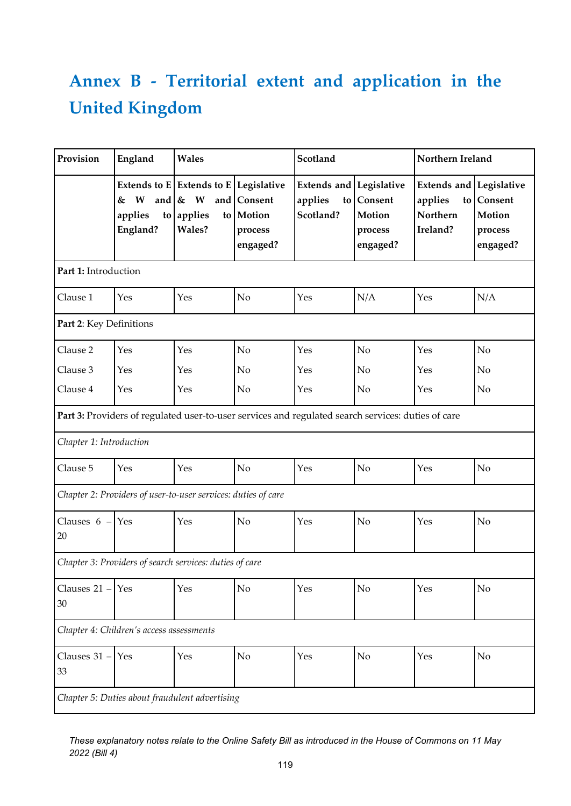# **Annex B - Territorial extent and application in the United Kingdom**

| Provision                                      | England                                                       | Wales                                                                                  |                                             | Scotland                                                                                           |                                          | Northern Ireland                                                        |                                          |  |  |
|------------------------------------------------|---------------------------------------------------------------|----------------------------------------------------------------------------------------|---------------------------------------------|----------------------------------------------------------------------------------------------------|------------------------------------------|-------------------------------------------------------------------------|------------------------------------------|--|--|
|                                                | W<br>&<br>applies<br>England?                                 | Extends to $E$ Extends to $E$ Legislative<br>and $\& W$<br>and<br>to applies<br>Wales? | Consent<br>to Motion<br>process<br>engaged? | <b>Extends and Legislative</b><br>applies<br>to<br>Scotland?                                       | Consent<br>Motion<br>process<br>engaged? | <b>Extends and Legislative</b><br>applies<br>to<br>Northern<br>Ireland? | Consent<br>Motion<br>process<br>engaged? |  |  |
| Part 1: Introduction                           |                                                               |                                                                                        |                                             |                                                                                                    |                                          |                                                                         |                                          |  |  |
| Clause 1                                       | Yes                                                           | Yes                                                                                    | No                                          | Yes                                                                                                | N/A                                      | Yes                                                                     | N/A                                      |  |  |
| Part 2: Key Definitions                        |                                                               |                                                                                        |                                             |                                                                                                    |                                          |                                                                         |                                          |  |  |
| Clause 2                                       | Yes                                                           | Yes                                                                                    | N <sub>o</sub>                              | Yes                                                                                                | N <sub>o</sub>                           | Yes                                                                     | N <sub>o</sub>                           |  |  |
| Clause 3                                       | Yes                                                           | Yes                                                                                    | No                                          | Yes                                                                                                | No                                       | Yes                                                                     | No                                       |  |  |
| Clause 4                                       | Yes                                                           | Yes                                                                                    | No                                          | Yes                                                                                                | No                                       | Yes                                                                     | No                                       |  |  |
|                                                |                                                               |                                                                                        |                                             | Part 3: Providers of regulated user-to-user services and regulated search services: duties of care |                                          |                                                                         |                                          |  |  |
| Chapter 1: Introduction                        |                                                               |                                                                                        |                                             |                                                                                                    |                                          |                                                                         |                                          |  |  |
| Clause 5                                       | Yes                                                           | Yes                                                                                    | No                                          | Yes                                                                                                | No                                       | Yes                                                                     | No                                       |  |  |
|                                                | Chapter 2: Providers of user-to-user services: duties of care |                                                                                        |                                             |                                                                                                    |                                          |                                                                         |                                          |  |  |
| Clauses $6 - Yes$<br>20                        |                                                               | Yes                                                                                    | No                                          | Yes                                                                                                | No                                       | Yes                                                                     | N <sub>o</sub>                           |  |  |
|                                                | Chapter 3: Providers of search services: duties of care       |                                                                                        |                                             |                                                                                                    |                                          |                                                                         |                                          |  |  |
| Clauses 21 -<br>$30\,$                         | Yes                                                           | Yes                                                                                    | No                                          | Yes                                                                                                | No                                       | Yes                                                                     | No                                       |  |  |
|                                                | Chapter 4: Children's access assessments                      |                                                                                        |                                             |                                                                                                    |                                          |                                                                         |                                          |  |  |
| Clauses $31 - Y$ es<br>33                      |                                                               | Yes                                                                                    | No                                          | Yes                                                                                                | No                                       | Yes                                                                     | No                                       |  |  |
| Chapter 5: Duties about fraudulent advertising |                                                               |                                                                                        |                                             |                                                                                                    |                                          |                                                                         |                                          |  |  |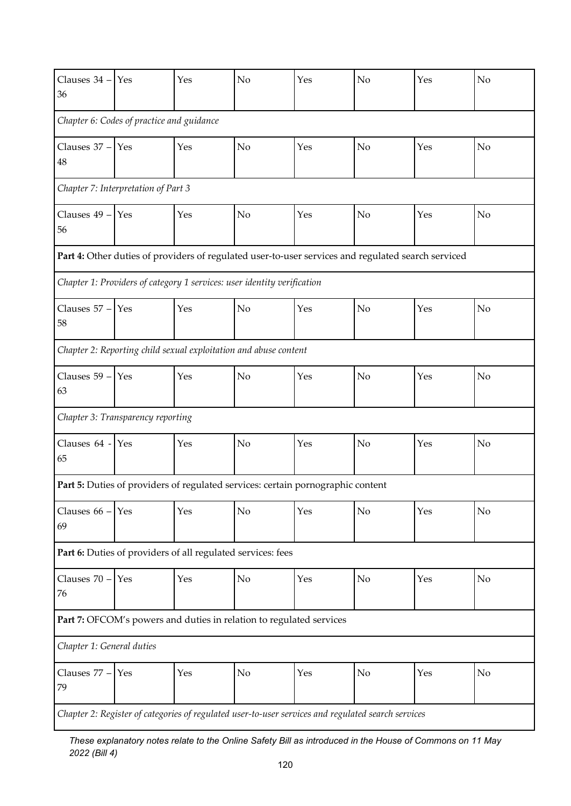| Clauses 34 -<br>36                                                                                 | Yes                                                         | Yes | No                                                                                                 | Yes | No             | Yes | No             |  |  |
|----------------------------------------------------------------------------------------------------|-------------------------------------------------------------|-----|----------------------------------------------------------------------------------------------------|-----|----------------|-----|----------------|--|--|
| Chapter 6: Codes of practice and guidance                                                          |                                                             |     |                                                                                                    |     |                |     |                |  |  |
| Clauses 37 -<br>48                                                                                 | Yes                                                         | Yes | No                                                                                                 | Yes | No             | Yes | N <sub>o</sub> |  |  |
| Chapter 7: Interpretation of Part 3                                                                |                                                             |     |                                                                                                    |     |                |     |                |  |  |
| Clauses 49 -<br>56                                                                                 | Yes                                                         | Yes | No                                                                                                 | Yes | No             | Yes | No             |  |  |
|                                                                                                    |                                                             |     | Part 4: Other duties of providers of regulated user-to-user services and regulated search serviced |     |                |     |                |  |  |
|                                                                                                    |                                                             |     | Chapter 1: Providers of category 1 services: user identity verification                            |     |                |     |                |  |  |
| Clauses 57 -<br>58                                                                                 | Yes                                                         | Yes | No                                                                                                 | Yes | N <sub>o</sub> | Yes | N <sub>o</sub> |  |  |
|                                                                                                    |                                                             |     | Chapter 2: Reporting child sexual exploitation and abuse content                                   |     |                |     |                |  |  |
| Clauses 59 -<br>63                                                                                 | Yes                                                         | Yes | No                                                                                                 | Yes | N <sub>o</sub> | Yes | No             |  |  |
|                                                                                                    | Chapter 3: Transparency reporting                           |     |                                                                                                    |     |                |     |                |  |  |
| Clauses 64 -<br>65                                                                                 | Yes                                                         | Yes | No                                                                                                 | Yes | No             | Yes | N <sub>o</sub> |  |  |
|                                                                                                    |                                                             |     | Part 5: Duties of providers of regulated services: certain pornographic content                    |     |                |     |                |  |  |
| Clauses 66 -<br>69                                                                                 | Yes                                                         | Yes | No                                                                                                 | Yes | No             | Yes | No             |  |  |
|                                                                                                    | Part 6: Duties of providers of all regulated services: fees |     |                                                                                                    |     |                |     |                |  |  |
| Clauses 70 -<br>76                                                                                 | Yes                                                         | Yes | $\rm No$                                                                                           | Yes | No             | Yes | No             |  |  |
|                                                                                                    |                                                             |     | Part 7: OFCOM's powers and duties in relation to regulated services                                |     |                |     |                |  |  |
| Chapter 1: General duties                                                                          |                                                             |     |                                                                                                    |     |                |     |                |  |  |
| Clauses 77 -<br>79                                                                                 | Yes                                                         | Yes | No                                                                                                 | Yes | No             | Yes | No             |  |  |
| Chapter 2: Register of categories of regulated user-to-user services and regulated search services |                                                             |     |                                                                                                    |     |                |     |                |  |  |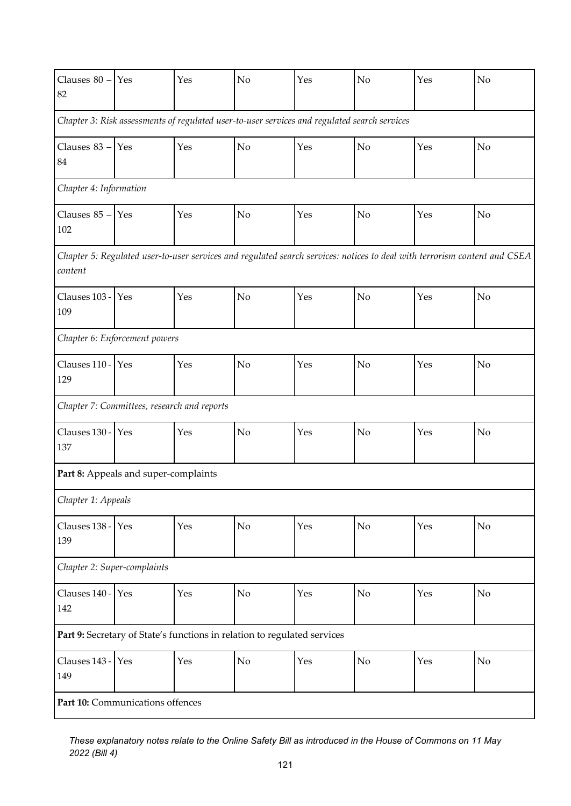| Clauses $80 - Yes$<br>82                                                                                                             |                                             | Yes | No             | Yes | No | Yes | No |  |  |
|--------------------------------------------------------------------------------------------------------------------------------------|---------------------------------------------|-----|----------------|-----|----|-----|----|--|--|
| Chapter 3: Risk assessments of regulated user-to-user services and regulated search services                                         |                                             |     |                |     |    |     |    |  |  |
| Clauses $83 - Y$ es<br>84                                                                                                            |                                             | Yes | No             | Yes | No | Yes | No |  |  |
| Chapter 4: Information                                                                                                               |                                             |     |                |     |    |     |    |  |  |
| Clauses $85 - Y$ es<br>102                                                                                                           |                                             | Yes | No             | Yes | No | Yes | No |  |  |
| Chapter 5: Regulated user-to-user services and regulated search services: notices to deal with terrorism content and CSEA<br>content |                                             |     |                |     |    |     |    |  |  |
| Clauses 103 - Yes<br>109                                                                                                             |                                             | Yes | No             | Yes | No | Yes | No |  |  |
|                                                                                                                                      | Chapter 6: Enforcement powers               |     |                |     |    |     |    |  |  |
| Clauses 110 - Yes<br>129                                                                                                             |                                             | Yes | No             | Yes | No | Yes | No |  |  |
|                                                                                                                                      | Chapter 7: Committees, research and reports |     |                |     |    |     |    |  |  |
| Clauses 130 -<br>137                                                                                                                 | Yes                                         | Yes | N <sub>o</sub> | Yes | No | Yes | No |  |  |
|                                                                                                                                      | Part 8: Appeals and super-complaints        |     |                |     |    |     |    |  |  |
| Chapter 1: Appeals                                                                                                                   |                                             |     |                |     |    |     |    |  |  |
| Clauses 138 -<br>139                                                                                                                 | Yes                                         | Yes | No             | Yes | No | Yes | No |  |  |
| Chapter 2: Super-complaints                                                                                                          |                                             |     |                |     |    |     |    |  |  |
| Clauses 140 -<br>142                                                                                                                 | Yes                                         | Yes | N <sub>o</sub> | Yes | No | Yes | No |  |  |
| Part 9: Secretary of State's functions in relation to regulated services                                                             |                                             |     |                |     |    |     |    |  |  |
| Clauses 143 - Yes<br>149                                                                                                             |                                             | Yes | No             | Yes | No | Yes | No |  |  |
|                                                                                                                                      | Part 10: Communications offences            |     |                |     |    |     |    |  |  |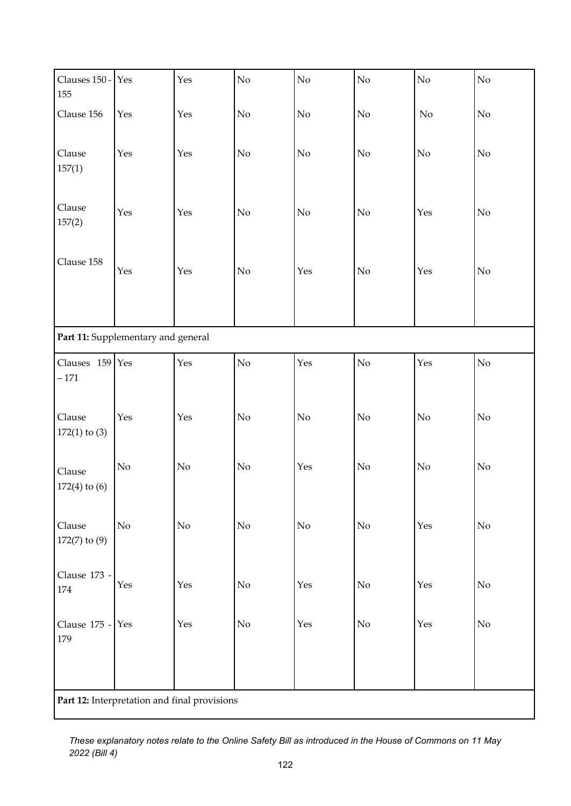| Clauses 150 -<br>155                         | Yes                                | Yes      | $\overline{N}$ | $\rm No$ | $\overline{N}$ | $\rm No$ | $\overline{N}$ |  |
|----------------------------------------------|------------------------------------|----------|----------------|----------|----------------|----------|----------------|--|
| Clause 156                                   | Yes                                | Yes      | $\rm No$       | $\rm No$ | No             | No       | No             |  |
| Clause<br>157(1)                             | Yes                                | Yes      | $\rm No$       | $\rm No$ | $\rm No$       | $\rm No$ | $\rm No$       |  |
| Clause<br>157(2)                             | Yes                                | Yes      | $\rm No$       | No       | $\rm No$       | Yes      | No             |  |
| Clause 158                                   | Yes                                | Yes      | $\rm No$       | Yes      | $\rm No$       | Yes      | $\rm No$       |  |
|                                              | Part 11: Supplementary and general |          |                |          |                |          |                |  |
| Clauses 159 Yes<br>$-171$                    |                                    | Yes      | No             | Yes      | $\overline{N}$ | Yes      | No             |  |
| Clause<br>$172(1)$ to $(3)$                  | Yes                                | Yes      | $\rm No$       | $\rm No$ | $\rm No$       | $\rm No$ | $\rm No$       |  |
| Clause<br>$172(4)$ to $(6)$                  | $\rm No$                           | $\rm No$ | $\rm No$       | Yes      | $\rm No$       | $\rm No$ | $\rm No$       |  |
| Clause<br>$172(7)$ to $(9)$                  | No                                 | $\rm No$ | $\rm No$       | $\rm No$ | $\rm No$       | Yes      | $\rm No$       |  |
| Clause 173 -<br>174                          | Yes                                | Yes      | $\rm No$       | Yes      | $\rm No$       | Yes      | $\rm No$       |  |
| Clause 175 - Yes<br>179                      |                                    | Yes      | No             | Yes      | $\rm No$       | Yes      | $\rm No$       |  |
| Part 12: Interpretation and final provisions |                                    |          |                |          |                |          |                |  |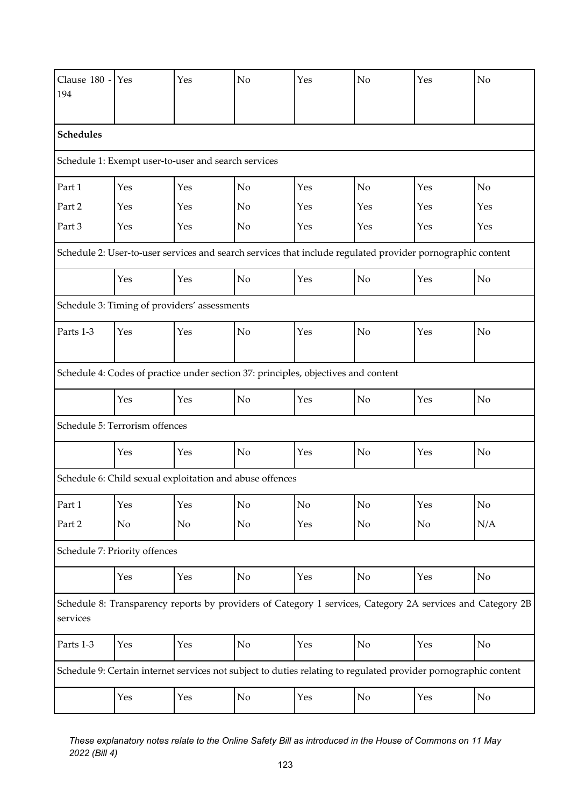| Clause 180 -<br>194                                                                                                    | Yes                            | Yes                                                                                | No             | Yes | N <sub>o</sub>                                                                                                  | Yes | No             |  |  |  |
|------------------------------------------------------------------------------------------------------------------------|--------------------------------|------------------------------------------------------------------------------------|----------------|-----|-----------------------------------------------------------------------------------------------------------------|-----|----------------|--|--|--|
| <b>Schedules</b>                                                                                                       |                                |                                                                                    |                |     |                                                                                                                 |     |                |  |  |  |
| Schedule 1: Exempt user-to-user and search services                                                                    |                                |                                                                                    |                |     |                                                                                                                 |     |                |  |  |  |
| Part 1                                                                                                                 | Yes                            | Yes                                                                                | N <sub>o</sub> | Yes | N <sub>o</sub>                                                                                                  | Yes | N <sub>o</sub> |  |  |  |
| Part 2                                                                                                                 | Yes                            | Yes                                                                                | No             | Yes | Yes                                                                                                             | Yes | Yes            |  |  |  |
| Part 3                                                                                                                 | Yes                            | Yes                                                                                | No             | Yes | Yes                                                                                                             | Yes | Yes            |  |  |  |
|                                                                                                                        |                                |                                                                                    |                |     | Schedule 2: User-to-user services and search services that include regulated provider pornographic content      |     |                |  |  |  |
|                                                                                                                        | Yes                            | Yes                                                                                | No             | Yes | N <sub>o</sub>                                                                                                  | Yes | No             |  |  |  |
|                                                                                                                        |                                | Schedule 3: Timing of providers' assessments                                       |                |     |                                                                                                                 |     |                |  |  |  |
| Parts 1-3                                                                                                              | Yes                            | Yes                                                                                | No             | Yes | No                                                                                                              | Yes | No             |  |  |  |
|                                                                                                                        |                                | Schedule 4: Codes of practice under section 37: principles, objectives and content |                |     |                                                                                                                 |     |                |  |  |  |
|                                                                                                                        | Yes                            | Yes                                                                                | No             | Yes | No                                                                                                              | Yes | N <sub>o</sub> |  |  |  |
|                                                                                                                        | Schedule 5: Terrorism offences |                                                                                    |                |     |                                                                                                                 |     |                |  |  |  |
|                                                                                                                        | Yes                            | Yes                                                                                | N <sub>o</sub> | Yes | No                                                                                                              | Yes | N <sub>o</sub> |  |  |  |
|                                                                                                                        |                                | Schedule 6: Child sexual exploitation and abuse offences                           |                |     |                                                                                                                 |     |                |  |  |  |
| Part 1                                                                                                                 | Yes                            | Yes                                                                                | No             | No  | No                                                                                                              | Yes | $\rm No$       |  |  |  |
| Part 2                                                                                                                 | No                             | No                                                                                 | No             | Yes | No                                                                                                              | No  | N/A            |  |  |  |
|                                                                                                                        | Schedule 7: Priority offences  |                                                                                    |                |     |                                                                                                                 |     |                |  |  |  |
|                                                                                                                        | Yes                            | Yes                                                                                | $\rm No$       | Yes | No                                                                                                              | Yes | $\rm No$       |  |  |  |
| Schedule 8: Transparency reports by providers of Category 1 services, Category 2A services and Category 2B<br>services |                                |                                                                                    |                |     |                                                                                                                 |     |                |  |  |  |
| Parts 1-3                                                                                                              | Yes                            | Yes                                                                                | No             | Yes | No                                                                                                              | Yes | $\rm No$       |  |  |  |
|                                                                                                                        |                                |                                                                                    |                |     | Schedule 9: Certain internet services not subject to duties relating to regulated provider pornographic content |     |                |  |  |  |
|                                                                                                                        | Yes                            | Yes                                                                                | No             | Yes | No                                                                                                              | Yes | $\rm No$       |  |  |  |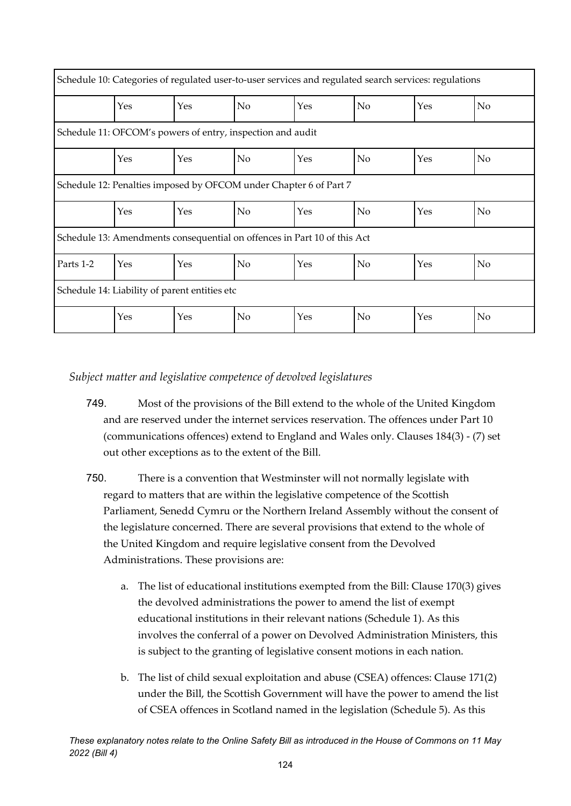| Schedule 10: Categories of regulated user-to-user services and regulated search services: regulations |                                                                          |     |    |     |                |     |                |  |
|-------------------------------------------------------------------------------------------------------|--------------------------------------------------------------------------|-----|----|-----|----------------|-----|----------------|--|
|                                                                                                       | Yes                                                                      | Yes | No | Yes | No             | Yes | No             |  |
| Schedule 11: OFCOM's powers of entry, inspection and audit                                            |                                                                          |     |    |     |                |     |                |  |
|                                                                                                       | Yes                                                                      | Yes | No | Yes | No             | Yes | N <sub>o</sub> |  |
|                                                                                                       | Schedule 12: Penalties imposed by OFCOM under Chapter 6 of Part 7        |     |    |     |                |     |                |  |
|                                                                                                       | Yes                                                                      | Yes | No | Yes | No             | Yes | No             |  |
|                                                                                                       | Schedule 13: Amendments consequential on offences in Part 10 of this Act |     |    |     |                |     |                |  |
| Parts 1-2                                                                                             | Yes                                                                      | Yes | No | Yes | N <sub>o</sub> | Yes | No             |  |
| Schedule 14: Liability of parent entities etc                                                         |                                                                          |     |    |     |                |     |                |  |
|                                                                                                       | Yes                                                                      | Yes | No | Yes | No             | Yes | No             |  |

*Subject matter and legislative competence of devolved legislatures*

- 749. Most of the provisions of the Bill extend to the whole of the United Kingdom and are reserved under the internet services reservation. The offences under Part 10 (communications offences) extend to England and Wales only. Clauses 184(3) - (7) set out other exceptions as to the extent of the Bill.
- 750. There is a convention that Westminster will not normally legislate with regard to matters that are within the legislative competence of the Scottish Parliament, Senedd Cymru or the Northern Ireland Assembly without the consent of the legislature concerned. There are several provisions that extend to the whole of the United Kingdom and require legislative consent from the Devolved Administrations. These provisions are:
	- a. The list of educational institutions exempted from the Bill: Clause 170(3) gives the devolved administrations the power to amend the list of exempt educational institutions in their relevant nations (Schedule 1). As this involves the conferral of a power on Devolved Administration Ministers, this is subject to the granting of legislative consent motions in each nation.
	- b. The list of child sexual exploitation and abuse (CSEA) offences: Clause 171(2) under the Bill, the Scottish Government will have the power to amend the list of CSEA offences in Scotland named in the legislation (Schedule 5). As this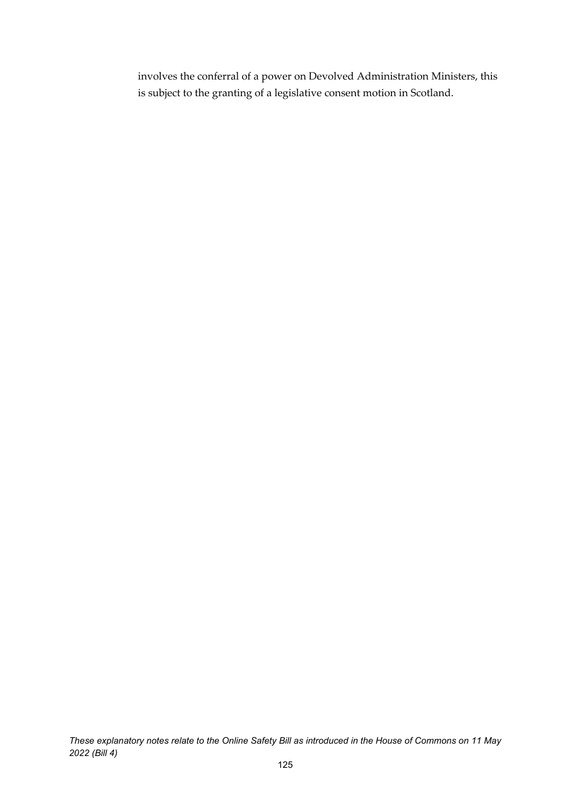involves the conferral of a power on Devolved Administration Ministers, this is subject to the granting of a legislative consent motion in Scotland.